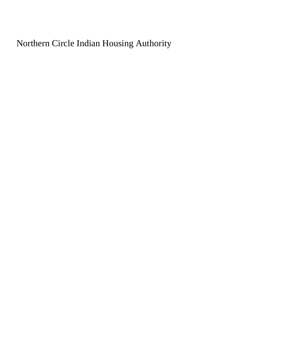Northern Circle Indian Housing Authority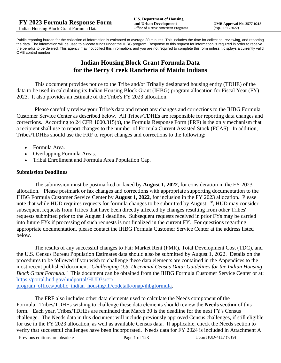Public reporting burden for the collection of information is estimated to average 30 minutes. This includes the time for collecting, reviewing, and reporting the data. The information will be used to allocate funds under the IHBG program. Response to this request for information is required in order to receive the benefits to be derived. This agency may not collect this information, and you are not required to complete this form unless it displays a currently valid OMB control number.

# **Indian Housing Block Grant Formula Data for the Berry Creek Rancheria of Maidu Indians**

This document provides notice to the Tribe and/or Tribally designated housing entity (TDHE) of the data to be used in calculating its Indian Housing Block Grant (IHBG) program allocation for Fiscal Year (FY) 2023. It also provides an estimate of the Tribe's FY 2023 allocation.

Please carefully review your Tribe's data and report any changes and corrections to the IHBG Formula Customer Service Center as described below. All Tribes/TDHEs are responsible for reporting data changes and corrections. According to 24 CFR 1000.315(b), the Formula Response Form (FRF) is the only mechanism that a recipient shall use to report changes to the number of Formula Current Assisted Stock (FCAS). In addition, Tribes/TDHEs should use the FRF to report changes and corrections to the following:

- Formula Area.
- Overlapping Formula Areas.
- Tribal Enrollment and Formula Area Population Cap.

#### **Submission Deadlines**

The submission must be postmarked or faxed by **August 1, 2022**, for consideration in the FY 2023 allocation. Please postmark or fax changes and corrections with appropriate supporting documentation to the IHBG Formula Customer Service Center by **August 1, 2022**, for inclusion in the FY 2023 allocation. Please note that while HUD requires requests for formula changes to be submitted by August 1<sup>st</sup>, HUD may consider subsequent requests from Tribes that have been directly affected by changes resulting from other Tribes' requests submitted prior to the August 1 deadline. Subsequent requests received in prior FYs may be carried into future FYs if processing of such requests is not finalized in the current FY. For questions regarding appropriate documentation, please contact the IHBG Formula Customer Service Center at the address listed below.

The results of any successful changes to Fair Market Rent (FMR), Total Development Cost (TDC), and the U.S. Census Bureau Population Estimates data should also be submitted by August 1, 2022. Details on the procedures to be followed if you wish to challenge these data elements are contained in the Appendices to the most recent published document "*Challenging U.S. Decennial Census Data: Guidelines for the Indian Housing Block Grant Formula.*" This document can be obtained from the IHBG Formula Customer Service Center or at: [https://portal.hud.gov/hudportal/HUD?src=/](https://portal.hud.gov/hudportal/HUD?src=/program_offices/public_indian_housing/ih/codetalk/onap/ihbgformula) 

[program\\_offices/public\\_indian\\_housing/ih/codetalk/onap/ihbgformula.](https://portal.hud.gov/hudportal/HUD?src=/program_offices/public_indian_housing/ih/codetalk/onap/ihbgformula)

The FRF also includes other data elements used to calculate the Needs component of the Formula. Tribes/TDHEs wishing to challenge these data elements should review the **Needs section** of this form. Each year, Tribes/TDHEs are reminded that March 30 is the deadline for the next FY's Census challenge. The Needs data in this document will include previously approved Census challenges, if still eligible for use in the FY 2023 allocation, as well as available Census data. If applicable, check the Needs section to verify that successful challenges have been incorporated. Needs data for FY 2024 is included in Attachment A

Previous editions are obsolete Page 1 of 123 Form HUD-4117 (7/19)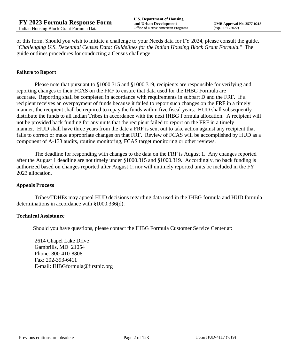of this form. Should you wish to initiate a challenge to your Needs data for FY 2024, please consult the guide, "*Challenging U.S. Decennial Census Data: Guidelines for the Indian Housing Block Grant Formula.*" The guide outlines procedures for conducting a Census challenge.

#### **Failure to Report**

Please note that pursuant to §1000.315 and §1000.319, recipients are responsible for verifying and reporting changes to their FCAS on the FRF to ensure that data used for the IHBG Formula are accurate. Reporting shall be completed in accordance with requirements in subpart D and the FRF. If a recipient receives an overpayment of funds because it failed to report such changes on the FRF in a timely manner, the recipient shall be required to repay the funds within five fiscal years. HUD shall subsequently distribute the funds to all Indian Tribes in accordance with the next IHBG Formula allocation. A recipient will not be provided back funding for any units that the recipient failed to report on the FRF in a timely manner. HUD shall have three years from the date a FRF is sent out to take action against any recipient that fails to correct or make appropriate changes on that FRF. Review of FCAS will be accomplished by HUD as a component of A-133 audits, routine monitoring, FCAS target monitoring or other reviews.

The deadline for responding with changes to the data on the FRF is August 1. Any changes reported after the August 1 deadline are not timely under §1000.315 and §1000.319. Accordingly, no back funding is authorized based on changes reported after August 1; nor will untimely reported units be included in the FY 2023 allocation.

#### **Appeals Process**

Tribes/TDHEs may appeal HUD decisions regarding data used in the IHBG formula and HUD formula determinations in accordance with §1000.336(d).

#### **Technical Assistance**

Should you have questions, please contact the IHBG Formula Customer Service Center at:

2614 Chapel Lake Drive Gambrills, MD 21054 Phone: 800-410-8808 Fax: 202-393-6411 E-mail: IHBGformula@firstpic.org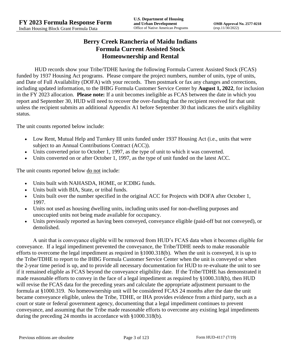# **Berry Creek Rancheria of Maidu Indians Formula Current Assisted Stock Homeownership and Rental**

HUD records show your Tribe/TDHE having the following Formula Current Assisted Stock (FCAS) funded by 1937 Housing Act programs. Please compare the project numbers, number of units, type of units, and Date of Full Availability (DOFA) with your records. Then postmark or fax any changes and corrections, including updated information, to the IHBG Formula Customer Service Center by **August 1, 2022**, for inclusion in the FY 2023 allocation. **Please note:** If a unit becomes ineligible as FCAS between the date in which you report and September 30, HUD will need to recover the over-funding that the recipient received for that unit unless the recipient submits an additional Appendix A1 before September 30 that indicates the unit's eligibility status.

The unit counts reported below include:

- Low Rent, Mutual Help and Turnkey III units funded under 1937 Housing Act (i.e., units that were subject to an Annual Contributions Contract (ACC)).
- Units converted prior to October 1, 1997, as the type of unit to which it was converted.
- Units converted on or after October 1, 1997, as the type of unit funded on the latest ACC.

The unit counts reported below <u>do not</u> include:

- Units built with NAHASDA, HOME, or ICDBG funds.
- Units built with BIA, State, or tribal funds.
- Units built over the number specified in the original ACC for Projects with DOFA after October 1, 1997.
- Units not used as housing dwelling units, including units used for non-dwelling purposes and unoccupied units not being made available for occupancy.
- Units previously reported as having been conveyed, conveyance eligible (paid-off but not conveyed), or demolished.

A unit that is conveyance eligible will be removed from HUD's FCAS data when it becomes eligible for conveyance. If a legal impediment prevented the conveyance, the Tribe/TDHE needs to make reasonable efforts to overcome the legal impediment as required in §1000.318(b). When the unit is conveyed, it is up to the Tribe/TDHE to report to the IHBG Formula Customer Service Center when the unit is conveyed or when the 2-year time period is up, and to provide all necessary documentation for HUD to re-evaluate the unit to see if it remained eligible as FCAS beyond the conveyance eligibility date. If the Tribe/TDHE has demonstrated it made reasonable efforts to convey in the face of a legal impediment as required by §1000.318(b), then HUD will revise the FCAS data for the preceding years and calculate the appropriate adjustment pursuant to the formula at §1000.319. No homeownership unit will be considered FCAS 24 months after the date the unit became conveyance eligible, unless the Tribe, TDHE, or IHA provides evidence from a third party, such as a court or state or federal government agency, documenting that a legal impediment continues to prevent conveyance, and assuming that the Tribe made reasonable efforts to overcome any existing legal impediments during the preceding 24 months in accordance with §1000.318(b).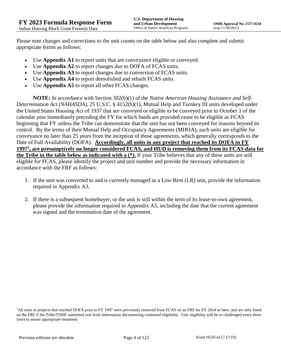Please note changes and corrections to the unit counts on the table below and also complete and submit appropriate forms as follows:

- Use **Appendix A1** to report units that are conveyance eligible or conveyed.
- Use **Appendix A2** to report changes due to DOFA of FCAS units.
- Use **Appendix A3** to report changes due to conversion of FCAS units.
- Use **Appendix A4** to report demolished and rebuilt FCAS units.
- Use **Appendix A5** to report all other FCAS changes.

**NOTE:** In accordance with Section 302(b)(1) of the *Native American Housing Assistance and Self-Determination Act (NAHASDA)*, 25 U.S.C. § 4152(b)(1), Mutual Help and Turnkey III units developed under the United States Housing Act of 1937 that are conveyed or eligible to be conveyed prior to October 1 of the calendar year immediately preceding the FY for which funds are provided cease to be eligible as FCAS beginning that FY unless the Tribe can demonstrate that the unit has not been conveyed for reasons beyond its control. By the terms of their Mutual Help and Occupancy Agreements (MHOA), such units are eligible for conveyance no later than 25 years from the inception of those agreements, which generally corresponds to the Date of Full Availability (DOFA). **Accordingly, all units in any project that reached its DOFA in FY 1997<sup>1</sup> , are presumptively no longer considered FCAS, and HUD is removing them from its FCAS data for the Tribe in the table below as indicated with a (\*).** If your Tribe believes that any of these units are still eligible for FCAS, please identify the project and unit number and provide the necessary information in accordance with the FRF as follows:

- 1. If the unit was converted to and is currently managed as a Low Rent (LR) unit, provide the information required in Appendix A3.
- 2. If there is a subsequent homebuyer, or the unit is still within the term of its lease-to-own agreement, please provide the information required in Appendix A5, including the date that the current agreement was signed and the termination date of the agreement.

<sup>&</sup>lt;sup>1</sup>All units in projects that reached DOFA prior to FY 1997 were previously removed from FCAS on an FRF for FY 2014 or later, and are only listed on the FRF if the Tribe/TDHE submitted unit level information documenting continued eligibility. Unit eligibility will be re-challenged every three years to assure appropriate treatment.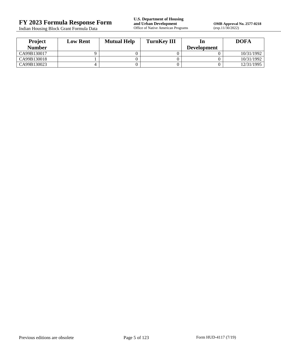Indian Housing Block Grant Formula Data

**OMB Approval No. 2577-0218**<br>(exp.11/30/2022)

| <b>Project</b> | <b>Low Rent</b> | <b>Mutual Help</b> | <b>TurnKey III</b> |                    | <b>DOFA</b> |
|----------------|-----------------|--------------------|--------------------|--------------------|-------------|
| <b>Number</b>  |                 |                    |                    | <b>Development</b> |             |
| CA99B130017    |                 |                    |                    |                    | 10/31/1992  |
| CA99B130018    |                 |                    |                    |                    | 10/31/1992  |
| CA99B130023    |                 |                    |                    |                    | 12/31/1995  |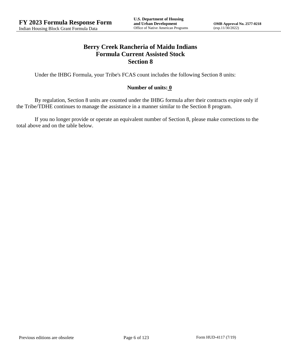## **Berry Creek Rancheria of Maidu Indians Formula Current Assisted Stock Section 8**

Under the IHBG Formula, your Tribe's FCAS count includes the following Section 8 units:

## **Number of units: 0**

By regulation, Section 8 units are counted under the IHBG formula after their contracts expire only if the Tribe/TDHE continues to manage the assistance in a manner similar to the Section 8 program.

If you no longer provide or operate an equivalent number of Section 8, please make corrections to the total above and on the table below.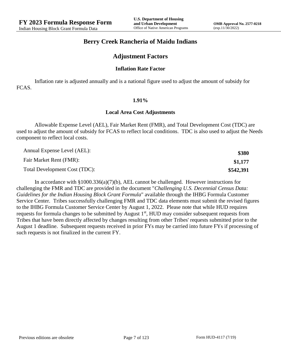## **Berry Creek Rancheria of Maidu Indians**

## **Adjustment Factors**

#### **Inflation Rate Factor**

Inflation rate is adjusted annually and is a national figure used to adjust the amount of subsidy for FCAS.

#### **1.91%**

#### **Local Area Cost Adjustments**

Allowable Expense Level (AEL), Fair Market Rent (FMR), and Total Development Cost (TDC) are used to adjust the amount of subsidy for FCAS to reflect local conditions. TDC is also used to adjust the Needs component to reflect local costs.

| Annual Expense Level (AEL):   | \$380     |
|-------------------------------|-----------|
| Fair Market Rent (FMR):       | \$1,177   |
| Total Development Cost (TDC): | \$542,391 |

In accordance with §1000.336(a)(7)(b), AEL cannot be challenged. However instructions for challenging the FMR and TDC are provided in the document "*Challenging U.S. Decennial Census Data: Guidelines for the Indian Housing Block Grant Formula*" available through the IHBG Formula Customer Service Center. Tribes successfully challenging FMR and TDC data elements must submit the revised figures to the IHBG Formula Customer Service Center by August 1, 2022. Please note that while HUD requires requests for formula changes to be submitted by August 1<sup>st</sup>, HUD may consider subsequent requests from Tribes that have been directly affected by changes resulting from other Tribes' requests submitted prior to the August 1 deadline. Subsequent requests received in prior FYs may be carried into future FYs if processing of such requests is not finalized in the current FY.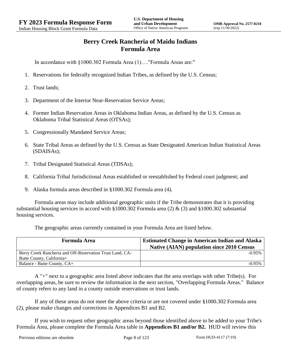# **Berry Creek Rancheria of Maidu Indians Formula Area**

In accordance with §1000.302 Formula Area (1)…."Formula Areas are:"

- 1. Reservations for federally recognized Indian Tribes, as defined by the U.S. Census;
- 2. Trust lands;
- 3. Department of the Interior Near-Reservation Service Areas;
- 4. Former Indian Reservation Areas in Oklahoma Indian Areas, as defined by the U.S. Census as Oklahoma Tribal Statistical Areas (OTSAs);
- 5. Congressionally Mandated Service Areas;
- 6. State Tribal Areas as defined by the U.S. Census as State Designated American Indian Statistical Areas (SDAISAs);
- 7. Tribal Designated Statistical Areas (TDSAs);
- 8. California Tribal Jurisdictional Areas established or reestablished by Federal court judgment; and
- 9. Alaska formula areas described in §1000.302 Formula area (4).

Formula areas may include additional geographic units if the Tribe demonstrates that it is providing substantial housing services in accord with §1000.302 Formula area (2) & (3) and §1000.302 substantial housing services.

The geographic areas currently contained in your Formula Area are listed below.

| <b>Formula Area</b>                                       | <b>Estimated Change in American Indian and Alaska</b><br><b>Native (AIAN) population since 2010 Census</b> |
|-----------------------------------------------------------|------------------------------------------------------------------------------------------------------------|
| Berry Creek Rancheria and Off-Reservation Trust Land, CA- | $-0.95%$                                                                                                   |
| Butte County, California+                                 |                                                                                                            |
| Balance - Butte County, CA+                               | $-0.95%$                                                                                                   |

A "+" next to a geographic area listed above indicates that the area overlaps with other Tribe(s). For overlapping areas, be sure to review the information in the next section, "Overlapping Formula Areas." Balance of county refers to any land in a county outside reservations or trust lands.

If any of these areas do not meet the above criteria or are not covered under §1000.302 Formula area (2), please make changes and corrections in Appendices B1 and B2.

If you wish to request other geographic areas beyond those identified above to be added to your Tribe's Formula Area, please complete the Formula Area table in **Appendices B1 and/or B2.** HUD will review this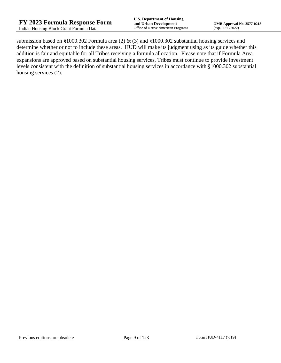submission based on §1000.302 Formula area (2) & (3) and §1000.302 substantial housing services and determine whether or not to include these areas. HUD will make its judgment using as its guide whether this addition is fair and equitable for all Tribes receiving a formula allocation. Please note that if Formula Area expansions are approved based on substantial housing services, Tribes must continue to provide investment levels consistent with the definition of substantial housing services in accordance with §1000.302 substantial housing services (2).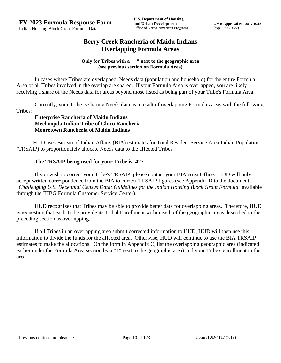## **Berry Creek Rancheria of Maidu Indians Overlapping Formula Areas**

#### **Only for Tribes with a "+" next to the geographic area (see previous section on Formula Area)**

In cases where Tribes are overlapped, Needs data (population and household) for the entire Formula Area of all Tribes involved in the overlap are shared. If your Formula Area is overlapped, you are likely receiving a share of the Needs data for areas beyond those listed as being part of your Tribe's Formula Area.

Currently, your Tribe is sharing Needs data as a result of overlapping Formula Areas with the following Tribes:

### **Enterprise Rancheria of Maidu Indians Mechoopda Indian Tribe of Chico Rancheria Mooretown Rancheria of Maidu Indians**

HUD uses Bureau of Indian Affairs (BIA) estimates for Total Resident Service Area Indian Population (TRSAIP) to proportionately allocate Needs data to the affected Tribes.

## **The TRSAIP being used for your Tribe is: 427**

If you wish to correct your Tribe's TRSAIP, please contact your BIA Area Office. HUD will only accept written correspondence from the BIA to correct TRSAIP figures (see Appendix D to the document "*Challenging U.S. Decennial Census Data: Guidelines for the Indian Housing Block Grant Formula*" available through the IHBG Formula Customer Service Center).

HUD recognizes that Tribes may be able to provide better data for overlapping areas. Therefore, HUD is requesting that each Tribe provide its Tribal Enrollment within each of the geographic areas described in the preceding section as overlapping.

If all Tribes in an overlapping area submit corrected information to HUD, HUD will then use this information to divide the funds for the affected area. Otherwise, HUD will continue to use the BIA TRSAIP estimates to make the allocations. On the form in Appendix C, list the overlapping geographic area (indicated earlier under the Formula Area section by a "+" next to the geographic area) and your Tribe's enrollment in the area.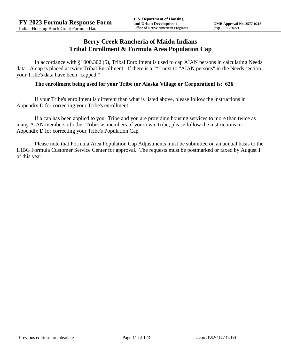## **Berry Creek Rancheria of Maidu Indians Tribal Enrollment & Formula Area Population Cap**

In accordance with §1000.302 (5), Tribal Enrollment is used to cap AIAN persons in calculating Needs data. A cap is placed at twice Tribal Enrollment. If there is a "\*" next to "AIAN persons" in the Needs section, your Tribe's data have been "capped."

### **The enrollment being used for your Tribe (or Alaska Village or Corporation) is: 626**

If your Tribe's enrollment is different than what is listed above, please follow the instructions in Appendix D for correcting your Tribe's enrollment.

If a cap has been applied to your Tribe and you are providing housing services to more than twice as many AIAN members of other Tribes as members of your own Tribe, please follow the instructions in Appendix D for correcting your Tribe's Population Cap.

Please note that Formula Area Population Cap Adjustments must be submitted on an annual basis to the IHBG Formula Customer Service Center for approval. The requests must be postmarked or faxed by August 1 of this year.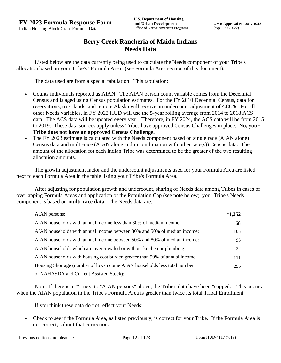# **Berry Creek Rancheria of Maidu Indians Needs Data**

Listed below are the data currently being used to calculate the Needs component of your Tribe's allocation based on your Tribe's "Formula Area" (see Formula Area section of this document).

The data used are from a special tabulation. This tabulation:

- Counts individuals reported as AIAN. The AIAN person count variable comes from the Decennial Census and is aged using Census population estimates. For the FY 2010 Decennial Census, data for reservations, trust lands, and remote Alaska will receive an undercount adjustment of 4.88%. For all other Needs variables, in FY 2023 HUD will use the 5-year rolling average from 2014 to 2018 ACS data. The ACS data will be updated every year. Therefore, in FY 2024, the ACS data will be from 2015 to 2019. These data sources apply unless Tribes have approved Census Challenges in place. **No, your Tribe does not have an approved Census Challenge.**
- The FY 2023 estimate is calculated with the Needs component based on single race (AIAN alone) Census data and multi-race (AIAN alone and in combination with other race(s)) Census data. The amount of the allocation for each Indian Tribe was determined to be the greater of the two resulting allocation amounts.

The growth adjustment factor and the undercount adjustments used for your Formula Area are listed next to each Formula Area in the table listing your Tribe's Formula Area.

After adjusting for population growth and undercount, sharing of Needs data among Tribes in cases of overlapping Formula Areas and application of the Population Cap (see note below), your Tribe's Needs component is based on **multi-race data**. The Needs data are:

| AIAN persons:                                                               | $*1,252$ |
|-----------------------------------------------------------------------------|----------|
| AIAN households with annual income less than 30% of median income:          | 68       |
| AIAN households with annual income between 30% and 50% of median income:    | 105      |
| AIAN households with annual income between 50% and 80% of median income:    | 95       |
| AIAN households which are overcrowded or without kitchen or plumbing:       | 22       |
| AIAN households with housing cost burden greater than 50% of annual income: | 111      |
| Housing Shortage (number of low-income AIAN households less total number    | 255      |
| of NAHASDA and Current Assisted Stock):                                     |          |

Note: If there is a "\*" next to "AIAN persons" above, the Tribe's data have been "capped." This occurs when the AIAN population in the Tribe's Formula Area is greater than twice its total Tribal Enrollment.

If you think these data do not reflect your Needs:

 Check to see if the Formula Area, as listed previously, is correct for your Tribe. If the Formula Area is not correct, submit that correction.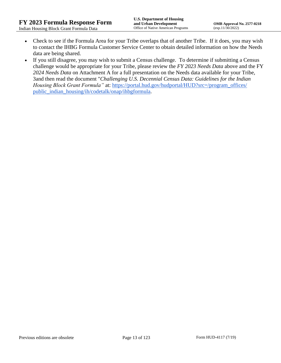- Check to see if the Formula Area for your Tribe overlaps that of another Tribe. If it does, you may wish to contact the IHBG Formula Customer Service Center to obtain detailed information on how the Needs data are being shared.
- If you still disagree, you may wish to submit a Census challenge. To determine if submitting a Census challenge would be appropriate for your Tribe, please review the *FY 2023 Needs Data* above and the FY *2024 Needs Data* on Attachment A for a full presentation on the Needs data available for your Tribe, 3and then read the document "*Challenging U.S. Decennial Census Data: Guidelines for the Indian Housing Block Grant Formula*" at: https://portal.hud.gov/hudportal/HUD?src=/program\_offices/ [public\\_indian\\_housing/ih/codetalk/onap/ihbgformula.](https://portal.hud.gov/hudportal/HUD?src=/program_offices/public_indian_housing/ih/codetalk/onap/ihbgformula)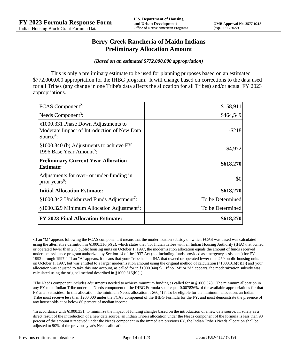## **Berry Creek Rancheria of Maidu Indians Preliminary Allocation Amount**

#### *(Based on an estimated \$772,000,000 appropriation)*

This is only a preliminary estimate to be used for planning purposes based on an estimated \$772,000,000 appropriation for the IHBG program. It will change based on corrections to the data used for all Tribes (any change in one Tribe's data affects the allocation for all Tribes) and/or actual FY 2023 appropriations.

| FCAS Component <sup>2</sup> :                                                                               | \$158,911        |
|-------------------------------------------------------------------------------------------------------------|------------------|
| Needs Component <sup>3</sup> :                                                                              | \$464,549        |
| §1000.331 Phase Down Adjustments to<br>Moderate Impact of Introduction of New Data<br>Source <sup>4</sup> : | $-$ \$218        |
| §1000.340 (b) Adjustments to achieve FY<br>1996 Base Year Amount <sup>5</sup> :                             | $-$ \$4,972      |
| <b>Preliminary Current Year Allocation</b><br><b>Estimate:</b>                                              | \$618,270        |
| Adjustments for over- or under-funding in<br>prior years <sup>6</sup> :                                     | \$0              |
| <b>Initial Allocation Estimate:</b>                                                                         | \$618,270        |
| §1000.342 Undisbursed Funds Adjustment <sup>7</sup> :                                                       | To be Determined |
| §1000.329 Minimum Allocation Adjustment <sup>8</sup> :                                                      | To be Determined |
| <b>FY 2023 Final Allocation Estimate:</b>                                                                   | \$618,270        |

2 If an "M" appears following the FCAS component, it means that the modernization subsidy on which FCAS was based was calculated using the alternative definition in §1000.316(b)(2), which states that "for Indian Tribes with an Indian Housing Authority (IHA) that owned or operated fewer than 250 public housing units on October 1, 1997, the modernization allocation equals the amount of funds received under the assistance program authorized by Section 14 of the 1937 Act (not including funds provided as emergency assistance) for FYs 1992 through 1997." If an "A" appears, it means that your Tribe had an IHA that owned or operated fewer than 250 public housing units on October 1, 1997, but was entitled to a larger modernization amount using the original method of calculation (§1000.316(b)(1)) and your allocation was adjusted to take this into account, as called for in  $\S1000.340(a)$ . If no "M" or "A" appears, the modernization subsidy was calculated using the original method described in §1000.316(b)(1).

 $3$ The Needs component includes adjustments needed to achieve minimum funding as called for in §1000.328. The minimum allocation in any FY to an Indian Tribe under the Needs component of the IHBG Formula shall equal 0.007826% of the available appropriations for that FY after set asides. In this allocation, the minimum Needs allocation is \$60,417. To be eligible for the minimum allocation, an Indian Tribe must receive less than \$200,000 under the FCAS component of the IHBG Formula for the FY, and must demonstrate the presence of any households at or below 80 percent of median income.

4 In accordance with §1000.331, to minimize the impact of funding changes based on the introduction of a new data source, if, solely as a direct result of the introduction of a new data source, an Indian Tribe's allocation under the Needs component of the formula is less than 90 percent of the amount it received under the Needs component in the immediate previous FY, the Indian Tribe's Needs allocation shall be adjusted to 90% of the previous year's Needs allocation.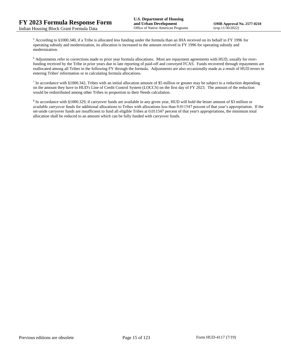<sup>5</sup> According to §1000.340, if a Tribe is allocated less funding under the formula than an IHA received on its behalf in FY 1996 for operating subsidy and modernization, its allocation is increased to the amount received in FY 1996 for operating subsidy and modernization.

<sup>6</sup> Adjustments refer to corrections made to prior year formula allocations. Most are repayment agreements with HUD, usually for overfunding received by the Tribe in prior years due to late reporting of paid-off and conveyed FCAS. Funds recovered through repayments are reallocated among all Tribes in the following FY through the formula. Adjustments are also occasionally made as a result of HUD errors in entering Tribes' information or in calculating formula allocations.

 $^7$  In accordance with §1000.342, Tribes with an initial allocation amount of \$5 million or greater may be subject to a reduction depending on the amount they have in HUD's Line of Credit Control System (LOCCS) on the first day of FY 2023. The amount of the reduction would be redistributed among other Tribes in proportion to their Needs calculation.

<sup>8</sup> In accordance with §1000.329, if carryover funds are available in any given year, HUD will hold the lesser amount of \$3 million or available carryover funds for additional allocations to Tribes with allocations less than 0.011547 percent of that year's appropriation. If the set-aside carryover funds are insufficient to fund all eligible Tribes at 0.011547 percent of that year's appropriations, the minimum total allocation shall be reduced to an amount which can be fully funded with carryover funds.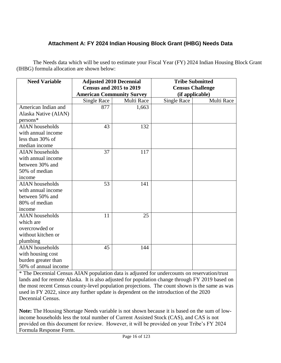# **Attachment A: FY 2024 Indian Housing Block Grant (IHBG) Needs Data**

The Needs data which will be used to estimate your Fiscal Year (FY) 2024 Indian Housing Block Grant (IHBG) formula allocation are shown below:

| <b>Need Variable</b>   | <b>Adjusted 2010 Decennial</b>   |            | <b>Tribe Submitted</b>  |            |
|------------------------|----------------------------------|------------|-------------------------|------------|
|                        | <b>Census and 2015 to 2019</b>   |            | <b>Census Challenge</b> |            |
|                        | <b>American Community Survey</b> |            | (if applicable)         |            |
|                        | <b>Single Race</b>               | Multi Race | <b>Single Race</b>      | Multi Race |
| American Indian and    | 877                              | 1,663      |                         |            |
| Alaska Native (AIAN)   |                                  |            |                         |            |
| $persons*$             |                                  |            |                         |            |
| <b>AIAN</b> households | 43                               | 132        |                         |            |
| with annual income     |                                  |            |                         |            |
| less than 30% of       |                                  |            |                         |            |
| median income          |                                  |            |                         |            |
| <b>AIAN</b> households | 37                               | 117        |                         |            |
| with annual income     |                                  |            |                         |            |
| between 30% and        |                                  |            |                         |            |
| 50% of median          |                                  |            |                         |            |
| income                 |                                  |            |                         |            |
| <b>AIAN</b> households | 53                               | 141        |                         |            |
| with annual income     |                                  |            |                         |            |
| between 50% and        |                                  |            |                         |            |
| 80% of median          |                                  |            |                         |            |
| income                 |                                  |            |                         |            |
| <b>AIAN</b> households | 11                               | 25         |                         |            |
| which are              |                                  |            |                         |            |
| overcrowded or         |                                  |            |                         |            |
| without kitchen or     |                                  |            |                         |            |
| plumbing               |                                  |            |                         |            |
| <b>AIAN</b> households | 45                               | 144        |                         |            |
| with housing cost      |                                  |            |                         |            |
| burden greater than    |                                  |            |                         |            |
| 50% of annual income   |                                  |            |                         |            |

\* The Decennial Census AIAN population data is adjusted for undercounts on reservation/trust lands and for remote Alaska. It is also adjusted for population change through FY 2019 based on the most recent Census county-level population projections. The count shown is the same as was used in FY 2022, since any further update is dependent on the introduction of the 2020 Decennial Census.

**Note:** The Housing Shortage Needs variable is not shown because it is based on the sum of lowincome households less the total number of Current Assisted Stock (CAS), and CAS is not provided on this document for review. However, it will be provided on your Tribe's FY 2024 Formula Response Form.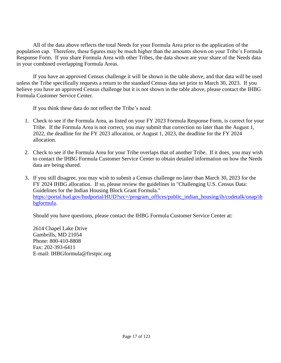All of the data above reflects the total Needs for your Formula Area prior to the application of the population cap. Therefore, these figures may be much higher than the amounts shown on your Tribe's Formula Response Form. If you share Formula Area with other Tribes, the data shown are your share of the Needs data in your combined overlapping Formula Areas.

If you have an approved Census challenge it will be shown in the table above, and that data will be used unless the Tribe specifically requests a return to the standard Census data set prior to March 30, 2023. If you believe you have an approved Census challenge but it is not shown in the table above, please contact the IHBG Formula Customer Service Center.

If you think these data do not reflect the Tribe's need:

- 1. Check to see if the Formula Area, as listed on your FY 2023 Formula Response Form, is correct for your Tribe. If the Formula Area is not correct, you may submit that correction no later than the August 1, 2022, the deadline for the FY 2023 allocation, or August 1, 2023, the deadline for the FY 2024 allocation.
- 2. Check to see if the Formula Area for your Tribe overlaps that of another Tribe. If it does, you may wish to contact the IHBG Formula Customer Service Center to obtain detailed information on how the Needs data are being shared.
- 3. If you still disagree, you may wish to submit a Census challenge no later than March 30, 2023 for the FY 2024 IHBG allocation. If so, please review the guidelines in "Challenging U.S. Census Data: Guidelines for the Indian Housing Block Grant Formula." [https://portal.hud.gov/hudportal/HUD?src=/program\\_offices/public\\_indian\\_housing/ih/codetalk/onap/ih](https://portal.hud.gov/hudportal/HUD?src=/program_offices/public_indian_housing/ih/codetalk/onap/ihbgformula) [bgformula.](https://portal.hud.gov/hudportal/HUD?src=/program_offices/public_indian_housing/ih/codetalk/onap/ihbgformula)

Should you have questions, please contact the IHBG Formula Customer Service Center at:

2614 Chapel Lake Drive Gambrills, MD 21054 Phone: 800-410-8808 Fax: 202-393-6411 E-mail: IHBGformula@firstpic.org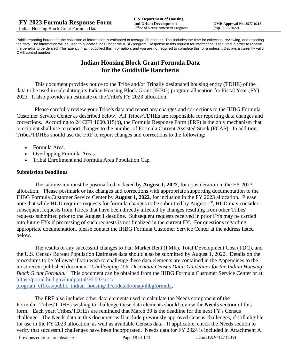Public reporting burden for the collection of information is estimated to average 30 minutes. This includes the time for collecting, reviewing, and reporting the data. The information will be used to allocate funds under the IHBG program. Response to this request for information is required in order to receive the benefits to be derived. This agency may not collect this information, and you are not required to complete this form unless it displays a currently valid OMB control number.

# **Indian Housing Block Grant Formula Data for the Guidiville Rancheria**

This document provides notice to the Tribe and/or Tribally designated housing entity (TDHE) of the data to be used in calculating its Indian Housing Block Grant (IHBG) program allocation for Fiscal Year (FY) 2023. It also provides an estimate of the Tribe's FY 2023 allocation.

Please carefully review your Tribe's data and report any changes and corrections to the IHBG Formula Customer Service Center as described below. All Tribes/TDHEs are responsible for reporting data changes and corrections. According to 24 CFR 1000.315(b), the Formula Response Form (FRF) is the only mechanism that a recipient shall use to report changes to the number of Formula Current Assisted Stock (FCAS). In addition, Tribes/TDHEs should use the FRF to report changes and corrections to the following:

- Formula Area.
- Overlapping Formula Areas.
- Tribal Enrollment and Formula Area Population Cap.

#### **Submission Deadlines**

The submission must be postmarked or faxed by **August 1, 2022**, for consideration in the FY 2023 allocation. Please postmark or fax changes and corrections with appropriate supporting documentation to the IHBG Formula Customer Service Center by **August 1, 2022**, for inclusion in the FY 2023 allocation. Please note that while HUD requires requests for formula changes to be submitted by August 1<sup>st</sup>, HUD may consider subsequent requests from Tribes that have been directly affected by changes resulting from other Tribes' requests submitted prior to the August 1 deadline. Subsequent requests received in prior FYs may be carried into future FYs if processing of such requests is not finalized in the current FY. For questions regarding appropriate documentation, please contact the IHBG Formula Customer Service Center at the address listed below.

The results of any successful changes to Fair Market Rent (FMR), Total Development Cost (TDC), and the U.S. Census Bureau Population Estimates data should also be submitted by August 1, 2022. Details on the procedures to be followed if you wish to challenge these data elements are contained in the Appendices to the most recent published document "*Challenging U.S. Decennial Census Data: Guidelines for the Indian Housing Block Grant Formula.*" This document can be obtained from the IHBG Formula Customer Service Center or at: [https://portal.hud.gov/hudportal/HUD?src=/](https://portal.hud.gov/hudportal/HUD?src=/program_offices/public_indian_housing/ih/codetalk/onap/ihbgformula) 

[program\\_offices/public\\_indian\\_housing/ih/codetalk/onap/ihbgformula.](https://portal.hud.gov/hudportal/HUD?src=/program_offices/public_indian_housing/ih/codetalk/onap/ihbgformula)

The FRF also includes other data elements used to calculate the Needs component of the Formula. Tribes/TDHEs wishing to challenge these data elements should review the **Needs section** of this form. Each year, Tribes/TDHEs are reminded that March 30 is the deadline for the next FY's Census challenge. The Needs data in this document will include previously approved Census challenges, if still eligible for use in the FY 2023 allocation, as well as available Census data. If applicable, check the Needs section to verify that successful challenges have been incorporated. Needs data for FY 2024 is included in Attachment A

Previous editions are obsolete Page 18 of 123 Form HUD-4117 (7/19)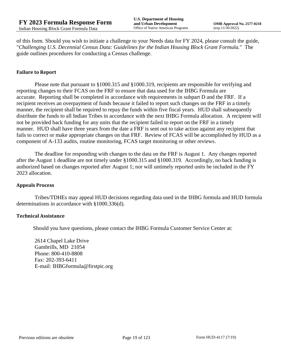of this form. Should you wish to initiate a challenge to your Needs data for FY 2024, please consult the guide, "*Challenging U.S. Decennial Census Data: Guidelines for the Indian Housing Block Grant Formula.*" The guide outlines procedures for conducting a Census challenge.

#### **Failure to Report**

Please note that pursuant to §1000.315 and §1000.319, recipients are responsible for verifying and reporting changes to their FCAS on the FRF to ensure that data used for the IHBG Formula are accurate. Reporting shall be completed in accordance with requirements in subpart D and the FRF. If a recipient receives an overpayment of funds because it failed to report such changes on the FRF in a timely manner, the recipient shall be required to repay the funds within five fiscal years. HUD shall subsequently distribute the funds to all Indian Tribes in accordance with the next IHBG Formula allocation. A recipient will not be provided back funding for any units that the recipient failed to report on the FRF in a timely manner. HUD shall have three years from the date a FRF is sent out to take action against any recipient that fails to correct or make appropriate changes on that FRF. Review of FCAS will be accomplished by HUD as a component of A-133 audits, routine monitoring, FCAS target monitoring or other reviews.

The deadline for responding with changes to the data on the FRF is August 1. Any changes reported after the August 1 deadline are not timely under §1000.315 and §1000.319. Accordingly, no back funding is authorized based on changes reported after August 1; nor will untimely reported units be included in the FY 2023 allocation.

#### **Appeals Process**

Tribes/TDHEs may appeal HUD decisions regarding data used in the IHBG formula and HUD formula determinations in accordance with §1000.336(d).

#### **Technical Assistance**

Should you have questions, please contact the IHBG Formula Customer Service Center at:

2614 Chapel Lake Drive Gambrills, MD 21054 Phone: 800-410-8808 Fax: 202-393-6411 E-mail: IHBGformula@firstpic.org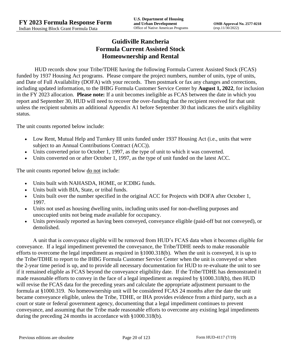# **Guidiville Rancheria Formula Current Assisted Stock Homeownership and Rental**

HUD records show your Tribe/TDHE having the following Formula Current Assisted Stock (FCAS) funded by 1937 Housing Act programs. Please compare the project numbers, number of units, type of units, and Date of Full Availability (DOFA) with your records. Then postmark or fax any changes and corrections, including updated information, to the IHBG Formula Customer Service Center by **August 1, 2022**, for inclusion in the FY 2023 allocation. **Please note:** If a unit becomes ineligible as FCAS between the date in which you report and September 30, HUD will need to recover the over-funding that the recipient received for that unit unless the recipient submits an additional Appendix A1 before September 30 that indicates the unit's eligibility status.

The unit counts reported below include:

- Low Rent, Mutual Help and Turnkey III units funded under 1937 Housing Act (i.e., units that were subject to an Annual Contributions Contract (ACC)).
- Units converted prior to October 1, 1997, as the type of unit to which it was converted.
- Units converted on or after October 1, 1997, as the type of unit funded on the latest ACC.

The unit counts reported below <u>do not</u> include:

- Units built with NAHASDA, HOME, or ICDBG funds.
- Units built with BIA, State, or tribal funds.
- Units built over the number specified in the original ACC for Projects with DOFA after October 1, 1997.
- Units not used as housing dwelling units, including units used for non-dwelling purposes and unoccupied units not being made available for occupancy.
- Units previously reported as having been conveyed, conveyance eligible (paid-off but not conveyed), or demolished.

A unit that is conveyance eligible will be removed from HUD's FCAS data when it becomes eligible for conveyance. If a legal impediment prevented the conveyance, the Tribe/TDHE needs to make reasonable efforts to overcome the legal impediment as required in §1000.318(b). When the unit is conveyed, it is up to the Tribe/TDHE to report to the IHBG Formula Customer Service Center when the unit is conveyed or when the 2-year time period is up, and to provide all necessary documentation for HUD to re-evaluate the unit to see if it remained eligible as FCAS beyond the conveyance eligibility date. If the Tribe/TDHE has demonstrated it made reasonable efforts to convey in the face of a legal impediment as required by §1000.318(b), then HUD will revise the FCAS data for the preceding years and calculate the appropriate adjustment pursuant to the formula at §1000.319. No homeownership unit will be considered FCAS 24 months after the date the unit became conveyance eligible, unless the Tribe, TDHE, or IHA provides evidence from a third party, such as a court or state or federal government agency, documenting that a legal impediment continues to prevent conveyance, and assuming that the Tribe made reasonable efforts to overcome any existing legal impediments during the preceding 24 months in accordance with §1000.318(b).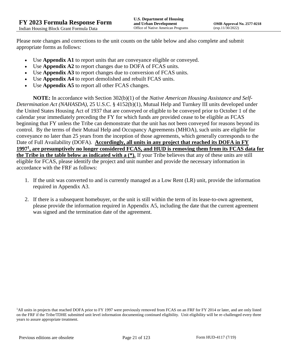Please note changes and corrections to the unit counts on the table below and also complete and submit appropriate forms as follows:

- Use **Appendix A1** to report units that are conveyance eligible or conveyed.
- Use **Appendix A2** to report changes due to DOFA of FCAS units.
- Use **Appendix A3** to report changes due to conversion of FCAS units.
- Use **Appendix A4** to report demolished and rebuilt FCAS units.
- Use **Appendix A5** to report all other FCAS changes.

**NOTE:** In accordance with Section 302(b)(1) of the *Native American Housing Assistance and Self-Determination Act (NAHASDA)*, 25 U.S.C. § 4152(b)(1), Mutual Help and Turnkey III units developed under the United States Housing Act of 1937 that are conveyed or eligible to be conveyed prior to October 1 of the calendar year immediately preceding the FY for which funds are provided cease to be eligible as FCAS beginning that FY unless the Tribe can demonstrate that the unit has not been conveyed for reasons beyond its control. By the terms of their Mutual Help and Occupancy Agreements (MHOA), such units are eligible for conveyance no later than 25 years from the inception of those agreements, which generally corresponds to the Date of Full Availability (DOFA). **Accordingly, all units in any project that reached its DOFA in FY 1997<sup>1</sup> , are presumptively no longer considered FCAS, and HUD is removing them from its FCAS data for the Tribe in the table below as indicated with a (\*).** If your Tribe believes that any of these units are still eligible for FCAS, please identify the project and unit number and provide the necessary information in accordance with the FRF as follows:

- 1. If the unit was converted to and is currently managed as a Low Rent (LR) unit, provide the information required in Appendix A3.
- 2. If there is a subsequent homebuyer, or the unit is still within the term of its lease-to-own agreement, please provide the information required in Appendix A5, including the date that the current agreement was signed and the termination date of the agreement.

<sup>1</sup>All units in projects that reached DOFA prior to FY 1997 were previously removed from FCAS on an FRF for FY 2014 or later, and are only listed on the FRF if the Tribe/TDHE submitted unit level information documenting continued eligibility. Unit eligibility will be re-challenged every three years to assure appropriate treatment.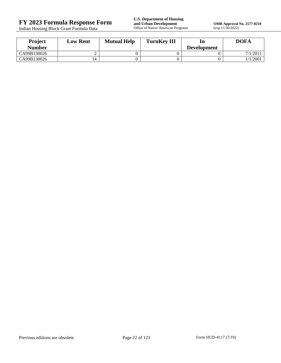Indian Housing Block Grant Formula Data

**FY 2023 Formula Response Form**<br> **FY 2023 Formula Response Form**<br> **Indian Housing Block Grant Formula Data**<br> **Office of Native American Programs** 

**OMB Approval No. 2577-0218**<br>(exp.11/30/2022)

| <b>Project</b><br>Number | <b>Low Rent</b> | <b>Mutual Help</b> | <b>TurnKey III</b> | ln                 | <b>DOFA</b> |
|--------------------------|-----------------|--------------------|--------------------|--------------------|-------------|
| CA99B130026              |                 |                    |                    | <b>Development</b> | 7/1/201     |
| CA99B130026              |                 |                    |                    |                    | 1/1/2001    |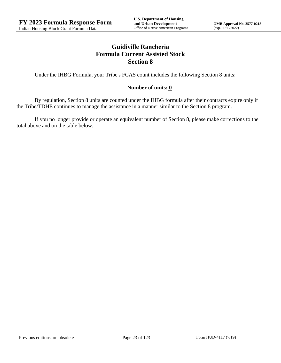# **Guidiville Rancheria Formula Current Assisted Stock Section 8**

Under the IHBG Formula, your Tribe's FCAS count includes the following Section 8 units:

## **Number of units: 0**

By regulation, Section 8 units are counted under the IHBG formula after their contracts expire only if the Tribe/TDHE continues to manage the assistance in a manner similar to the Section 8 program.

If you no longer provide or operate an equivalent number of Section 8, please make corrections to the total above and on the table below.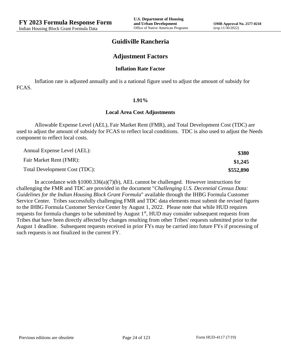## **Guidiville Rancheria**

## **Adjustment Factors**

#### **Inflation Rate Factor**

Inflation rate is adjusted annually and is a national figure used to adjust the amount of subsidy for FCAS.

#### **1.91%**

#### **Local Area Cost Adjustments**

Allowable Expense Level (AEL), Fair Market Rent (FMR), and Total Development Cost (TDC) are used to adjust the amount of subsidy for FCAS to reflect local conditions. TDC is also used to adjust the Needs component to reflect local costs.

| Annual Expense Level (AEL):   | \$380     |
|-------------------------------|-----------|
| Fair Market Rent (FMR):       | \$1,245   |
| Total Development Cost (TDC): | \$552,890 |

In accordance with §1000.336(a)(7)(b), AEL cannot be challenged. However instructions for challenging the FMR and TDC are provided in the document "*Challenging U.S. Decennial Census Data: Guidelines for the Indian Housing Block Grant Formula*" available through the IHBG Formula Customer Service Center. Tribes successfully challenging FMR and TDC data elements must submit the revised figures to the IHBG Formula Customer Service Center by August 1, 2022. Please note that while HUD requires requests for formula changes to be submitted by August 1<sup>st</sup>, HUD may consider subsequent requests from Tribes that have been directly affected by changes resulting from other Tribes' requests submitted prior to the August 1 deadline. Subsequent requests received in prior FYs may be carried into future FYs if processing of such requests is not finalized in the current FY.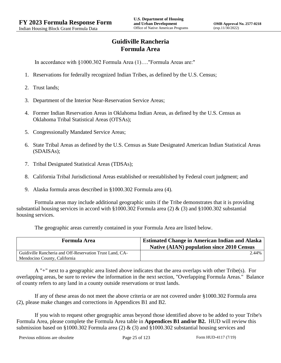# **Guidiville Rancheria Formula Area**

In accordance with §1000.302 Formula Area (1)…."Formula Areas are:"

- 1. Reservations for federally recognized Indian Tribes, as defined by the U.S. Census;
- 2. Trust lands;
- 3. Department of the Interior Near-Reservation Service Areas;
- 4. Former Indian Reservation Areas in Oklahoma Indian Areas, as defined by the U.S. Census as Oklahoma Tribal Statistical Areas (OTSAs);
- 5. Congressionally Mandated Service Areas;
- 6. State Tribal Areas as defined by the U.S. Census as State Designated American Indian Statistical Areas (SDAISAs);
- 7. Tribal Designated Statistical Areas (TDSAs);
- 8. California Tribal Jurisdictional Areas established or reestablished by Federal court judgment; and
- 9. Alaska formula areas described in §1000.302 Formula area (4).

Formula areas may include additional geographic units if the Tribe demonstrates that it is providing substantial housing services in accord with §1000.302 Formula area (2) & (3) and §1000.302 substantial housing services.

The geographic areas currently contained in your Formula Area are listed below.

| <b>Formula Area</b>                                                                      | <b>Estimated Change in American Indian and Alaska</b><br><b>Native (AIAN) population since 2010 Census</b> |
|------------------------------------------------------------------------------------------|------------------------------------------------------------------------------------------------------------|
| Guidiville Rancheria and Off-Reservation Trust Land, CA-<br>Mendocino County, California | 2.44%                                                                                                      |

A "+" next to a geographic area listed above indicates that the area overlaps with other Tribe(s). For overlapping areas, be sure to review the information in the next section, "Overlapping Formula Areas." Balance of county refers to any land in a county outside reservations or trust lands.

If any of these areas do not meet the above criteria or are not covered under §1000.302 Formula area (2), please make changes and corrections in Appendices B1 and B2.

If you wish to request other geographic areas beyond those identified above to be added to your Tribe's Formula Area, please complete the Formula Area table in **Appendices B1 and/or B2.** HUD will review this submission based on §1000.302 Formula area (2)  $\&$  (3) and §1000.302 substantial housing services and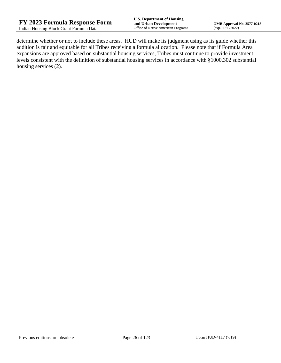determine whether or not to include these areas. HUD will make its judgment using as its guide whether this addition is fair and equitable for all Tribes receiving a formula allocation. Please note that if Formula Area expansions are approved based on substantial housing services, Tribes must continue to provide investment levels consistent with the definition of substantial housing services in accordance with §1000.302 substantial housing services (2).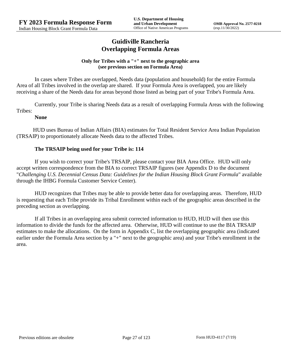## **Guidiville Rancheria Overlapping Formula Areas**

#### **Only for Tribes with a "+" next to the geographic area (see previous section on Formula Area)**

In cases where Tribes are overlapped, Needs data (population and household) for the entire Formula Area of all Tribes involved in the overlap are shared. If your Formula Area is overlapped, you are likely receiving a share of the Needs data for areas beyond those listed as being part of your Tribe's Formula Area.

Currently, your Tribe is sharing Needs data as a result of overlapping Formula Areas with the following Tribes:

### **None**

HUD uses Bureau of Indian Affairs (BIA) estimates for Total Resident Service Area Indian Population (TRSAIP) to proportionately allocate Needs data to the affected Tribes.

## **The TRSAIP being used for your Tribe is: 114**

If you wish to correct your Tribe's TRSAIP, please contact your BIA Area Office. HUD will only accept written correspondence from the BIA to correct TRSAIP figures (see Appendix D to the document "*Challenging U.S. Decennial Census Data: Guidelines for the Indian Housing Block Grant Formula*" available through the IHBG Formula Customer Service Center).

HUD recognizes that Tribes may be able to provide better data for overlapping areas. Therefore, HUD is requesting that each Tribe provide its Tribal Enrollment within each of the geographic areas described in the preceding section as overlapping.

If all Tribes in an overlapping area submit corrected information to HUD, HUD will then use this information to divide the funds for the affected area. Otherwise, HUD will continue to use the BIA TRSAIP estimates to make the allocations. On the form in Appendix C, list the overlapping geographic area (indicated earlier under the Formula Area section by a "+" next to the geographic area) and your Tribe's enrollment in the area.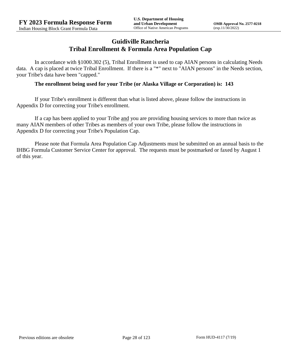## **Guidiville Rancheria Tribal Enrollment & Formula Area Population Cap**

In accordance with §1000.302 (5), Tribal Enrollment is used to cap AIAN persons in calculating Needs data. A cap is placed at twice Tribal Enrollment. If there is a "\*" next to "AIAN persons" in the Needs section, your Tribe's data have been "capped."

#### **The enrollment being used for your Tribe (or Alaska Village or Corporation) is: 143**

If your Tribe's enrollment is different than what is listed above, please follow the instructions in Appendix D for correcting your Tribe's enrollment.

If a cap has been applied to your Tribe and you are providing housing services to more than twice as many AIAN members of other Tribes as members of your own Tribe, please follow the instructions in Appendix D for correcting your Tribe's Population Cap.

Please note that Formula Area Population Cap Adjustments must be submitted on an annual basis to the IHBG Formula Customer Service Center for approval. The requests must be postmarked or faxed by August 1 of this year.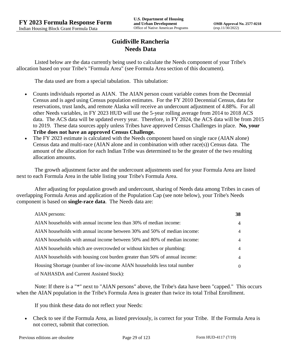# **Guidiville Rancheria Needs Data**

Listed below are the data currently being used to calculate the Needs component of your Tribe's allocation based on your Tribe's "Formula Area" (see Formula Area section of this document).

The data used are from a special tabulation. This tabulation:

- Counts individuals reported as AIAN. The AIAN person count variable comes from the Decennial Census and is aged using Census population estimates. For the FY 2010 Decennial Census, data for reservations, trust lands, and remote Alaska will receive an undercount adjustment of 4.88%. For all other Needs variables, in FY 2023 HUD will use the 5-year rolling average from 2014 to 2018 ACS data. The ACS data will be updated every year. Therefore, in FY 2024, the ACS data will be from 2015 to 2019. These data sources apply unless Tribes have approved Census Challenges in place. **No, your Tribe does not have an approved Census Challenge.**
- The FY 2023 estimate is calculated with the Needs component based on single race (AIAN alone) Census data and multi-race (AIAN alone and in combination with other race(s)) Census data. The amount of the allocation for each Indian Tribe was determined to be the greater of the two resulting allocation amounts.

The growth adjustment factor and the undercount adjustments used for your Formula Area are listed next to each Formula Area in the table listing your Tribe's Formula Area.

After adjusting for population growth and undercount, sharing of Needs data among Tribes in cases of overlapping Formula Areas and application of the Population Cap (see note below), your Tribe's Needs component is based on **single-race data**. The Needs data are:

| AIAN persons:                                                               | 38             |
|-----------------------------------------------------------------------------|----------------|
| AIAN households with annual income less than 30% of median income:          | $\overline{4}$ |
| AIAN households with annual income between 30% and 50% of median income:    | 4              |
| AIAN households with annual income between 50% and 80% of median income:    | 4              |
| AIAN households which are overcrowded or without kitchen or plumbing:       | 4              |
| AIAN households with housing cost burden greater than 50% of annual income: | 4              |
| Housing Shortage (number of low-income AIAN households less total number    | $\Omega$       |
| of NAHASDA and Current Assisted Stock):                                     |                |

Note: If there is a "\*" next to "AIAN persons" above, the Tribe's data have been "capped." This occurs when the AIAN population in the Tribe's Formula Area is greater than twice its total Tribal Enrollment.

If you think these data do not reflect your Needs:

 Check to see if the Formula Area, as listed previously, is correct for your Tribe. If the Formula Area is not correct, submit that correction.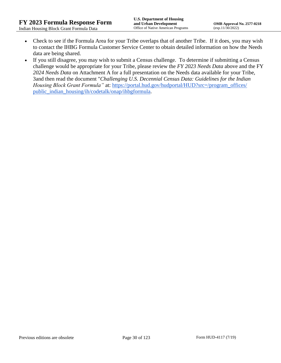- Check to see if the Formula Area for your Tribe overlaps that of another Tribe. If it does, you may wish to contact the IHBG Formula Customer Service Center to obtain detailed information on how the Needs data are being shared.
- If you still disagree, you may wish to submit a Census challenge. To determine if submitting a Census challenge would be appropriate for your Tribe, please review the *FY 2023 Needs Data* above and the FY *2024 Needs Data* on Attachment A for a full presentation on the Needs data available for your Tribe, 3and then read the document "*Challenging U.S. Decennial Census Data: Guidelines for the Indian Housing Block Grant Formula*" at: https://portal.hud.gov/hudportal/HUD?src=/program\_offices/ [public\\_indian\\_housing/ih/codetalk/onap/ihbgformula.](https://portal.hud.gov/hudportal/HUD?src=/program_offices/public_indian_housing/ih/codetalk/onap/ihbgformula)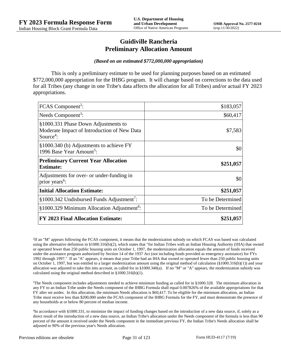## **Guidiville Rancheria Preliminary Allocation Amount**

#### *(Based on an estimated \$772,000,000 appropriation)*

This is only a preliminary estimate to be used for planning purposes based on an estimated \$772,000,000 appropriation for the IHBG program. It will change based on corrections to the data used for all Tribes (any change in one Tribe's data affects the allocation for all Tribes) and/or actual FY 2023 appropriations.

| FCAS Component <sup>2</sup> :                                                                               | \$183,057        |
|-------------------------------------------------------------------------------------------------------------|------------------|
| Needs Component <sup>3</sup> :                                                                              | \$60,417         |
| §1000.331 Phase Down Adjustments to<br>Moderate Impact of Introduction of New Data<br>Source <sup>4</sup> : | \$7,583          |
| §1000.340 (b) Adjustments to achieve FY<br>1996 Base Year Amount <sup>5</sup> :                             | \$0              |
| <b>Preliminary Current Year Allocation</b><br><b>Estimate:</b>                                              | \$251,057        |
| Adjustments for over- or under-funding in<br>prior years <sup>6</sup> :                                     | \$0              |
| <b>Initial Allocation Estimate:</b>                                                                         | \$251,057        |
| §1000.342 Undisbursed Funds Adjustment <sup>7</sup> :                                                       | To be Determined |
| §1000.329 Minimum Allocation Adjustment <sup>8</sup> :                                                      | To be Determined |
| <b>FY 2023 Final Allocation Estimate:</b>                                                                   | \$251,057        |

2 If an "M" appears following the FCAS component, it means that the modernization subsidy on which FCAS was based was calculated using the alternative definition in §1000.316(b)(2), which states that "for Indian Tribes with an Indian Housing Authority (IHA) that owned or operated fewer than 250 public housing units on October 1, 1997, the modernization allocation equals the amount of funds received under the assistance program authorized by Section 14 of the 1937 Act (not including funds provided as emergency assistance) for FYs 1992 through 1997." If an "A" appears, it means that your Tribe had an IHA that owned or operated fewer than 250 public housing units on October 1, 1997, but was entitled to a larger modernization amount using the original method of calculation (§1000.316(b)(1)) and your allocation was adjusted to take this into account, as called for in  $\S1000.340(a)$ . If no "M" or "A" appears, the modernization subsidy was calculated using the original method described in §1000.316(b)(1).

 $3$ The Needs component includes adjustments needed to achieve minimum funding as called for in §1000.328. The minimum allocation in any FY to an Indian Tribe under the Needs component of the IHBG Formula shall equal 0.007826% of the available appropriations for that FY after set asides. In this allocation, the minimum Needs allocation is \$60,417. To be eligible for the minimum allocation, an Indian Tribe must receive less than \$200,000 under the FCAS component of the IHBG Formula for the FY, and must demonstrate the presence of any households at or below 80 percent of median income.

4 In accordance with §1000.331, to minimize the impact of funding changes based on the introduction of a new data source, if, solely as a direct result of the introduction of a new data source, an Indian Tribe's allocation under the Needs component of the formula is less than 90 percent of the amount it received under the Needs component in the immediate previous FY, the Indian Tribe's Needs allocation shall be adjusted to 90% of the previous year's Needs allocation.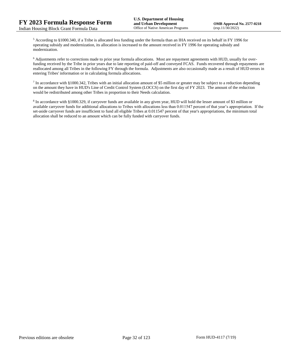<sup>5</sup> According to §1000.340, if a Tribe is allocated less funding under the formula than an IHA received on its behalf in FY 1996 for operating subsidy and modernization, its allocation is increased to the amount received in FY 1996 for operating subsidy and modernization.

<sup>6</sup> Adjustments refer to corrections made to prior year formula allocations. Most are repayment agreements with HUD, usually for overfunding received by the Tribe in prior years due to late reporting of paid-off and conveyed FCAS. Funds recovered through repayments are reallocated among all Tribes in the following FY through the formula. Adjustments are also occasionally made as a result of HUD errors in entering Tribes' information or in calculating formula allocations.

 $^7$  In accordance with §1000.342, Tribes with an initial allocation amount of \$5 million or greater may be subject to a reduction depending on the amount they have in HUD's Line of Credit Control System (LOCCS) on the first day of FY 2023. The amount of the reduction would be redistributed among other Tribes in proportion to their Needs calculation.

<sup>8</sup> In accordance with §1000.329, if carryover funds are available in any given year, HUD will hold the lesser amount of \$3 million or available carryover funds for additional allocations to Tribes with allocations less than 0.011547 percent of that year's appropriation. If the set-aside carryover funds are insufficient to fund all eligible Tribes at 0.011547 percent of that year's appropriations, the minimum total allocation shall be reduced to an amount which can be fully funded with carryover funds.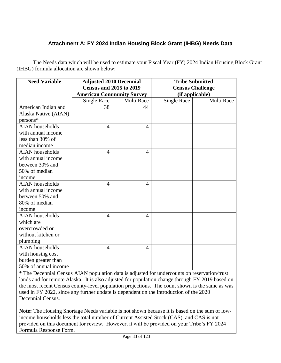# **Attachment A: FY 2024 Indian Housing Block Grant (IHBG) Needs Data**

The Needs data which will be used to estimate your Fiscal Year (FY) 2024 Indian Housing Block Grant (IHBG) formula allocation are shown below:

| <b>Need Variable</b>   | <b>Adjusted 2010 Decennial</b>   |                | <b>Tribe Submitted</b>  |            |
|------------------------|----------------------------------|----------------|-------------------------|------------|
|                        | <b>Census and 2015 to 2019</b>   |                | <b>Census Challenge</b> |            |
|                        | <b>American Community Survey</b> |                | (if applicable)         |            |
|                        | <b>Single Race</b>               | Multi Race     | <b>Single Race</b>      | Multi Race |
| American Indian and    | 38                               | 44             |                         |            |
| Alaska Native (AIAN)   |                                  |                |                         |            |
| persons*               |                                  |                |                         |            |
| <b>AIAN</b> households | $\overline{4}$                   | $\overline{A}$ |                         |            |
| with annual income     |                                  |                |                         |            |
| less than 30% of       |                                  |                |                         |            |
| median income          |                                  |                |                         |            |
| <b>AIAN</b> households | 4                                | $\overline{4}$ |                         |            |
| with annual income     |                                  |                |                         |            |
| between 30% and        |                                  |                |                         |            |
| 50% of median          |                                  |                |                         |            |
| income                 |                                  |                |                         |            |
| <b>AIAN</b> households | 4                                | $\overline{A}$ |                         |            |
| with annual income     |                                  |                |                         |            |
| between 50% and        |                                  |                |                         |            |
| 80% of median          |                                  |                |                         |            |
| income                 |                                  |                |                         |            |
| <b>AIAN</b> households | 4                                | $\overline{A}$ |                         |            |
| which are              |                                  |                |                         |            |
| overcrowded or         |                                  |                |                         |            |
| without kitchen or     |                                  |                |                         |            |
| plumbing               |                                  |                |                         |            |
| <b>AIAN</b> households | 4                                | $\overline{4}$ |                         |            |
| with housing cost      |                                  |                |                         |            |
| burden greater than    |                                  |                |                         |            |
| 50% of annual income   |                                  |                |                         |            |

\* The Decennial Census AIAN population data is adjusted for undercounts on reservation/trust lands and for remote Alaska. It is also adjusted for population change through FY 2019 based on the most recent Census county-level population projections. The count shown is the same as was used in FY 2022, since any further update is dependent on the introduction of the 2020 Decennial Census.

**Note:** The Housing Shortage Needs variable is not shown because it is based on the sum of lowincome households less the total number of Current Assisted Stock (CAS), and CAS is not provided on this document for review. However, it will be provided on your Tribe's FY 2024 Formula Response Form.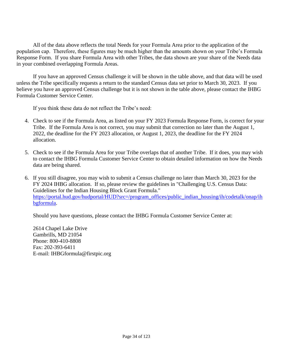All of the data above reflects the total Needs for your Formula Area prior to the application of the population cap. Therefore, these figures may be much higher than the amounts shown on your Tribe's Formula Response Form. If you share Formula Area with other Tribes, the data shown are your share of the Needs data in your combined overlapping Formula Areas.

If you have an approved Census challenge it will be shown in the table above, and that data will be used unless the Tribe specifically requests a return to the standard Census data set prior to March 30, 2023. If you believe you have an approved Census challenge but it is not shown in the table above, please contact the IHBG Formula Customer Service Center.

If you think these data do not reflect the Tribe's need:

- 4. Check to see if the Formula Area, as listed on your FY 2023 Formula Response Form, is correct for your Tribe. If the Formula Area is not correct, you may submit that correction no later than the August 1, 2022, the deadline for the FY 2023 allocation, or August 1, 2023, the deadline for the FY 2024 allocation.
- 5. Check to see if the Formula Area for your Tribe overlaps that of another Tribe. If it does, you may wish to contact the IHBG Formula Customer Service Center to obtain detailed information on how the Needs data are being shared.
- 6. If you still disagree, you may wish to submit a Census challenge no later than March 30, 2023 for the FY 2024 IHBG allocation. If so, please review the guidelines in "Challenging U.S. Census Data: Guidelines for the Indian Housing Block Grant Formula." [https://portal.hud.gov/hudportal/HUD?src=/program\\_offices/public\\_indian\\_housing/ih/codetalk/onap/ih](https://portal.hud.gov/hudportal/HUD?src=/program_offices/public_indian_housing/ih/codetalk/onap/ihbgformula) [bgformula.](https://portal.hud.gov/hudportal/HUD?src=/program_offices/public_indian_housing/ih/codetalk/onap/ihbgformula)

Should you have questions, please contact the IHBG Formula Customer Service Center at:

2614 Chapel Lake Drive Gambrills, MD 21054 Phone: 800-410-8808 Fax: 202-393-6411 E-mail: IHBGformula@firstpic.org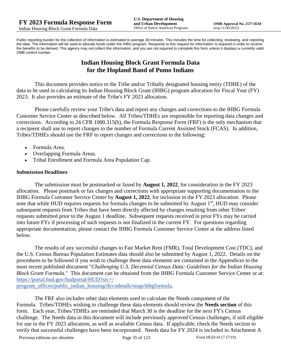Public reporting burden for the collection of information is estimated to average 30 minutes. This includes the time for collecting, reviewing, and reporting the data. The information will be used to allocate funds under the IHBG program. Response to this request for information is required in order to receive the benefits to be derived. This agency may not collect this information, and you are not required to complete this form unless it displays a currently valid OMB control number.

# **Indian Housing Block Grant Formula Data for the Hopland Band of Pomo Indians**

This document provides notice to the Tribe and/or Tribally designated housing entity (TDHE) of the data to be used in calculating its Indian Housing Block Grant (IHBG) program allocation for Fiscal Year (FY) 2023. It also provides an estimate of the Tribe's FY 2023 allocation.

Please carefully review your Tribe's data and report any changes and corrections to the IHBG Formula Customer Service Center as described below. All Tribes/TDHEs are responsible for reporting data changes and corrections. According to 24 CFR 1000.315(b), the Formula Response Form (FRF) is the only mechanism that a recipient shall use to report changes to the number of Formula Current Assisted Stock (FCAS). In addition, Tribes/TDHEs should use the FRF to report changes and corrections to the following:

- Formula Area.
- Overlapping Formula Areas.
- Tribal Enrollment and Formula Area Population Cap.

#### **Submission Deadlines**

The submission must be postmarked or faxed by **August 1, 2022**, for consideration in the FY 2023 allocation. Please postmark or fax changes and corrections with appropriate supporting documentation to the IHBG Formula Customer Service Center by **August 1, 2022**, for inclusion in the FY 2023 allocation. Please note that while HUD requires requests for formula changes to be submitted by August 1<sup>st</sup>, HUD may consider subsequent requests from Tribes that have been directly affected by changes resulting from other Tribes' requests submitted prior to the August 1 deadline. Subsequent requests received in prior FYs may be carried into future FYs if processing of such requests is not finalized in the current FY. For questions regarding appropriate documentation, please contact the IHBG Formula Customer Service Center at the address listed below.

The results of any successful changes to Fair Market Rent (FMR), Total Development Cost (TDC), and the U.S. Census Bureau Population Estimates data should also be submitted by August 1, 2022. Details on the procedures to be followed if you wish to challenge these data elements are contained in the Appendices to the most recent published document "*Challenging U.S. Decennial Census Data: Guidelines for the Indian Housing Block Grant Formula.*" This document can be obtained from the IHBG Formula Customer Service Center or at: [https://portal.hud.gov/hudportal/HUD?src=/](https://portal.hud.gov/hudportal/HUD?src=/program_offices/public_indian_housing/ih/codetalk/onap/ihbgformula) 

[program\\_offices/public\\_indian\\_housing/ih/codetalk/onap/ihbgformula.](https://portal.hud.gov/hudportal/HUD?src=/program_offices/public_indian_housing/ih/codetalk/onap/ihbgformula)

The FRF also includes other data elements used to calculate the Needs component of the Formula. Tribes/TDHEs wishing to challenge these data elements should review the **Needs section** of this form. Each year, Tribes/TDHEs are reminded that March 30 is the deadline for the next FY's Census challenge. The Needs data in this document will include previously approved Census challenges, if still eligible for use in the FY 2023 allocation, as well as available Census data. If applicable, check the Needs section to verify that successful challenges have been incorporated. Needs data for FY 2024 is included in Attachment A

Previous editions are obsolete Page 35 of 123 Form HUD-4117 (7/19)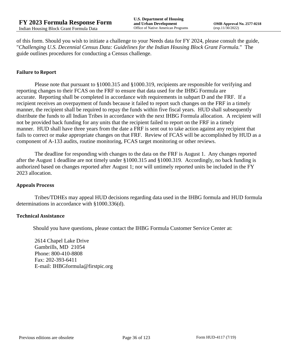of this form. Should you wish to initiate a challenge to your Needs data for FY 2024, please consult the guide, "*Challenging U.S. Decennial Census Data: Guidelines for the Indian Housing Block Grant Formula.*" The guide outlines procedures for conducting a Census challenge.

## **Failure to Report**

Please note that pursuant to §1000.315 and §1000.319, recipients are responsible for verifying and reporting changes to their FCAS on the FRF to ensure that data used for the IHBG Formula are accurate. Reporting shall be completed in accordance with requirements in subpart D and the FRF. If a recipient receives an overpayment of funds because it failed to report such changes on the FRF in a timely manner, the recipient shall be required to repay the funds within five fiscal years. HUD shall subsequently distribute the funds to all Indian Tribes in accordance with the next IHBG Formula allocation. A recipient will not be provided back funding for any units that the recipient failed to report on the FRF in a timely manner. HUD shall have three years from the date a FRF is sent out to take action against any recipient that fails to correct or make appropriate changes on that FRF. Review of FCAS will be accomplished by HUD as a component of A-133 audits, routine monitoring, FCAS target monitoring or other reviews.

The deadline for responding with changes to the data on the FRF is August 1. Any changes reported after the August 1 deadline are not timely under §1000.315 and §1000.319. Accordingly, no back funding is authorized based on changes reported after August 1; nor will untimely reported units be included in the FY 2023 allocation.

#### **Appeals Process**

Tribes/TDHEs may appeal HUD decisions regarding data used in the IHBG formula and HUD formula determinations in accordance with §1000.336(d).

#### **Technical Assistance**

Should you have questions, please contact the IHBG Formula Customer Service Center at:

2614 Chapel Lake Drive Gambrills, MD 21054 Phone: 800-410-8808 Fax: 202-393-6411 E-mail: IHBGformula@firstpic.org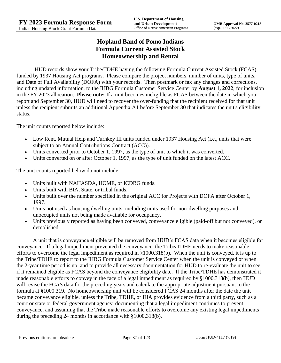# **Hopland Band of Pomo Indians Formula Current Assisted Stock Homeownership and Rental**

HUD records show your Tribe/TDHE having the following Formula Current Assisted Stock (FCAS) funded by 1937 Housing Act programs. Please compare the project numbers, number of units, type of units, and Date of Full Availability (DOFA) with your records. Then postmark or fax any changes and corrections, including updated information, to the IHBG Formula Customer Service Center by **August 1, 2022**, for inclusion in the FY 2023 allocation. **Please note:** If a unit becomes ineligible as FCAS between the date in which you report and September 30, HUD will need to recover the over-funding that the recipient received for that unit unless the recipient submits an additional Appendix A1 before September 30 that indicates the unit's eligibility status.

The unit counts reported below include:

- Low Rent, Mutual Help and Turnkey III units funded under 1937 Housing Act (i.e., units that were subject to an Annual Contributions Contract (ACC)).
- Units converted prior to October 1, 1997, as the type of unit to which it was converted.
- Units converted on or after October 1, 1997, as the type of unit funded on the latest ACC.

The unit counts reported below <u>do not</u> include:

- Units built with NAHASDA, HOME, or ICDBG funds.
- Units built with BIA, State, or tribal funds.
- Units built over the number specified in the original ACC for Projects with DOFA after October 1, 1997.
- Units not used as housing dwelling units, including units used for non-dwelling purposes and unoccupied units not being made available for occupancy.
- Units previously reported as having been conveyed, conveyance eligible (paid-off but not conveyed), or demolished.

A unit that is conveyance eligible will be removed from HUD's FCAS data when it becomes eligible for conveyance. If a legal impediment prevented the conveyance, the Tribe/TDHE needs to make reasonable efforts to overcome the legal impediment as required in §1000.318(b). When the unit is conveyed, it is up to the Tribe/TDHE to report to the IHBG Formula Customer Service Center when the unit is conveyed or when the 2-year time period is up, and to provide all necessary documentation for HUD to re-evaluate the unit to see if it remained eligible as FCAS beyond the conveyance eligibility date. If the Tribe/TDHE has demonstrated it made reasonable efforts to convey in the face of a legal impediment as required by §1000.318(b), then HUD will revise the FCAS data for the preceding years and calculate the appropriate adjustment pursuant to the formula at §1000.319. No homeownership unit will be considered FCAS 24 months after the date the unit became conveyance eligible, unless the Tribe, TDHE, or IHA provides evidence from a third party, such as a court or state or federal government agency, documenting that a legal impediment continues to prevent conveyance, and assuming that the Tribe made reasonable efforts to overcome any existing legal impediments during the preceding 24 months in accordance with §1000.318(b).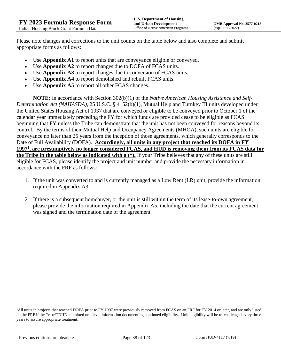Please note changes and corrections to the unit counts on the table below and also complete and submit appropriate forms as follows:

- Use **Appendix A1** to report units that are conveyance eligible or conveyed.
- Use **Appendix A2** to report changes due to DOFA of FCAS units.
- Use **Appendix A3** to report changes due to conversion of FCAS units.
- Use **Appendix A4** to report demolished and rebuilt FCAS units.
- Use **Appendix A5** to report all other FCAS changes.

**NOTE:** In accordance with Section 302(b)(1) of the *Native American Housing Assistance and Self-Determination Act (NAHASDA)*, 25 U.S.C. § 4152(b)(1), Mutual Help and Turnkey III units developed under the United States Housing Act of 1937 that are conveyed or eligible to be conveyed prior to October 1 of the calendar year immediately preceding the FY for which funds are provided cease to be eligible as FCAS beginning that FY unless the Tribe can demonstrate that the unit has not been conveyed for reasons beyond its control. By the terms of their Mutual Help and Occupancy Agreements (MHOA), such units are eligible for conveyance no later than 25 years from the inception of those agreements, which generally corresponds to the Date of Full Availability (DOFA). **Accordingly, all units in any project that reached its DOFA in FY 1997<sup>1</sup> , are presumptively no longer considered FCAS, and HUD is removing them from its FCAS data for the Tribe in the table below as indicated with a (\*).** If your Tribe believes that any of these units are still eligible for FCAS, please identify the project and unit number and provide the necessary information in accordance with the FRF as follows:

- 1. If the unit was converted to and is currently managed as a Low Rent (LR) unit, provide the information required in Appendix A3.
- 2. If there is a subsequent homebuyer, or the unit is still within the term of its lease-to-own agreement, please provide the information required in Appendix A5, including the date that the current agreement was signed and the termination date of the agreement.

<sup>1</sup>All units in projects that reached DOFA prior to FY 1997 were previously removed from FCAS on an FRF for FY 2014 or later, and are only listed on the FRF if the Tribe/TDHE submitted unit level information documenting continued eligibility. Unit eligibility will be re-challenged every three years to assure appropriate treatment.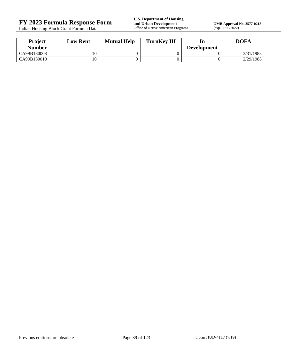Indian Housing Block Grant Formula Data

**FY 2023 Formula Response Form**<br> **FY 2023 Formula Response Form**<br> **Indian Housing Block Grant Formula Data**<br> **Office of Native American Programs** 

**OMB Approval No. 2577-0218**<br>(exp.11/30/2022)

| Project       | <b>Low Rent</b> | <b>Mutual Help</b> | <b>TurnKey III</b> | ln                 | <b>DOFA</b> |
|---------------|-----------------|--------------------|--------------------|--------------------|-------------|
| <b>Number</b> |                 |                    |                    | <b>Development</b> |             |
| CA99B130008   |                 |                    |                    |                    | 3/31/1988   |
| CA99B130010   |                 |                    |                    |                    | 2/29/1988   |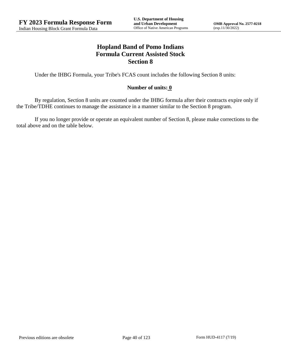# **Hopland Band of Pomo Indians Formula Current Assisted Stock Section 8**

Under the IHBG Formula, your Tribe's FCAS count includes the following Section 8 units:

## **Number of units: 0**

By regulation, Section 8 units are counted under the IHBG formula after their contracts expire only if the Tribe/TDHE continues to manage the assistance in a manner similar to the Section 8 program.

If you no longer provide or operate an equivalent number of Section 8, please make corrections to the total above and on the table below.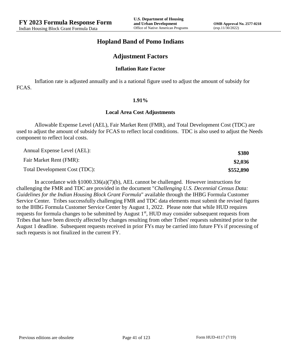## **Hopland Band of Pomo Indians**

## **Adjustment Factors**

#### **Inflation Rate Factor**

Inflation rate is adjusted annually and is a national figure used to adjust the amount of subsidy for FCAS.

#### **1.91%**

#### **Local Area Cost Adjustments**

Allowable Expense Level (AEL), Fair Market Rent (FMR), and Total Development Cost (TDC) are used to adjust the amount of subsidy for FCAS to reflect local conditions. TDC is also used to adjust the Needs component to reflect local costs.

| Annual Expense Level (AEL):   | \$380     |
|-------------------------------|-----------|
| Fair Market Rent (FMR):       | \$2,036   |
| Total Development Cost (TDC): | \$552,890 |

In accordance with §1000.336(a)(7)(b), AEL cannot be challenged. However instructions for challenging the FMR and TDC are provided in the document "*Challenging U.S. Decennial Census Data: Guidelines for the Indian Housing Block Grant Formula*" available through the IHBG Formula Customer Service Center. Tribes successfully challenging FMR and TDC data elements must submit the revised figures to the IHBG Formula Customer Service Center by August 1, 2022. Please note that while HUD requires requests for formula changes to be submitted by August 1<sup>st</sup>, HUD may consider subsequent requests from Tribes that have been directly affected by changes resulting from other Tribes' requests submitted prior to the August 1 deadline. Subsequent requests received in prior FYs may be carried into future FYs if processing of such requests is not finalized in the current FY.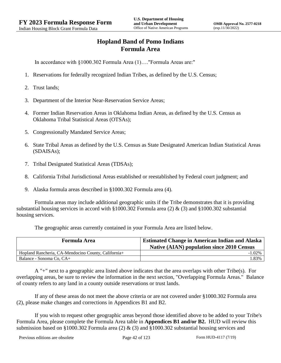# **Hopland Band of Pomo Indians Formula Area**

In accordance with §1000.302 Formula Area (1)…."Formula Areas are:"

- 1. Reservations for federally recognized Indian Tribes, as defined by the U.S. Census;
- 2. Trust lands;
- 3. Department of the Interior Near-Reservation Service Areas;
- 4. Former Indian Reservation Areas in Oklahoma Indian Areas, as defined by the U.S. Census as Oklahoma Tribal Statistical Areas (OTSAs);
- 5. Congressionally Mandated Service Areas;
- 6. State Tribal Areas as defined by the U.S. Census as State Designated American Indian Statistical Areas (SDAISAs);
- 7. Tribal Designated Statistical Areas (TDSAs);
- 8. California Tribal Jurisdictional Areas established or reestablished by Federal court judgment; and
- 9. Alaska formula areas described in §1000.302 Formula area (4).

Formula areas may include additional geographic units if the Tribe demonstrates that it is providing substantial housing services in accord with §1000.302 Formula area (2) & (3) and §1000.302 substantial housing services.

The geographic areas currently contained in your Formula Area are listed below.

| <b>Formula Area</b>                                 | <b>Estimated Change in American Indian and Alaska</b><br><b>Native (AIAN) population since 2010 Census</b> |
|-----------------------------------------------------|------------------------------------------------------------------------------------------------------------|
| Hopland Rancheria, CA-Mendocino County, California+ | $-1.02\%$                                                                                                  |
| Balance - Sonoma Co, CA+                            | .33%                                                                                                       |

A "+" next to a geographic area listed above indicates that the area overlaps with other Tribe(s). For overlapping areas, be sure to review the information in the next section, "Overlapping Formula Areas." Balance of county refers to any land in a county outside reservations or trust lands.

If any of these areas do not meet the above criteria or are not covered under §1000.302 Formula area (2), please make changes and corrections in Appendices B1 and B2.

If you wish to request other geographic areas beyond those identified above to be added to your Tribe's Formula Area, please complete the Formula Area table in **Appendices B1 and/or B2.** HUD will review this submission based on §1000.302 Formula area (2)  $\&$  (3) and §1000.302 substantial housing services and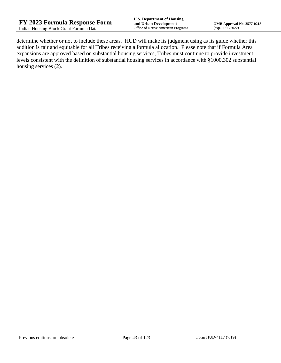determine whether or not to include these areas. HUD will make its judgment using as its guide whether this addition is fair and equitable for all Tribes receiving a formula allocation. Please note that if Formula Area expansions are approved based on substantial housing services, Tribes must continue to provide investment levels consistent with the definition of substantial housing services in accordance with §1000.302 substantial housing services (2).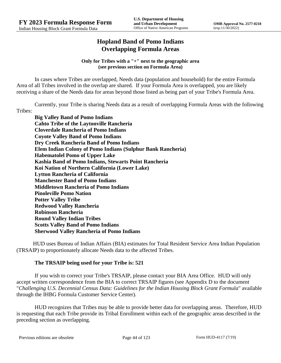# **Hopland Band of Pomo Indians Overlapping Formula Areas**

### **Only for Tribes with a "+" next to the geographic area (see previous section on Formula Area)**

In cases where Tribes are overlapped, Needs data (population and household) for the entire Formula Area of all Tribes involved in the overlap are shared. If your Formula Area is overlapped, you are likely receiving a share of the Needs data for areas beyond those listed as being part of your Tribe's Formula Area.

Currently, your Tribe is sharing Needs data as a result of overlapping Formula Areas with the following Tribes:

**Big Valley Band of Pomo Indians Cahto Tribe of the Laytonville Rancheria Cloverdale Rancheria of Pomo Indians Coyote Valley Band of Pomo Indians Dry Creek Rancheria Band of Pomo Indians Elem Indian Colony of Pomo Indians (Sulphur Bank Rancheria) Habematolel Pomo of Upper Lake Kashia Band of Pomo Indians, Stewarts Point Rancheria Koi Nation of Northern California (Lower Lake) Lytton Rancheria of California Manchester Band of Pomo Indians Middletown Rancheria of Pomo Indians Pinoleville Pomo Nation Potter Valley Tribe Redwood Valley Rancheria Robinson Rancheria Round Valley Indian Tribes Scotts Valley Band of Pomo Indians Sherwood Valley Rancheria of Pomo Indians**

HUD uses Bureau of Indian Affairs (BIA) estimates for Total Resident Service Area Indian Population (TRSAIP) to proportionately allocate Needs data to the affected Tribes.

## **The TRSAIP being used for your Tribe is: 521**

If you wish to correct your Tribe's TRSAIP, please contact your BIA Area Office. HUD will only accept written correspondence from the BIA to correct TRSAIP figures (see Appendix D to the document "*Challenging U.S. Decennial Census Data: Guidelines for the Indian Housing Block Grant Formula*" available through the IHBG Formula Customer Service Center).

HUD recognizes that Tribes may be able to provide better data for overlapping areas. Therefore, HUD is requesting that each Tribe provide its Tribal Enrollment within each of the geographic areas described in the preceding section as overlapping.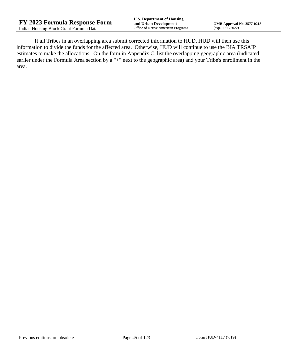If all Tribes in an overlapping area submit corrected information to HUD, HUD will then use this information to divide the funds for the affected area. Otherwise, HUD will continue to use the BIA TRSAIP estimates to make the allocations. On the form in Appendix C, list the overlapping geographic area (indicated earlier under the Formula Area section by a "+" next to the geographic area) and your Tribe's enrollment in the area.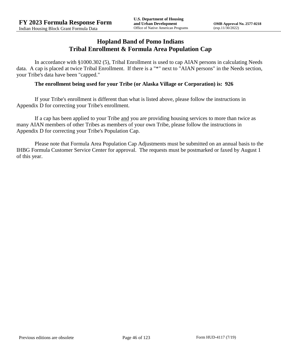## **Hopland Band of Pomo Indians Tribal Enrollment & Formula Area Population Cap**

In accordance with §1000.302 (5), Tribal Enrollment is used to cap AIAN persons in calculating Needs data. A cap is placed at twice Tribal Enrollment. If there is a "\*" next to "AIAN persons" in the Needs section, your Tribe's data have been "capped."

## **The enrollment being used for your Tribe (or Alaska Village or Corporation) is: 926**

If your Tribe's enrollment is different than what is listed above, please follow the instructions in Appendix D for correcting your Tribe's enrollment.

If a cap has been applied to your Tribe and you are providing housing services to more than twice as many AIAN members of other Tribes as members of your own Tribe, please follow the instructions in Appendix D for correcting your Tribe's Population Cap.

Please note that Formula Area Population Cap Adjustments must be submitted on an annual basis to the IHBG Formula Customer Service Center for approval. The requests must be postmarked or faxed by August 1 of this year.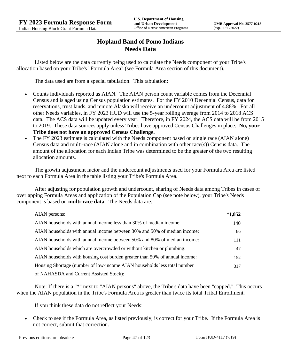# **Hopland Band of Pomo Indians Needs Data**

Listed below are the data currently being used to calculate the Needs component of your Tribe's allocation based on your Tribe's "Formula Area" (see Formula Area section of this document).

The data used are from a special tabulation. This tabulation:

- Counts individuals reported as AIAN. The AIAN person count variable comes from the Decennial Census and is aged using Census population estimates. For the FY 2010 Decennial Census, data for reservations, trust lands, and remote Alaska will receive an undercount adjustment of 4.88%. For all other Needs variables, in FY 2023 HUD will use the 5-year rolling average from 2014 to 2018 ACS data. The ACS data will be updated every year. Therefore, in FY 2024, the ACS data will be from 2015 to 2019. These data sources apply unless Tribes have approved Census Challenges in place. **No, your Tribe does not have an approved Census Challenge.**
- The FY 2023 estimate is calculated with the Needs component based on single race (AIAN alone) Census data and multi-race (AIAN alone and in combination with other race(s)) Census data. The amount of the allocation for each Indian Tribe was determined to be the greater of the two resulting allocation amounts.

The growth adjustment factor and the undercount adjustments used for your Formula Area are listed next to each Formula Area in the table listing your Tribe's Formula Area.

After adjusting for population growth and undercount, sharing of Needs data among Tribes in cases of overlapping Formula Areas and application of the Population Cap (see note below), your Tribe's Needs component is based on **multi-race data**. The Needs data are:

| AIAN persons:                                                               | $*1,852$ |
|-----------------------------------------------------------------------------|----------|
| AIAN households with annual income less than 30% of median income:          | 140      |
| AIAN households with annual income between 30% and 50% of median income:    | 86       |
| AIAN households with annual income between 50% and 80% of median income:    | 111      |
| AIAN households which are overcrowded or without kitchen or plumbing:       | 47       |
| AIAN households with housing cost burden greater than 50% of annual income: | 152      |
| Housing Shortage (number of low-income AIAN households less total number    | 317      |
| of NAHASDA and Current Assisted Stock):                                     |          |

Note: If there is a "\*" next to "AIAN persons" above, the Tribe's data have been "capped." This occurs when the AIAN population in the Tribe's Formula Area is greater than twice its total Tribal Enrollment.

If you think these data do not reflect your Needs:

 Check to see if the Formula Area, as listed previously, is correct for your Tribe. If the Formula Area is not correct, submit that correction.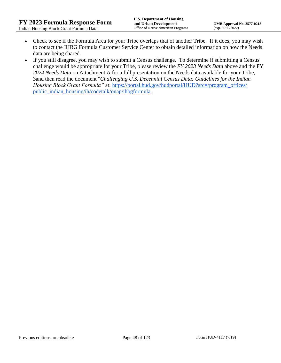- Check to see if the Formula Area for your Tribe overlaps that of another Tribe. If it does, you may wish to contact the IHBG Formula Customer Service Center to obtain detailed information on how the Needs data are being shared.
- If you still disagree, you may wish to submit a Census challenge. To determine if submitting a Census challenge would be appropriate for your Tribe, please review the *FY 2023 Needs Data* above and the FY *2024 Needs Data* on Attachment A for a full presentation on the Needs data available for your Tribe, 3and then read the document "*Challenging U.S. Decennial Census Data: Guidelines for the Indian Housing Block Grant Formula*" at: https://portal.hud.gov/hudportal/HUD?src=/program\_offices/ [public\\_indian\\_housing/ih/codetalk/onap/ihbgformula.](https://portal.hud.gov/hudportal/HUD?src=/program_offices/public_indian_housing/ih/codetalk/onap/ihbgformula)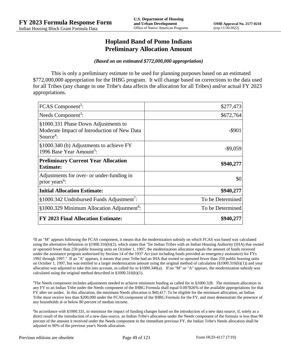## **Hopland Band of Pomo Indians Preliminary Allocation Amount**

#### *(Based on an estimated \$772,000,000 appropriation)*

This is only a preliminary estimate to be used for planning purposes based on an estimated \$772,000,000 appropriation for the IHBG program. It will change based on corrections to the data used for all Tribes (any change in one Tribe's data affects the allocation for all Tribes) and/or actual FY 2023 appropriations.

| FCAS Component <sup>2</sup> :                                                                               | \$277,473        |
|-------------------------------------------------------------------------------------------------------------|------------------|
| Needs Component <sup>3</sup> :                                                                              | \$672,764        |
| §1000.331 Phase Down Adjustments to<br>Moderate Impact of Introduction of New Data<br>Source <sup>4</sup> : | $-$ \$901        |
| §1000.340 (b) Adjustments to achieve FY<br>1996 Base Year Amount <sup>5</sup> :                             | $-$9,059$        |
| <b>Preliminary Current Year Allocation</b><br><b>Estimate:</b>                                              | \$940,277        |
| Adjustments for over- or under-funding in<br>prior years <sup>6</sup> :                                     | \$0              |
| <b>Initial Allocation Estimate:</b>                                                                         | \$940,277        |
| §1000.342 Undisbursed Funds Adjustment <sup>7</sup> :                                                       | To be Determined |
| §1000.329 Minimum Allocation Adjustment <sup>8</sup> :                                                      | To be Determined |
| <b>FY 2023 Final Allocation Estimate:</b>                                                                   | \$940,277        |

2 If an "M" appears following the FCAS component, it means that the modernization subsidy on which FCAS was based was calculated using the alternative definition in §1000.316(b)(2), which states that "for Indian Tribes with an Indian Housing Authority (IHA) that owned or operated fewer than 250 public housing units on October 1, 1997, the modernization allocation equals the amount of funds received under the assistance program authorized by Section 14 of the 1937 Act (not including funds provided as emergency assistance) for FYs 1992 through 1997." If an "A" appears, it means that your Tribe had an IHA that owned or operated fewer than 250 public housing units on October 1, 1997, but was entitled to a larger modernization amount using the original method of calculation (§1000.316(b)(1)) and your allocation was adjusted to take this into account, as called for in  $\S1000.340(a)$ . If no "M" or "A" appears, the modernization subsidy was calculated using the original method described in §1000.316(b)(1).

 $3$ The Needs component includes adjustments needed to achieve minimum funding as called for in §1000.328. The minimum allocation in any FY to an Indian Tribe under the Needs component of the IHBG Formula shall equal 0.007826% of the available appropriations for that FY after set asides. In this allocation, the minimum Needs allocation is \$60,417. To be eligible for the minimum allocation, an Indian Tribe must receive less than \$200,000 under the FCAS component of the IHBG Formula for the FY, and must demonstrate the presence of any households at or below 80 percent of median income.

4 In accordance with §1000.331, to minimize the impact of funding changes based on the introduction of a new data source, if, solely as a direct result of the introduction of a new data source, an Indian Tribe's allocation under the Needs component of the formula is less than 90 percent of the amount it received under the Needs component in the immediate previous FY, the Indian Tribe's Needs allocation shall be adjusted to 90% of the previous year's Needs allocation.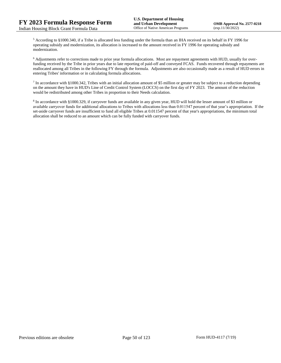<sup>5</sup> According to §1000.340, if a Tribe is allocated less funding under the formula than an IHA received on its behalf in FY 1996 for operating subsidy and modernization, its allocation is increased to the amount received in FY 1996 for operating subsidy and modernization.

<sup>6</sup> Adjustments refer to corrections made to prior year formula allocations. Most are repayment agreements with HUD, usually for overfunding received by the Tribe in prior years due to late reporting of paid-off and conveyed FCAS. Funds recovered through repayments are reallocated among all Tribes in the following FY through the formula. Adjustments are also occasionally made as a result of HUD errors in entering Tribes' information or in calculating formula allocations.

 $^7$  In accordance with §1000.342, Tribes with an initial allocation amount of \$5 million or greater may be subject to a reduction depending on the amount they have in HUD's Line of Credit Control System (LOCCS) on the first day of FY 2023. The amount of the reduction would be redistributed among other Tribes in proportion to their Needs calculation.

<sup>8</sup> In accordance with §1000.329, if carryover funds are available in any given year, HUD will hold the lesser amount of \$3 million or available carryover funds for additional allocations to Tribes with allocations less than 0.011547 percent of that year's appropriation. If the set-aside carryover funds are insufficient to fund all eligible Tribes at 0.011547 percent of that year's appropriations, the minimum total allocation shall be reduced to an amount which can be fully funded with carryover funds.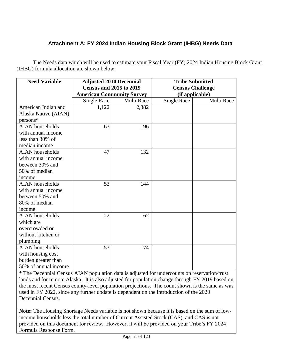# **Attachment A: FY 2024 Indian Housing Block Grant (IHBG) Needs Data**

The Needs data which will be used to estimate your Fiscal Year (FY) 2024 Indian Housing Block Grant (IHBG) formula allocation are shown below:

| <b>Need Variable</b>   | <b>Adjusted 2010 Decennial</b>   |            | <b>Tribe Submitted</b>  |            |
|------------------------|----------------------------------|------------|-------------------------|------------|
|                        | <b>Census and 2015 to 2019</b>   |            | <b>Census Challenge</b> |            |
|                        | <b>American Community Survey</b> |            | (if applicable)         |            |
|                        | <b>Single Race</b>               | Multi Race | <b>Single Race</b>      | Multi Race |
| American Indian and    | 1,122                            | 2,382      |                         |            |
| Alaska Native (AIAN)   |                                  |            |                         |            |
| persons*               |                                  |            |                         |            |
| <b>AIAN</b> households | 63                               | 196        |                         |            |
| with annual income     |                                  |            |                         |            |
| less than 30% of       |                                  |            |                         |            |
| median income          |                                  |            |                         |            |
| <b>AIAN</b> households | 47                               | 132        |                         |            |
| with annual income     |                                  |            |                         |            |
| between 30% and        |                                  |            |                         |            |
| 50% of median          |                                  |            |                         |            |
| income                 |                                  |            |                         |            |
| <b>AIAN</b> households | 53                               | 144        |                         |            |
| with annual income     |                                  |            |                         |            |
| between 50% and        |                                  |            |                         |            |
| 80% of median          |                                  |            |                         |            |
| income                 |                                  |            |                         |            |
| <b>AIAN</b> households | 22                               | 62         |                         |            |
| which are              |                                  |            |                         |            |
| overcrowded or         |                                  |            |                         |            |
| without kitchen or     |                                  |            |                         |            |
| plumbing               |                                  |            |                         |            |
| <b>AIAN</b> households | 53                               | 174        |                         |            |
| with housing cost      |                                  |            |                         |            |
| burden greater than    |                                  |            |                         |            |
| 50% of annual income   |                                  |            |                         |            |

\* The Decennial Census AIAN population data is adjusted for undercounts on reservation/trust lands and for remote Alaska. It is also adjusted for population change through FY 2019 based on the most recent Census county-level population projections. The count shown is the same as was used in FY 2022, since any further update is dependent on the introduction of the 2020 Decennial Census.

**Note:** The Housing Shortage Needs variable is not shown because it is based on the sum of lowincome households less the total number of Current Assisted Stock (CAS), and CAS is not provided on this document for review. However, it will be provided on your Tribe's FY 2024 Formula Response Form.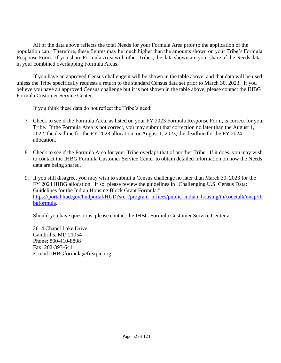All of the data above reflects the total Needs for your Formula Area prior to the application of the population cap. Therefore, these figures may be much higher than the amounts shown on your Tribe's Formula Response Form. If you share Formula Area with other Tribes, the data shown are your share of the Needs data in your combined overlapping Formula Areas.

If you have an approved Census challenge it will be shown in the table above, and that data will be used unless the Tribe specifically requests a return to the standard Census data set prior to March 30, 2023. If you believe you have an approved Census challenge but it is not shown in the table above, please contact the IHBG Formula Customer Service Center.

If you think these data do not reflect the Tribe's need:

- 7. Check to see if the Formula Area, as listed on your FY 2023 Formula Response Form, is correct for your Tribe. If the Formula Area is not correct, you may submit that correction no later than the August 1, 2022, the deadline for the FY 2023 allocation, or August 1, 2023, the deadline for the FY 2024 allocation.
- 8. Check to see if the Formula Area for your Tribe overlaps that of another Tribe. If it does, you may wish to contact the IHBG Formula Customer Service Center to obtain detailed information on how the Needs data are being shared.
- 9. If you still disagree, you may wish to submit a Census challenge no later than March 30, 2023 for the FY 2024 IHBG allocation. If so, please review the guidelines in "Challenging U.S. Census Data: Guidelines for the Indian Housing Block Grant Formula." [https://portal.hud.gov/hudportal/HUD?src=/program\\_offices/public\\_indian\\_housing/ih/codetalk/onap/ih](https://portal.hud.gov/hudportal/HUD?src=/program_offices/public_indian_housing/ih/codetalk/onap/ihbgformula) [bgformula.](https://portal.hud.gov/hudportal/HUD?src=/program_offices/public_indian_housing/ih/codetalk/onap/ihbgformula)

Should you have questions, please contact the IHBG Formula Customer Service Center at:

2614 Chapel Lake Drive Gambrills, MD 21054 Phone: 800-410-8808 Fax: 202-393-6411 E-mail: IHBGformula@firstpic.org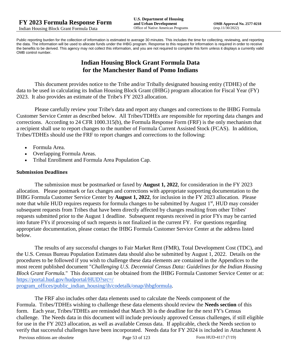Public reporting burden for the collection of information is estimated to average 30 minutes. This includes the time for collecting, reviewing, and reporting the data. The information will be used to allocate funds under the IHBG program. Response to this request for information is required in order to receive the benefits to be derived. This agency may not collect this information, and you are not required to complete this form unless it displays a currently valid OMB control number.

# **Indian Housing Block Grant Formula Data for the Manchester Band of Pomo Indians**

This document provides notice to the Tribe and/or Tribally designated housing entity (TDHE) of the data to be used in calculating its Indian Housing Block Grant (IHBG) program allocation for Fiscal Year (FY) 2023. It also provides an estimate of the Tribe's FY 2023 allocation.

Please carefully review your Tribe's data and report any changes and corrections to the IHBG Formula Customer Service Center as described below. All Tribes/TDHEs are responsible for reporting data changes and corrections. According to 24 CFR 1000.315(b), the Formula Response Form (FRF) is the only mechanism that a recipient shall use to report changes to the number of Formula Current Assisted Stock (FCAS). In addition, Tribes/TDHEs should use the FRF to report changes and corrections to the following:

- Formula Area.
- Overlapping Formula Areas.
- Tribal Enrollment and Formula Area Population Cap.

### **Submission Deadlines**

The submission must be postmarked or faxed by **August 1, 2022**, for consideration in the FY 2023 allocation. Please postmark or fax changes and corrections with appropriate supporting documentation to the IHBG Formula Customer Service Center by **August 1, 2022**, for inclusion in the FY 2023 allocation. Please note that while HUD requires requests for formula changes to be submitted by August 1<sup>st</sup>, HUD may consider subsequent requests from Tribes that have been directly affected by changes resulting from other Tribes' requests submitted prior to the August 1 deadline. Subsequent requests received in prior FYs may be carried into future FYs if processing of such requests is not finalized in the current FY. For questions regarding appropriate documentation, please contact the IHBG Formula Customer Service Center at the address listed below.

The results of any successful changes to Fair Market Rent (FMR), Total Development Cost (TDC), and the U.S. Census Bureau Population Estimates data should also be submitted by August 1, 2022. Details on the procedures to be followed if you wish to challenge these data elements are contained in the Appendices to the most recent published document "*Challenging U.S. Decennial Census Data: Guidelines for the Indian Housing Block Grant Formula.*" This document can be obtained from the IHBG Formula Customer Service Center or at: [https://portal.hud.gov/hudportal/HUD?src=/](https://portal.hud.gov/hudportal/HUD?src=/program_offices/public_indian_housing/ih/codetalk/onap/ihbgformula) 

[program\\_offices/public\\_indian\\_housing/ih/codetalk/onap/ihbgformula.](https://portal.hud.gov/hudportal/HUD?src=/program_offices/public_indian_housing/ih/codetalk/onap/ihbgformula)

The FRF also includes other data elements used to calculate the Needs component of the Formula. Tribes/TDHEs wishing to challenge these data elements should review the **Needs section** of this form. Each year, Tribes/TDHEs are reminded that March 30 is the deadline for the next FY's Census challenge. The Needs data in this document will include previously approved Census challenges, if still eligible for use in the FY 2023 allocation, as well as available Census data. If applicable, check the Needs section to verify that successful challenges have been incorporated. Needs data for FY 2024 is included in Attachment A

Previous editions are obsolete Page 53 of 123 Form HUD-4117 (7/19)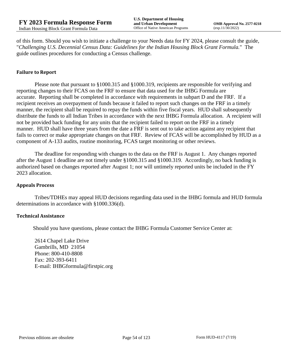of this form. Should you wish to initiate a challenge to your Needs data for FY 2024, please consult the guide, "*Challenging U.S. Decennial Census Data: Guidelines for the Indian Housing Block Grant Formula.*" The guide outlines procedures for conducting a Census challenge.

## **Failure to Report**

Please note that pursuant to §1000.315 and §1000.319, recipients are responsible for verifying and reporting changes to their FCAS on the FRF to ensure that data used for the IHBG Formula are accurate. Reporting shall be completed in accordance with requirements in subpart D and the FRF. If a recipient receives an overpayment of funds because it failed to report such changes on the FRF in a timely manner, the recipient shall be required to repay the funds within five fiscal years. HUD shall subsequently distribute the funds to all Indian Tribes in accordance with the next IHBG Formula allocation. A recipient will not be provided back funding for any units that the recipient failed to report on the FRF in a timely manner. HUD shall have three years from the date a FRF is sent out to take action against any recipient that fails to correct or make appropriate changes on that FRF. Review of FCAS will be accomplished by HUD as a component of A-133 audits, routine monitoring, FCAS target monitoring or other reviews.

The deadline for responding with changes to the data on the FRF is August 1. Any changes reported after the August 1 deadline are not timely under §1000.315 and §1000.319. Accordingly, no back funding is authorized based on changes reported after August 1; nor will untimely reported units be included in the FY 2023 allocation.

#### **Appeals Process**

Tribes/TDHEs may appeal HUD decisions regarding data used in the IHBG formula and HUD formula determinations in accordance with §1000.336(d).

#### **Technical Assistance**

Should you have questions, please contact the IHBG Formula Customer Service Center at:

2614 Chapel Lake Drive Gambrills, MD 21054 Phone: 800-410-8808 Fax: 202-393-6411 E-mail: IHBGformula@firstpic.org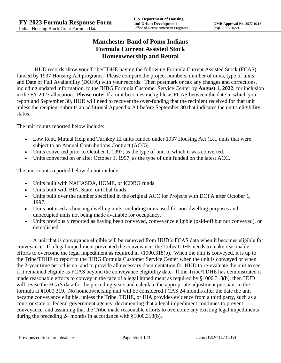# **Manchester Band of Pomo Indians Formula Current Assisted Stock Homeownership and Rental**

HUD records show your Tribe/TDHE having the following Formula Current Assisted Stock (FCAS) funded by 1937 Housing Act programs. Please compare the project numbers, number of units, type of units, and Date of Full Availability (DOFA) with your records. Then postmark or fax any changes and corrections, including updated information, to the IHBG Formula Customer Service Center by **August 1, 2022**, for inclusion in the FY 2023 allocation. **Please note:** If a unit becomes ineligible as FCAS between the date in which you report and September 30, HUD will need to recover the over-funding that the recipient received for that unit unless the recipient submits an additional Appendix A1 before September 30 that indicates the unit's eligibility status.

The unit counts reported below include:

- Low Rent, Mutual Help and Turnkey III units funded under 1937 Housing Act (i.e., units that were subject to an Annual Contributions Contract (ACC)).
- Units converted prior to October 1, 1997, as the type of unit to which it was converted.
- Units converted on or after October 1, 1997, as the type of unit funded on the latest ACC.

The unit counts reported below <u>do not</u> include:

- Units built with NAHASDA, HOME, or ICDBG funds.
- Units built with BIA, State, or tribal funds.
- Units built over the number specified in the original ACC for Projects with DOFA after October 1, 1997.
- Units not used as housing dwelling units, including units used for non-dwelling purposes and unoccupied units not being made available for occupancy.
- Units previously reported as having been conveyed, conveyance eligible (paid-off but not conveyed), or demolished.

A unit that is conveyance eligible will be removed from HUD's FCAS data when it becomes eligible for conveyance. If a legal impediment prevented the conveyance, the Tribe/TDHE needs to make reasonable efforts to overcome the legal impediment as required in §1000.318(b). When the unit is conveyed, it is up to the Tribe/TDHE to report to the IHBG Formula Customer Service Center when the unit is conveyed or when the 2-year time period is up, and to provide all necessary documentation for HUD to re-evaluate the unit to see if it remained eligible as FCAS beyond the conveyance eligibility date. If the Tribe/TDHE has demonstrated it made reasonable efforts to convey in the face of a legal impediment as required by §1000.318(b), then HUD will revise the FCAS data for the preceding years and calculate the appropriate adjustment pursuant to the formula at §1000.319. No homeownership unit will be considered FCAS 24 months after the date the unit became conveyance eligible, unless the Tribe, TDHE, or IHA provides evidence from a third party, such as a court or state or federal government agency, documenting that a legal impediment continues to prevent conveyance, and assuming that the Tribe made reasonable efforts to overcome any existing legal impediments during the preceding 24 months in accordance with §1000.318(b).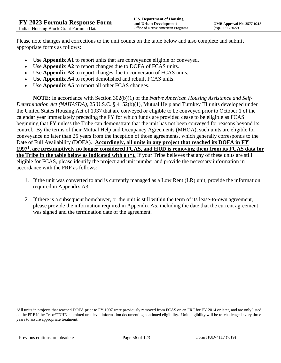Please note changes and corrections to the unit counts on the table below and also complete and submit appropriate forms as follows:

- Use **Appendix A1** to report units that are conveyance eligible or conveyed.
- Use **Appendix A2** to report changes due to DOFA of FCAS units.
- Use **Appendix A3** to report changes due to conversion of FCAS units.
- Use **Appendix A4** to report demolished and rebuilt FCAS units.
- Use **Appendix A5** to report all other FCAS changes.

**NOTE:** In accordance with Section 302(b)(1) of the *Native American Housing Assistance and Self-Determination Act (NAHASDA)*, 25 U.S.C. § 4152(b)(1), Mutual Help and Turnkey III units developed under the United States Housing Act of 1937 that are conveyed or eligible to be conveyed prior to October 1 of the calendar year immediately preceding the FY for which funds are provided cease to be eligible as FCAS beginning that FY unless the Tribe can demonstrate that the unit has not been conveyed for reasons beyond its control. By the terms of their Mutual Help and Occupancy Agreements (MHOA), such units are eligible for conveyance no later than 25 years from the inception of those agreements, which generally corresponds to the Date of Full Availability (DOFA). **Accordingly, all units in any project that reached its DOFA in FY 1997<sup>1</sup> , are presumptively no longer considered FCAS, and HUD is removing them from its FCAS data for the Tribe in the table below as indicated with a (\*).** If your Tribe believes that any of these units are still eligible for FCAS, please identify the project and unit number and provide the necessary information in accordance with the FRF as follows:

- 1. If the unit was converted to and is currently managed as a Low Rent (LR) unit, provide the information required in Appendix A3.
- 2. If there is a subsequent homebuyer, or the unit is still within the term of its lease-to-own agreement, please provide the information required in Appendix A5, including the date that the current agreement was signed and the termination date of the agreement.

<sup>1</sup>All units in projects that reached DOFA prior to FY 1997 were previously removed from FCAS on an FRF for FY 2014 or later, and are only listed on the FRF if the Tribe/TDHE submitted unit level information documenting continued eligibility. Unit eligibility will be re-challenged every three years to assure appropriate treatment.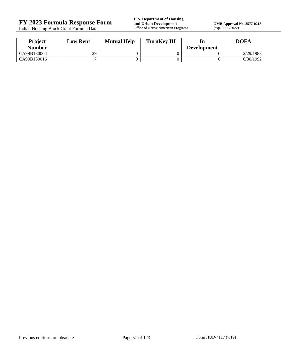Indian Housing Block Grant Formula Data

**FY 2023 Formula Response Form**<br> **FY 2023 Formula Response Form**<br> **Indian Housing Block Grant Formula Data**<br> **Office of Native American Programs** 

**OMB Approval No. 2577-0218**<br>(exp.11/30/2022)

| Project       | <b>Low Rent</b> | <b>Mutual Help</b> | <b>TurnKey III</b> | ln                 | <b>DOFA</b> |
|---------------|-----------------|--------------------|--------------------|--------------------|-------------|
| <b>Number</b> |                 |                    |                    | <b>Development</b> |             |
| CA99B130004   | 29              |                    |                    |                    | 2/29/1988   |
| CA99B130016   |                 |                    |                    |                    | 6/30/1992   |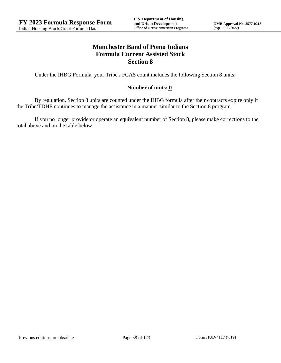## **Manchester Band of Pomo Indians Formula Current Assisted Stock Section 8**

Under the IHBG Formula, your Tribe's FCAS count includes the following Section 8 units:

## **Number of units: 0**

By regulation, Section 8 units are counted under the IHBG formula after their contracts expire only if the Tribe/TDHE continues to manage the assistance in a manner similar to the Section 8 program.

If you no longer provide or operate an equivalent number of Section 8, please make corrections to the total above and on the table below.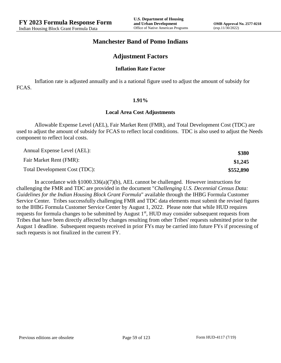## **Manchester Band of Pomo Indians**

## **Adjustment Factors**

#### **Inflation Rate Factor**

Inflation rate is adjusted annually and is a national figure used to adjust the amount of subsidy for FCAS.

#### **1.91%**

#### **Local Area Cost Adjustments**

Allowable Expense Level (AEL), Fair Market Rent (FMR), and Total Development Cost (TDC) are used to adjust the amount of subsidy for FCAS to reflect local conditions. TDC is also used to adjust the Needs component to reflect local costs.

| Annual Expense Level (AEL):   | \$380     |
|-------------------------------|-----------|
| Fair Market Rent (FMR):       | \$1,245   |
| Total Development Cost (TDC): | \$552,890 |

In accordance with §1000.336(a)(7)(b), AEL cannot be challenged. However instructions for challenging the FMR and TDC are provided in the document "*Challenging U.S. Decennial Census Data: Guidelines for the Indian Housing Block Grant Formula*" available through the IHBG Formula Customer Service Center. Tribes successfully challenging FMR and TDC data elements must submit the revised figures to the IHBG Formula Customer Service Center by August 1, 2022. Please note that while HUD requires requests for formula changes to be submitted by August 1<sup>st</sup>, HUD may consider subsequent requests from Tribes that have been directly affected by changes resulting from other Tribes' requests submitted prior to the August 1 deadline. Subsequent requests received in prior FYs may be carried into future FYs if processing of such requests is not finalized in the current FY.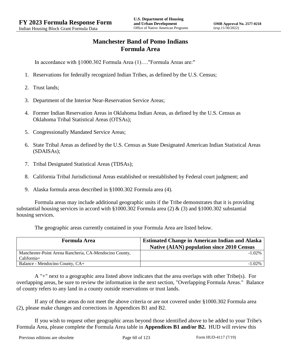# **Manchester Band of Pomo Indians Formula Area**

In accordance with §1000.302 Formula Area (1)…."Formula Areas are:"

- 1. Reservations for federally recognized Indian Tribes, as defined by the U.S. Census;
- 2. Trust lands;
- 3. Department of the Interior Near-Reservation Service Areas;
- 4. Former Indian Reservation Areas in Oklahoma Indian Areas, as defined by the U.S. Census as Oklahoma Tribal Statistical Areas (OTSAs);
- 5. Congressionally Mandated Service Areas;
- 6. State Tribal Areas as defined by the U.S. Census as State Designated American Indian Statistical Areas (SDAISAs);
- 7. Tribal Designated Statistical Areas (TDSAs);
- 8. California Tribal Jurisdictional Areas established or reestablished by Federal court judgment; and
- 9. Alaska formula areas described in §1000.302 Formula area (4).

Formula areas may include additional geographic units if the Tribe demonstrates that it is providing substantial housing services in accord with §1000.302 Formula area (2) & (3) and §1000.302 substantial housing services.

The geographic areas currently contained in your Formula Area are listed below.

| <b>Formula Area</b>                                    | <b>Estimated Change in American Indian and Alaska</b><br><b>Native (AIAN) population since 2010 Census</b> |
|--------------------------------------------------------|------------------------------------------------------------------------------------------------------------|
| Manchester-Point Arena Rancheria, CA-Mendocino County, | $-1.02\%$                                                                                                  |
| California+                                            |                                                                                                            |
| Balance - Mendocino County, CA+                        | $-1.02\%$                                                                                                  |

A "+" next to a geographic area listed above indicates that the area overlaps with other Tribe(s). For overlapping areas, be sure to review the information in the next section, "Overlapping Formula Areas." Balance of county refers to any land in a county outside reservations or trust lands.

If any of these areas do not meet the above criteria or are not covered under §1000.302 Formula area (2), please make changes and corrections in Appendices B1 and B2.

If you wish to request other geographic areas beyond those identified above to be added to your Tribe's Formula Area, please complete the Formula Area table in **Appendices B1 and/or B2.** HUD will review this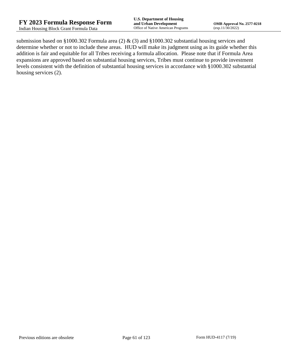submission based on §1000.302 Formula area (2) & (3) and §1000.302 substantial housing services and determine whether or not to include these areas. HUD will make its judgment using as its guide whether this addition is fair and equitable for all Tribes receiving a formula allocation. Please note that if Formula Area expansions are approved based on substantial housing services, Tribes must continue to provide investment levels consistent with the definition of substantial housing services in accordance with §1000.302 substantial housing services (2).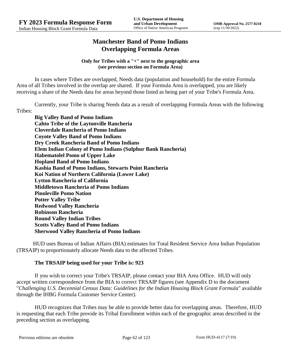# **Manchester Band of Pomo Indians Overlapping Formula Areas**

### **Only for Tribes with a "+" next to the geographic area (see previous section on Formula Area)**

In cases where Tribes are overlapped, Needs data (population and household) for the entire Formula Area of all Tribes involved in the overlap are shared. If your Formula Area is overlapped, you are likely receiving a share of the Needs data for areas beyond those listed as being part of your Tribe's Formula Area.

Currently, your Tribe is sharing Needs data as a result of overlapping Formula Areas with the following Tribes:

**Big Valley Band of Pomo Indians Cahto Tribe of the Laytonville Rancheria Cloverdale Rancheria of Pomo Indians Coyote Valley Band of Pomo Indians Dry Creek Rancheria Band of Pomo Indians Elem Indian Colony of Pomo Indians (Sulphur Bank Rancheria) Habematolel Pomo of Upper Lake Hopland Band of Pomo Indians Kashia Band of Pomo Indians, Stewarts Point Rancheria Koi Nation of Northern California (Lower Lake) Lytton Rancheria of California Middletown Rancheria of Pomo Indians Pinoleville Pomo Nation Potter Valley Tribe Redwood Valley Rancheria Robinson Rancheria Round Valley Indian Tribes Scotts Valley Band of Pomo Indians Sherwood Valley Rancheria of Pomo Indians**

HUD uses Bureau of Indian Affairs (BIA) estimates for Total Resident Service Area Indian Population (TRSAIP) to proportionately allocate Needs data to the affected Tribes.

## **The TRSAIP being used for your Tribe is: 923**

If you wish to correct your Tribe's TRSAIP, please contact your BIA Area Office. HUD will only accept written correspondence from the BIA to correct TRSAIP figures (see Appendix D to the document "*Challenging U.S. Decennial Census Data: Guidelines for the Indian Housing Block Grant Formula*" available through the IHBG Formula Customer Service Center).

HUD recognizes that Tribes may be able to provide better data for overlapping areas. Therefore, HUD is requesting that each Tribe provide its Tribal Enrollment within each of the geographic areas described in the preceding section as overlapping.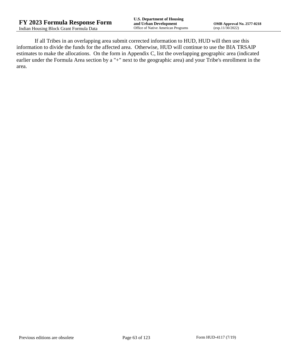If all Tribes in an overlapping area submit corrected information to HUD, HUD will then use this information to divide the funds for the affected area. Otherwise, HUD will continue to use the BIA TRSAIP estimates to make the allocations. On the form in Appendix C, list the overlapping geographic area (indicated earlier under the Formula Area section by a "+" next to the geographic area) and your Tribe's enrollment in the area.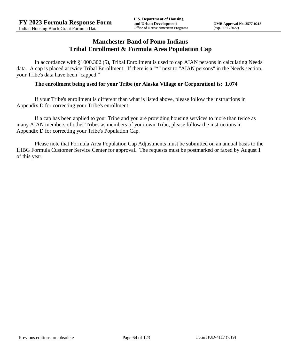## **Manchester Band of Pomo Indians Tribal Enrollment & Formula Area Population Cap**

In accordance with §1000.302 (5), Tribal Enrollment is used to cap AIAN persons in calculating Needs data. A cap is placed at twice Tribal Enrollment. If there is a "\*" next to "AIAN persons" in the Needs section, your Tribe's data have been "capped."

## **The enrollment being used for your Tribe (or Alaska Village or Corporation) is: 1,074**

If your Tribe's enrollment is different than what is listed above, please follow the instructions in Appendix D for correcting your Tribe's enrollment.

If a cap has been applied to your Tribe and you are providing housing services to more than twice as many AIAN members of other Tribes as members of your own Tribe, please follow the instructions in Appendix D for correcting your Tribe's Population Cap.

Please note that Formula Area Population Cap Adjustments must be submitted on an annual basis to the IHBG Formula Customer Service Center for approval. The requests must be postmarked or faxed by August 1 of this year.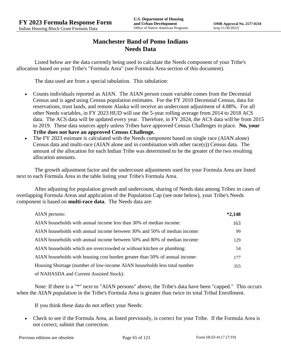# **Manchester Band of Pomo Indians Needs Data**

Listed below are the data currently being used to calculate the Needs component of your Tribe's allocation based on your Tribe's "Formula Area" (see Formula Area section of this document).

The data used are from a special tabulation. This tabulation:

- Counts individuals reported as AIAN. The AIAN person count variable comes from the Decennial Census and is aged using Census population estimates. For the FY 2010 Decennial Census, data for reservations, trust lands, and remote Alaska will receive an undercount adjustment of 4.88%. For all other Needs variables, in FY 2023 HUD will use the 5-year rolling average from 2014 to 2018 ACS data. The ACS data will be updated every year. Therefore, in FY 2024, the ACS data will be from 2015 to 2019. These data sources apply unless Tribes have approved Census Challenges in place. **No, your Tribe does not have an approved Census Challenge.**
- The FY 2023 estimate is calculated with the Needs component based on single race (AIAN alone) Census data and multi-race (AIAN alone and in combination with other race(s)) Census data. The amount of the allocation for each Indian Tribe was determined to be the greater of the two resulting allocation amounts.

The growth adjustment factor and the undercount adjustments used for your Formula Area are listed next to each Formula Area in the table listing your Tribe's Formula Area.

After adjusting for population growth and undercount, sharing of Needs data among Tribes in cases of overlapping Formula Areas and application of the Population Cap (see note below), your Tribe's Needs component is based on **multi-race data**. The Needs data are:

| AIAN persons:                                                               | $*2,148$ |
|-----------------------------------------------------------------------------|----------|
| AIAN households with annual income less than 30% of median income:          | 163      |
| AIAN households with annual income between 30% and 50% of median income:    | 99       |
| AIAN households with annual income between 50% and 80% of median income:    | 129      |
| AIAN households which are overcrowded or without kitchen or plumbing:       | 54       |
| AIAN households with housing cost burden greater than 50% of annual income: | 177      |
| Housing Shortage (number of low-income AIAN households less total number    | 355      |
| of NAHASDA and Current Assisted Stock):                                     |          |

Note: If there is a "\*" next to "AIAN persons" above, the Tribe's data have been "capped." This occurs when the AIAN population in the Tribe's Formula Area is greater than twice its total Tribal Enrollment.

If you think these data do not reflect your Needs:

 Check to see if the Formula Area, as listed previously, is correct for your Tribe. If the Formula Area is not correct, submit that correction.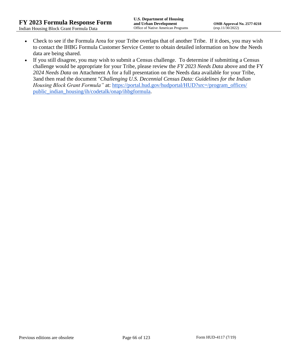- Check to see if the Formula Area for your Tribe overlaps that of another Tribe. If it does, you may wish to contact the IHBG Formula Customer Service Center to obtain detailed information on how the Needs data are being shared.
- If you still disagree, you may wish to submit a Census challenge. To determine if submitting a Census challenge would be appropriate for your Tribe, please review the *FY 2023 Needs Data* above and the FY *2024 Needs Data* on Attachment A for a full presentation on the Needs data available for your Tribe, 3and then read the document "*Challenging U.S. Decennial Census Data: Guidelines for the Indian Housing Block Grant Formula*" at: [https://portal.hud.gov/hudportal/HUD?src=/program\\_offices/](https://portal.hud.gov/hudportal/HUD?src=/program_offices/public_indian_housing/ih/codetalk/onap/ihbgformula) [public\\_indian\\_housing/ih/codetalk/onap/ihbgformula.](https://portal.hud.gov/hudportal/HUD?src=/program_offices/public_indian_housing/ih/codetalk/onap/ihbgformula)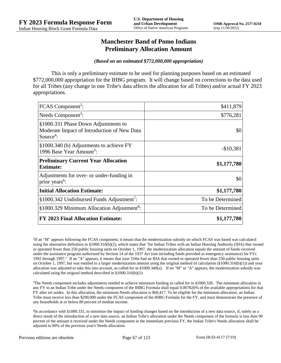## **Manchester Band of Pomo Indians Preliminary Allocation Amount**

#### *(Based on an estimated \$772,000,000 appropriation)*

This is only a preliminary estimate to be used for planning purposes based on an estimated \$772,000,000 appropriation for the IHBG program. It will change based on corrections to the data used for all Tribes (any change in one Tribe's data affects the allocation for all Tribes) and/or actual FY 2023 appropriations.

| FCAS Component <sup>2</sup> :                                                                               | \$411,879        |
|-------------------------------------------------------------------------------------------------------------|------------------|
| Needs Component <sup>3</sup> :                                                                              | \$776,281        |
| §1000.331 Phase Down Adjustments to<br>Moderate Impact of Introduction of New Data<br>Source <sup>4</sup> : | \$0              |
| §1000.340 (b) Adjustments to achieve FY<br>1996 Base Year Amount <sup>5</sup> :                             | $-$10,381$       |
| <b>Preliminary Current Year Allocation</b><br><b>Estimate:</b>                                              | \$1,177,780      |
| Adjustments for over- or under-funding in<br>prior years <sup>6</sup> :                                     | \$0              |
| <b>Initial Allocation Estimate:</b>                                                                         | \$1,177,780      |
| §1000.342 Undisbursed Funds Adjustment <sup>7</sup> :                                                       | To be Determined |
| §1000.329 Minimum Allocation Adjustment <sup>8</sup> :                                                      | To be Determined |
| <b>FY 2023 Final Allocation Estimate:</b>                                                                   | \$1,177,780      |

2 If an "M" appears following the FCAS component, it means that the modernization subsidy on which FCAS was based was calculated using the alternative definition in §1000.316(b)(2), which states that "for Indian Tribes with an Indian Housing Authority (IHA) that owned or operated fewer than 250 public housing units on October 1, 1997, the modernization allocation equals the amount of funds received under the assistance program authorized by Section 14 of the 1937 Act (not including funds provided as emergency assistance) for FYs 1992 through 1997." If an "A" appears, it means that your Tribe had an IHA that owned or operated fewer than 250 public housing units on October 1, 1997, but was entitled to a larger modernization amount using the original method of calculation (§1000.316(b)(1)) and your allocation was adjusted to take this into account, as called for in  $\S 1000.340(a)$ . If no "M" or "A" appears, the modernization subsidy was calculated using the original method described in §1000.316(b)(1).

 $3$ The Needs component includes adjustments needed to achieve minimum funding as called for in §1000.328. The minimum allocation in any FY to an Indian Tribe under the Needs component of the IHBG Formula shall equal 0.007826% of the available appropriations for that FY after set asides. In this allocation, the minimum Needs allocation is \$60,417. To be eligible for the minimum allocation, an Indian Tribe must receive less than \$200,000 under the FCAS component of the IHBG Formula for the FY, and must demonstrate the presence of any households at or below 80 percent of median income.

4 In accordance with §1000.331, to minimize the impact of funding changes based on the introduction of a new data source, if, solely as a direct result of the introduction of a new data source, an Indian Tribe's allocation under the Needs component of the formula is less than 90 percent of the amount it received under the Needs component in the immediate previous FY, the Indian Tribe's Needs allocation shall be adjusted to 90% of the previous year's Needs allocation.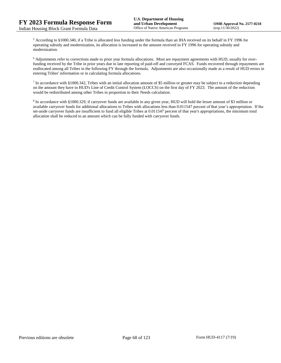<sup>5</sup> According to §1000.340, if a Tribe is allocated less funding under the formula than an IHA received on its behalf in FY 1996 for operating subsidy and modernization, its allocation is increased to the amount received in FY 1996 for operating subsidy and modernization.

<sup>6</sup> Adjustments refer to corrections made to prior year formula allocations. Most are repayment agreements with HUD, usually for overfunding received by the Tribe in prior years due to late reporting of paid-off and conveyed FCAS. Funds recovered through repayments are reallocated among all Tribes in the following FY through the formula. Adjustments are also occasionally made as a result of HUD errors in entering Tribes' information or in calculating formula allocations.

 $^7$  In accordance with §1000.342, Tribes with an initial allocation amount of \$5 million or greater may be subject to a reduction depending on the amount they have in HUD's Line of Credit Control System (LOCCS) on the first day of FY 2023. The amount of the reduction would be redistributed among other Tribes in proportion to their Needs calculation.

<sup>8</sup> In accordance with §1000.329, if carryover funds are available in any given year, HUD will hold the lesser amount of \$3 million or available carryover funds for additional allocations to Tribes with allocations less than 0.011547 percent of that year's appropriation. If the set-aside carryover funds are insufficient to fund all eligible Tribes at 0.011547 percent of that year's appropriations, the minimum total allocation shall be reduced to an amount which can be fully funded with carryover funds.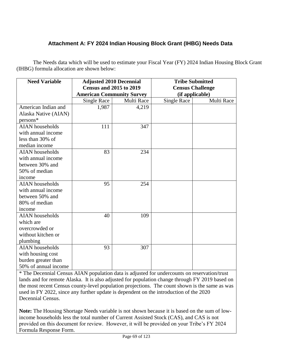# **Attachment A: FY 2024 Indian Housing Block Grant (IHBG) Needs Data**

The Needs data which will be used to estimate your Fiscal Year (FY) 2024 Indian Housing Block Grant (IHBG) formula allocation are shown below:

| <b>Need Variable</b>   | <b>Adjusted 2010 Decennial</b>   |            | <b>Tribe Submitted</b>  |            |
|------------------------|----------------------------------|------------|-------------------------|------------|
|                        | <b>Census and 2015 to 2019</b>   |            | <b>Census Challenge</b> |            |
|                        | <b>American Community Survey</b> |            | (if applicable)         |            |
|                        | Single Race                      | Multi Race | <b>Single Race</b>      | Multi Race |
| American Indian and    | 1,987                            | 4,219      |                         |            |
| Alaska Native (AIAN)   |                                  |            |                         |            |
| $persons*$             |                                  |            |                         |            |
| <b>AIAN</b> households | 111                              | 347        |                         |            |
| with annual income     |                                  |            |                         |            |
| less than 30% of       |                                  |            |                         |            |
| median income          |                                  |            |                         |            |
| <b>AIAN</b> households | 83                               | 234        |                         |            |
| with annual income     |                                  |            |                         |            |
| between 30% and        |                                  |            |                         |            |
| 50% of median          |                                  |            |                         |            |
| income                 |                                  |            |                         |            |
| <b>AIAN</b> households | 95                               | 254        |                         |            |
| with annual income     |                                  |            |                         |            |
| between 50% and        |                                  |            |                         |            |
| 80% of median          |                                  |            |                         |            |
| income                 |                                  |            |                         |            |
| <b>AIAN</b> households | 40                               | 109        |                         |            |
| which are              |                                  |            |                         |            |
| overcrowded or         |                                  |            |                         |            |
| without kitchen or     |                                  |            |                         |            |
| plumbing               |                                  |            |                         |            |
| <b>AIAN</b> households | 93                               | 307        |                         |            |
| with housing cost      |                                  |            |                         |            |
| burden greater than    |                                  |            |                         |            |
| 50% of annual income   |                                  |            |                         |            |

\* The Decennial Census AIAN population data is adjusted for undercounts on reservation/trust lands and for remote Alaska. It is also adjusted for population change through FY 2019 based on the most recent Census county-level population projections. The count shown is the same as was used in FY 2022, since any further update is dependent on the introduction of the 2020 Decennial Census.

**Note:** The Housing Shortage Needs variable is not shown because it is based on the sum of lowincome households less the total number of Current Assisted Stock (CAS), and CAS is not provided on this document for review. However, it will be provided on your Tribe's FY 2024 Formula Response Form.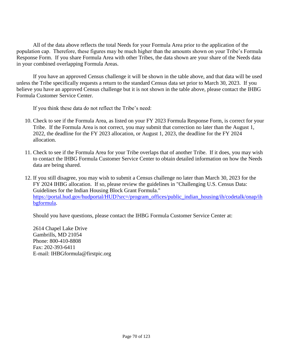All of the data above reflects the total Needs for your Formula Area prior to the application of the population cap. Therefore, these figures may be much higher than the amounts shown on your Tribe's Formula Response Form. If you share Formula Area with other Tribes, the data shown are your share of the Needs data in your combined overlapping Formula Areas.

If you have an approved Census challenge it will be shown in the table above, and that data will be used unless the Tribe specifically requests a return to the standard Census data set prior to March 30, 2023. If you believe you have an approved Census challenge but it is not shown in the table above, please contact the IHBG Formula Customer Service Center.

If you think these data do not reflect the Tribe's need:

- 10. Check to see if the Formula Area, as listed on your FY 2023 Formula Response Form, is correct for your Tribe. If the Formula Area is not correct, you may submit that correction no later than the August 1, 2022, the deadline for the FY 2023 allocation, or August 1, 2023, the deadline for the FY 2024 allocation.
- 11. Check to see if the Formula Area for your Tribe overlaps that of another Tribe. If it does, you may wish to contact the IHBG Formula Customer Service Center to obtain detailed information on how the Needs data are being shared.
- 12. If you still disagree, you may wish to submit a Census challenge no later than March 30, 2023 for the FY 2024 IHBG allocation. If so, please review the guidelines in "Challenging U.S. Census Data: Guidelines for the Indian Housing Block Grant Formula." [https://portal.hud.gov/hudportal/HUD?src=/program\\_offices/public\\_indian\\_housing/ih/codetalk/onap/ih](https://portal.hud.gov/hudportal/HUD?src=/program_offices/public_indian_housing/ih/codetalk/onap/ihbgformula) [bgformula.](https://portal.hud.gov/hudportal/HUD?src=/program_offices/public_indian_housing/ih/codetalk/onap/ihbgformula)

Should you have questions, please contact the IHBG Formula Customer Service Center at:

2614 Chapel Lake Drive Gambrills, MD 21054 Phone: 800-410-8808 Fax: 202-393-6411 E-mail: IHBGformula@firstpic.org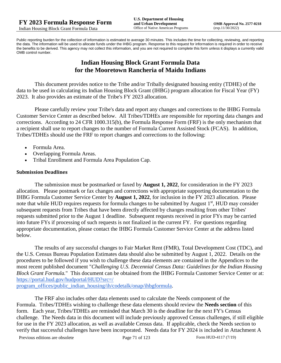Public reporting burden for the collection of information is estimated to average 30 minutes. This includes the time for collecting, reviewing, and reporting the data. The information will be used to allocate funds under the IHBG program. Response to this request for information is required in order to receive the benefits to be derived. This agency may not collect this information, and you are not required to complete this form unless it displays a currently valid OMB control number.

## **Indian Housing Block Grant Formula Data for the Mooretown Rancheria of Maidu Indians**

This document provides notice to the Tribe and/or Tribally designated housing entity (TDHE) of the data to be used in calculating its Indian Housing Block Grant (IHBG) program allocation for Fiscal Year (FY) 2023. It also provides an estimate of the Tribe's FY 2023 allocation.

Please carefully review your Tribe's data and report any changes and corrections to the IHBG Formula Customer Service Center as described below. All Tribes/TDHEs are responsible for reporting data changes and corrections. According to 24 CFR 1000.315(b), the Formula Response Form (FRF) is the only mechanism that a recipient shall use to report changes to the number of Formula Current Assisted Stock (FCAS). In addition, Tribes/TDHEs should use the FRF to report changes and corrections to the following:

- Formula Area.
- Overlapping Formula Areas.
- Tribal Enrollment and Formula Area Population Cap.

### **Submission Deadlines**

The submission must be postmarked or faxed by **August 1, 2022**, for consideration in the FY 2023 allocation. Please postmark or fax changes and corrections with appropriate supporting documentation to the IHBG Formula Customer Service Center by **August 1, 2022**, for inclusion in the FY 2023 allocation. Please note that while HUD requires requests for formula changes to be submitted by August 1<sup>st</sup>, HUD may consider subsequent requests from Tribes that have been directly affected by changes resulting from other Tribes' requests submitted prior to the August 1 deadline. Subsequent requests received in prior FYs may be carried into future FYs if processing of such requests is not finalized in the current FY. For questions regarding appropriate documentation, please contact the IHBG Formula Customer Service Center at the address listed below.

The results of any successful changes to Fair Market Rent (FMR), Total Development Cost (TDC), and the U.S. Census Bureau Population Estimates data should also be submitted by August 1, 2022. Details on the procedures to be followed if you wish to challenge these data elements are contained in the Appendices to the most recent published document "*Challenging U.S. Decennial Census Data: Guidelines for the Indian Housing Block Grant Formula.*" This document can be obtained from the IHBG Formula Customer Service Center or at: [https://portal.hud.gov/hudportal/HUD?src=/](https://portal.hud.gov/hudportal/HUD?src=/program_offices/public_indian_housing/ih/codetalk/onap/ihbgformula) 

[program\\_offices/public\\_indian\\_housing/ih/codetalk/onap/ihbgformula.](https://portal.hud.gov/hudportal/HUD?src=/program_offices/public_indian_housing/ih/codetalk/onap/ihbgformula)

The FRF also includes other data elements used to calculate the Needs component of the Formula. Tribes/TDHEs wishing to challenge these data elements should review the **Needs section** of this form. Each year, Tribes/TDHEs are reminded that March 30 is the deadline for the next FY's Census challenge. The Needs data in this document will include previously approved Census challenges, if still eligible for use in the FY 2023 allocation, as well as available Census data. If applicable, check the Needs section to verify that successful challenges have been incorporated. Needs data for FY 2024 is included in Attachment A

Previous editions are obsolete Page 71 of 123 Form HUD-4117 (7/19)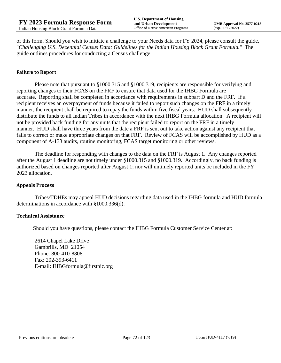of this form. Should you wish to initiate a challenge to your Needs data for FY 2024, please consult the guide, "*Challenging U.S. Decennial Census Data: Guidelines for the Indian Housing Block Grant Formula.*" The guide outlines procedures for conducting a Census challenge.

## **Failure to Report**

Please note that pursuant to §1000.315 and §1000.319, recipients are responsible for verifying and reporting changes to their FCAS on the FRF to ensure that data used for the IHBG Formula are accurate. Reporting shall be completed in accordance with requirements in subpart D and the FRF. If a recipient receives an overpayment of funds because it failed to report such changes on the FRF in a timely manner, the recipient shall be required to repay the funds within five fiscal years. HUD shall subsequently distribute the funds to all Indian Tribes in accordance with the next IHBG Formula allocation. A recipient will not be provided back funding for any units that the recipient failed to report on the FRF in a timely manner. HUD shall have three years from the date a FRF is sent out to take action against any recipient that fails to correct or make appropriate changes on that FRF. Review of FCAS will be accomplished by HUD as a component of A-133 audits, routine monitoring, FCAS target monitoring or other reviews.

The deadline for responding with changes to the data on the FRF is August 1. Any changes reported after the August 1 deadline are not timely under §1000.315 and §1000.319. Accordingly, no back funding is authorized based on changes reported after August 1; nor will untimely reported units be included in the FY 2023 allocation.

#### **Appeals Process**

Tribes/TDHEs may appeal HUD decisions regarding data used in the IHBG formula and HUD formula determinations in accordance with §1000.336(d).

#### **Technical Assistance**

Should you have questions, please contact the IHBG Formula Customer Service Center at:

2614 Chapel Lake Drive Gambrills, MD 21054 Phone: 800-410-8808 Fax: 202-393-6411 E-mail: IHBGformula@firstpic.org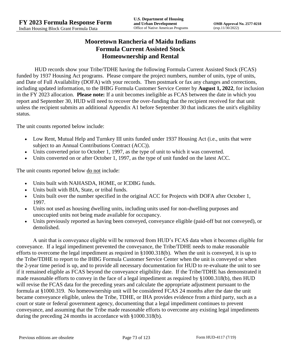# **Mooretown Rancheria of Maidu Indians Formula Current Assisted Stock Homeownership and Rental**

HUD records show your Tribe/TDHE having the following Formula Current Assisted Stock (FCAS) funded by 1937 Housing Act programs. Please compare the project numbers, number of units, type of units, and Date of Full Availability (DOFA) with your records. Then postmark or fax any changes and corrections, including updated information, to the IHBG Formula Customer Service Center by **August 1, 2022**, for inclusion in the FY 2023 allocation. **Please note:** If a unit becomes ineligible as FCAS between the date in which you report and September 30, HUD will need to recover the over-funding that the recipient received for that unit unless the recipient submits an additional Appendix A1 before September 30 that indicates the unit's eligibility status.

The unit counts reported below include:

- Low Rent, Mutual Help and Turnkey III units funded under 1937 Housing Act (i.e., units that were subject to an Annual Contributions Contract (ACC)).
- Units converted prior to October 1, 1997, as the type of unit to which it was converted.
- Units converted on or after October 1, 1997, as the type of unit funded on the latest ACC.

The unit counts reported below <u>do not</u> include:

- Units built with NAHASDA, HOME, or ICDBG funds.
- Units built with BIA, State, or tribal funds.
- Units built over the number specified in the original ACC for Projects with DOFA after October 1, 1997.
- Units not used as housing dwelling units, including units used for non-dwelling purposes and unoccupied units not being made available for occupancy.
- Units previously reported as having been conveyed, conveyance eligible (paid-off but not conveyed), or demolished.

A unit that is conveyance eligible will be removed from HUD's FCAS data when it becomes eligible for conveyance. If a legal impediment prevented the conveyance, the Tribe/TDHE needs to make reasonable efforts to overcome the legal impediment as required in §1000.318(b). When the unit is conveyed, it is up to the Tribe/TDHE to report to the IHBG Formula Customer Service Center when the unit is conveyed or when the 2-year time period is up, and to provide all necessary documentation for HUD to re-evaluate the unit to see if it remained eligible as FCAS beyond the conveyance eligibility date. If the Tribe/TDHE has demonstrated it made reasonable efforts to convey in the face of a legal impediment as required by §1000.318(b), then HUD will revise the FCAS data for the preceding years and calculate the appropriate adjustment pursuant to the formula at §1000.319. No homeownership unit will be considered FCAS 24 months after the date the unit became conveyance eligible, unless the Tribe, TDHE, or IHA provides evidence from a third party, such as a court or state or federal government agency, documenting that a legal impediment continues to prevent conveyance, and assuming that the Tribe made reasonable efforts to overcome any existing legal impediments during the preceding 24 months in accordance with §1000.318(b).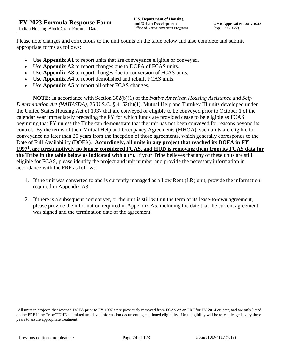Please note changes and corrections to the unit counts on the table below and also complete and submit appropriate forms as follows:

- Use **Appendix A1** to report units that are conveyance eligible or conveyed.
- Use **Appendix A2** to report changes due to DOFA of FCAS units.
- Use **Appendix A3** to report changes due to conversion of FCAS units.
- Use **Appendix A4** to report demolished and rebuilt FCAS units.
- Use **Appendix A5** to report all other FCAS changes.

**NOTE:** In accordance with Section 302(b)(1) of the *Native American Housing Assistance and Self-Determination Act (NAHASDA)*, 25 U.S.C. § 4152(b)(1), Mutual Help and Turnkey III units developed under the United States Housing Act of 1937 that are conveyed or eligible to be conveyed prior to October 1 of the calendar year immediately preceding the FY for which funds are provided cease to be eligible as FCAS beginning that FY unless the Tribe can demonstrate that the unit has not been conveyed for reasons beyond its control. By the terms of their Mutual Help and Occupancy Agreements (MHOA), such units are eligible for conveyance no later than 25 years from the inception of those agreements, which generally corresponds to the Date of Full Availability (DOFA). **Accordingly, all units in any project that reached its DOFA in FY 1997<sup>1</sup> , are presumptively no longer considered FCAS, and HUD is removing them from its FCAS data for the Tribe in the table below as indicated with a (\*).** If your Tribe believes that any of these units are still eligible for FCAS, please identify the project and unit number and provide the necessary information in accordance with the FRF as follows:

- 1. If the unit was converted to and is currently managed as a Low Rent (LR) unit, provide the information required in Appendix A3.
- 2. If there is a subsequent homebuyer, or the unit is still within the term of its lease-to-own agreement, please provide the information required in Appendix A5, including the date that the current agreement was signed and the termination date of the agreement.

<sup>1</sup>All units in projects that reached DOFA prior to FY 1997 were previously removed from FCAS on an FRF for FY 2014 or later, and are only listed on the FRF if the Tribe/TDHE submitted unit level information documenting continued eligibility. Unit eligibility will be re-challenged every three years to assure appropriate treatment.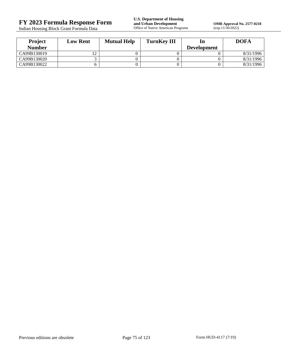Indian Housing Block Grant Formula Data

**OMB Approval No. 2577-0218**<br>(exp.11/30/2022)

| <b>Project</b> | <b>Low Rent</b> | <b>Mutual Help</b> | <b>TurnKey III</b> |                    | <b>DOFA</b> |
|----------------|-----------------|--------------------|--------------------|--------------------|-------------|
| <b>Number</b>  |                 |                    |                    | <b>Development</b> |             |
| CA99B130019    |                 |                    |                    |                    | 8/31/1996   |
| CA99B130020    |                 |                    |                    |                    | 8/31/1996   |
| CA99B130022    |                 |                    |                    |                    | 8/31/1996   |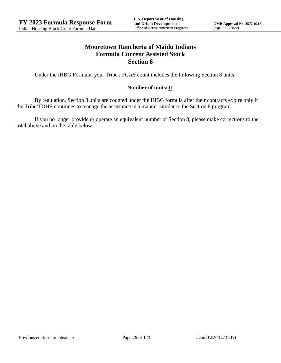## **Mooretown Rancheria of Maidu Indians Formula Current Assisted Stock Section 8**

Under the IHBG Formula, your Tribe's FCAS count includes the following Section 8 units:

## **Number of units: 0**

By regulation, Section 8 units are counted under the IHBG formula after their contracts expire only if the Tribe/TDHE continues to manage the assistance in a manner similar to the Section 8 program.

If you no longer provide or operate an equivalent number of Section 8, please make corrections to the total above and on the table below.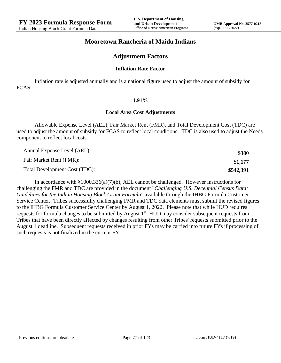## **Mooretown Rancheria of Maidu Indians**

## **Adjustment Factors**

#### **Inflation Rate Factor**

Inflation rate is adjusted annually and is a national figure used to adjust the amount of subsidy for FCAS.

#### **1.91%**

#### **Local Area Cost Adjustments**

Allowable Expense Level (AEL), Fair Market Rent (FMR), and Total Development Cost (TDC) are used to adjust the amount of subsidy for FCAS to reflect local conditions. TDC is also used to adjust the Needs component to reflect local costs.

| Annual Expense Level (AEL):   | \$380     |
|-------------------------------|-----------|
| Fair Market Rent (FMR):       | \$1,177   |
| Total Development Cost (TDC): | \$542,391 |

In accordance with §1000.336(a)(7)(b), AEL cannot be challenged. However instructions for challenging the FMR and TDC are provided in the document "*Challenging U.S. Decennial Census Data: Guidelines for the Indian Housing Block Grant Formula*" available through the IHBG Formula Customer Service Center. Tribes successfully challenging FMR and TDC data elements must submit the revised figures to the IHBG Formula Customer Service Center by August 1, 2022. Please note that while HUD requires requests for formula changes to be submitted by August 1<sup>st</sup>, HUD may consider subsequent requests from Tribes that have been directly affected by changes resulting from other Tribes' requests submitted prior to the August 1 deadline. Subsequent requests received in prior FYs may be carried into future FYs if processing of such requests is not finalized in the current FY.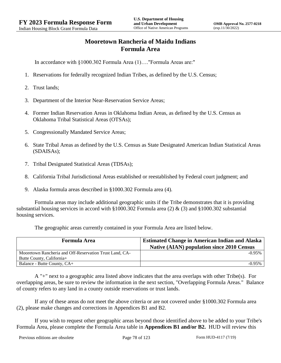# **Mooretown Rancheria of Maidu Indians Formula Area**

In accordance with §1000.302 Formula Area (1)…."Formula Areas are:"

- 1. Reservations for federally recognized Indian Tribes, as defined by the U.S. Census;
- 2. Trust lands;
- 3. Department of the Interior Near-Reservation Service Areas;
- 4. Former Indian Reservation Areas in Oklahoma Indian Areas, as defined by the U.S. Census as Oklahoma Tribal Statistical Areas (OTSAs);
- 5. Congressionally Mandated Service Areas;
- 6. State Tribal Areas as defined by the U.S. Census as State Designated American Indian Statistical Areas (SDAISAs);
- 7. Tribal Designated Statistical Areas (TDSAs);
- 8. California Tribal Jurisdictional Areas established or reestablished by Federal court judgment; and
- 9. Alaska formula areas described in §1000.302 Formula area (4).

Formula areas may include additional geographic units if the Tribe demonstrates that it is providing substantial housing services in accord with §1000.302 Formula area (2) & (3) and §1000.302 substantial housing services.

The geographic areas currently contained in your Formula Area are listed below.

| <b>Formula Area</b>                                     | <b>Estimated Change in American Indian and Alaska</b><br><b>Native (AIAN) population since 2010 Census</b> |  |  |
|---------------------------------------------------------|------------------------------------------------------------------------------------------------------------|--|--|
| Mooretown Rancheria and Off-Reservation Trust Land, CA- | $-0.95%$                                                                                                   |  |  |
| Butte County, California+                               |                                                                                                            |  |  |
| Balance - Butte County, CA+                             | $-0.95\%$                                                                                                  |  |  |

A "+" next to a geographic area listed above indicates that the area overlaps with other Tribe(s). For overlapping areas, be sure to review the information in the next section, "Overlapping Formula Areas." Balance of county refers to any land in a county outside reservations or trust lands.

If any of these areas do not meet the above criteria or are not covered under §1000.302 Formula area (2), please make changes and corrections in Appendices B1 and B2.

If you wish to request other geographic areas beyond those identified above to be added to your Tribe's Formula Area, please complete the Formula Area table in **Appendices B1 and/or B2.** HUD will review this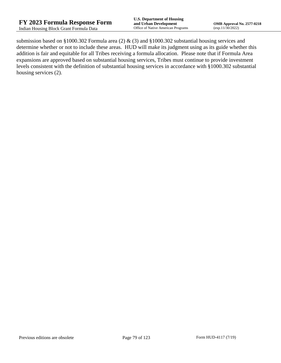submission based on §1000.302 Formula area (2) & (3) and §1000.302 substantial housing services and determine whether or not to include these areas. HUD will make its judgment using as its guide whether this addition is fair and equitable for all Tribes receiving a formula allocation. Please note that if Formula Area expansions are approved based on substantial housing services, Tribes must continue to provide investment levels consistent with the definition of substantial housing services in accordance with §1000.302 substantial housing services (2).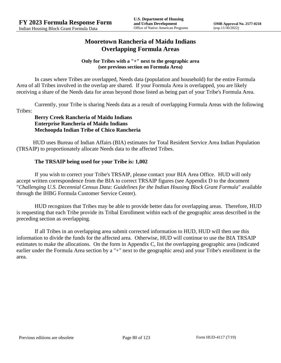# **Mooretown Rancheria of Maidu Indians Overlapping Formula Areas**

## **Only for Tribes with a "+" next to the geographic area (see previous section on Formula Area)**

In cases where Tribes are overlapped, Needs data (population and household) for the entire Formula Area of all Tribes involved in the overlap are shared. If your Formula Area is overlapped, you are likely receiving a share of the Needs data for areas beyond those listed as being part of your Tribe's Formula Area.

Currently, your Tribe is sharing Needs data as a result of overlapping Formula Areas with the following Tribes:

## **Berry Creek Rancheria of Maidu Indians Enterprise Rancheria of Maidu Indians Mechoopda Indian Tribe of Chico Rancheria**

HUD uses Bureau of Indian Affairs (BIA) estimates for Total Resident Service Area Indian Population (TRSAIP) to proportionately allocate Needs data to the affected Tribes.

## **The TRSAIP being used for your Tribe is: 1,002**

If you wish to correct your Tribe's TRSAIP, please contact your BIA Area Office. HUD will only accept written correspondence from the BIA to correct TRSAIP figures (see Appendix D to the document "*Challenging U.S. Decennial Census Data: Guidelines for the Indian Housing Block Grant Formula*" available through the IHBG Formula Customer Service Center).

HUD recognizes that Tribes may be able to provide better data for overlapping areas. Therefore, HUD is requesting that each Tribe provide its Tribal Enrollment within each of the geographic areas described in the preceding section as overlapping.

If all Tribes in an overlapping area submit corrected information to HUD, HUD will then use this information to divide the funds for the affected area. Otherwise, HUD will continue to use the BIA TRSAIP estimates to make the allocations. On the form in Appendix C, list the overlapping geographic area (indicated earlier under the Formula Area section by a "+" next to the geographic area) and your Tribe's enrollment in the area.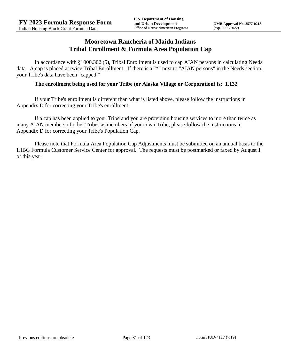## **Mooretown Rancheria of Maidu Indians Tribal Enrollment & Formula Area Population Cap**

In accordance with §1000.302 (5), Tribal Enrollment is used to cap AIAN persons in calculating Needs data. A cap is placed at twice Tribal Enrollment. If there is a "\*" next to "AIAN persons" in the Needs section, your Tribe's data have been "capped."

## **The enrollment being used for your Tribe (or Alaska Village or Corporation) is: 1,132**

If your Tribe's enrollment is different than what is listed above, please follow the instructions in Appendix D for correcting your Tribe's enrollment.

If a cap has been applied to your Tribe and you are providing housing services to more than twice as many AIAN members of other Tribes as members of your own Tribe, please follow the instructions in Appendix D for correcting your Tribe's Population Cap.

Please note that Formula Area Population Cap Adjustments must be submitted on an annual basis to the IHBG Formula Customer Service Center for approval. The requests must be postmarked or faxed by August 1 of this year.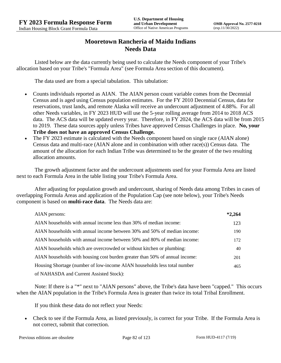# **Mooretown Rancheria of Maidu Indians Needs Data**

Listed below are the data currently being used to calculate the Needs component of your Tribe's allocation based on your Tribe's "Formula Area" (see Formula Area section of this document).

The data used are from a special tabulation. This tabulation:

- Counts individuals reported as AIAN. The AIAN person count variable comes from the Decennial Census and is aged using Census population estimates. For the FY 2010 Decennial Census, data for reservations, trust lands, and remote Alaska will receive an undercount adjustment of 4.88%. For all other Needs variables, in FY 2023 HUD will use the 5-year rolling average from 2014 to 2018 ACS data. The ACS data will be updated every year. Therefore, in FY 2024, the ACS data will be from 2015 to 2019. These data sources apply unless Tribes have approved Census Challenges in place. **No, your Tribe does not have an approved Census Challenge.**
- The FY 2023 estimate is calculated with the Needs component based on single race (AIAN alone) Census data and multi-race (AIAN alone and in combination with other race(s)) Census data. The amount of the allocation for each Indian Tribe was determined to be the greater of the two resulting allocation amounts.

The growth adjustment factor and the undercount adjustments used for your Formula Area are listed next to each Formula Area in the table listing your Tribe's Formula Area.

After adjusting for population growth and undercount, sharing of Needs data among Tribes in cases of overlapping Formula Areas and application of the Population Cap (see note below), your Tribe's Needs component is based on **multi-race data**. The Needs data are:

| AIAN persons:                                                               | $*2,264$ |
|-----------------------------------------------------------------------------|----------|
| AIAN households with annual income less than 30% of median income:          | 123      |
| AIAN households with annual income between 30% and 50% of median income:    | 190      |
| AIAN households with annual income between 50% and 80% of median income:    | 172      |
| AIAN households which are overcrowded or without kitchen or plumbing:       | 40       |
| AIAN households with housing cost burden greater than 50% of annual income: | 201      |
| Housing Shortage (number of low-income AIAN households less total number    | 465      |
| of NAHASDA and Current Assisted Stock):                                     |          |

Note: If there is a "\*" next to "AIAN persons" above, the Tribe's data have been "capped." This occurs when the AIAN population in the Tribe's Formula Area is greater than twice its total Tribal Enrollment.

If you think these data do not reflect your Needs:

 Check to see if the Formula Area, as listed previously, is correct for your Tribe. If the Formula Area is not correct, submit that correction.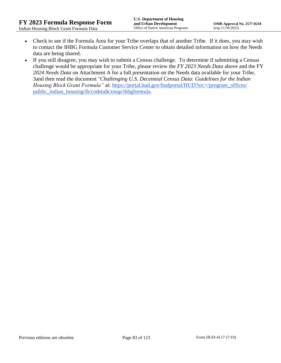- Check to see if the Formula Area for your Tribe overlaps that of another Tribe. If it does, you may wish to contact the IHBG Formula Customer Service Center to obtain detailed information on how the Needs data are being shared.
- If you still disagree, you may wish to submit a Census challenge. To determine if submitting a Census challenge would be appropriate for your Tribe, please review the *FY 2023 Needs Data* above and the FY *2024 Needs Data* on Attachment A for a full presentation on the Needs data available for your Tribe, 3and then read the document "*Challenging U.S. Decennial Census Data: Guidelines for the Indian Housing Block Grant Formula*" at: https://portal.hud.gov/hudportal/HUD?src=/program\_offices/ [public\\_indian\\_housing/ih/codetalk/onap/ihbgformula.](https://portal.hud.gov/hudportal/HUD?src=/program_offices/public_indian_housing/ih/codetalk/onap/ihbgformula)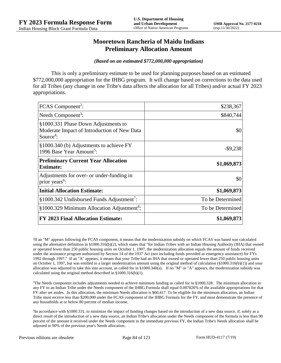## **Mooretown Rancheria of Maidu Indians Preliminary Allocation Amount**

#### *(Based on an estimated \$772,000,000 appropriation)*

This is only a preliminary estimate to be used for planning purposes based on an estimated \$772,000,000 appropriation for the IHBG program. It will change based on corrections to the data used for all Tribes (any change in one Tribe's data affects the allocation for all Tribes) and/or actual FY 2023 appropriations.

| FCAS Component <sup>2</sup> :                                                                               | \$238,367        |
|-------------------------------------------------------------------------------------------------------------|------------------|
| Needs Component <sup>3</sup> :                                                                              | \$840,744        |
| §1000.331 Phase Down Adjustments to<br>Moderate Impact of Introduction of New Data<br>Source <sup>4</sup> : | \$0              |
| §1000.340 (b) Adjustments to achieve FY<br>1996 Base Year Amount <sup>5</sup> :                             | $-$9,238$        |
| <b>Preliminary Current Year Allocation</b><br><b>Estimate:</b>                                              | \$1,069,873      |
| Adjustments for over- or under-funding in<br>prior years <sup>6</sup> :                                     | \$0              |
| <b>Initial Allocation Estimate:</b>                                                                         | \$1,069,873      |
| $§1000.342$ Undisbursed Funds Adjustment <sup>7</sup> :                                                     | To be Determined |
| §1000.329 Minimum Allocation Adjustment <sup>8</sup> :                                                      | To be Determined |
| <b>FY 2023 Final Allocation Estimate:</b>                                                                   | \$1,069,873      |

2 If an "M" appears following the FCAS component, it means that the modernization subsidy on which FCAS was based was calculated using the alternative definition in §1000.316(b)(2), which states that "for Indian Tribes with an Indian Housing Authority (IHA) that owned or operated fewer than 250 public housing units on October 1, 1997, the modernization allocation equals the amount of funds received under the assistance program authorized by Section 14 of the 1937 Act (not including funds provided as emergency assistance) for FYs 1992 through 1997." If an "A" appears, it means that your Tribe had an IHA that owned or operated fewer than 250 public housing units on October 1, 1997, but was entitled to a larger modernization amount using the original method of calculation  $(\frac{81000.316(b)(1)}{2000.316(b)(1)})$  and your allocation was adjusted to take this into account, as called for in  $\S1000.340(a)$ . If no "M" or "A" appears, the modernization subsidy was calculated using the original method described in §1000.316(b)(1).

 $3$ The Needs component includes adjustments needed to achieve minimum funding as called for in §1000.328. The minimum allocation in any FY to an Indian Tribe under the Needs component of the IHBG Formula shall equal 0.007826% of the available appropriations for that FY after set asides. In this allocation, the minimum Needs allocation is \$60,417. To be eligible for the minimum allocation, an Indian Tribe must receive less than \$200,000 under the FCAS component of the IHBG Formula for the FY, and must demonstrate the presence of any households at or below 80 percent of median income.

4 In accordance with §1000.331, to minimize the impact of funding changes based on the introduction of a new data source, if, solely as a direct result of the introduction of a new data source, an Indian Tribe's allocation under the Needs component of the formula is less than 90 percent of the amount it received under the Needs component in the immediate previous FY, the Indian Tribe's Needs allocation shall be adjusted to 90% of the previous year's Needs allocation.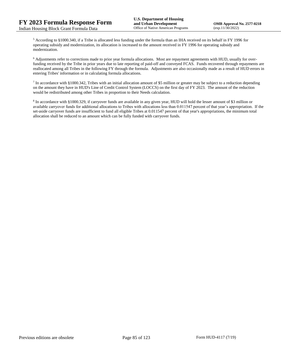<sup>5</sup> According to §1000.340, if a Tribe is allocated less funding under the formula than an IHA received on its behalf in FY 1996 for operating subsidy and modernization, its allocation is increased to the amount received in FY 1996 for operating subsidy and modernization.

<sup>6</sup> Adjustments refer to corrections made to prior year formula allocations. Most are repayment agreements with HUD, usually for overfunding received by the Tribe in prior years due to late reporting of paid-off and conveyed FCAS. Funds recovered through repayments are reallocated among all Tribes in the following FY through the formula. Adjustments are also occasionally made as a result of HUD errors in entering Tribes' information or in calculating formula allocations.

 $^7$  In accordance with §1000.342, Tribes with an initial allocation amount of \$5 million or greater may be subject to a reduction depending on the amount they have in HUD's Line of Credit Control System (LOCCS) on the first day of FY 2023. The amount of the reduction would be redistributed among other Tribes in proportion to their Needs calculation.

<sup>8</sup> In accordance with §1000.329, if carryover funds are available in any given year, HUD will hold the lesser amount of \$3 million or available carryover funds for additional allocations to Tribes with allocations less than 0.011547 percent of that year's appropriation. If the set-aside carryover funds are insufficient to fund all eligible Tribes at 0.011547 percent of that year's appropriations, the minimum total allocation shall be reduced to an amount which can be fully funded with carryover funds.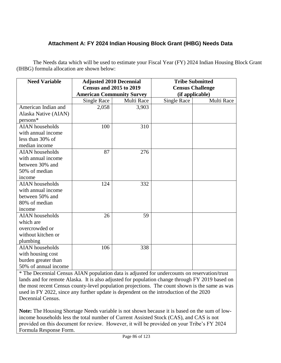# **Attachment A: FY 2024 Indian Housing Block Grant (IHBG) Needs Data**

The Needs data which will be used to estimate your Fiscal Year (FY) 2024 Indian Housing Block Grant (IHBG) formula allocation are shown below:

| <b>Need Variable</b>   | <b>Adjusted 2010 Decennial</b>   |            | <b>Tribe Submitted</b>  |            |
|------------------------|----------------------------------|------------|-------------------------|------------|
|                        | <b>Census and 2015 to 2019</b>   |            | <b>Census Challenge</b> |            |
|                        | <b>American Community Survey</b> |            | (if applicable)         |            |
|                        | Single Race                      | Multi Race | <b>Single Race</b>      | Multi Race |
| American Indian and    | 2,058                            | 3,903      |                         |            |
| Alaska Native (AIAN)   |                                  |            |                         |            |
| $persons*$             |                                  |            |                         |            |
| <b>AIAN</b> households | 100                              | 310        |                         |            |
| with annual income     |                                  |            |                         |            |
| less than 30% of       |                                  |            |                         |            |
| median income          |                                  |            |                         |            |
| <b>AIAN</b> households | 87                               | 276        |                         |            |
| with annual income     |                                  |            |                         |            |
| between 30% and        |                                  |            |                         |            |
| 50% of median          |                                  |            |                         |            |
| income                 |                                  |            |                         |            |
| <b>AIAN</b> households | 124                              | 332        |                         |            |
| with annual income     |                                  |            |                         |            |
| between 50% and        |                                  |            |                         |            |
| 80% of median          |                                  |            |                         |            |
| income                 |                                  |            |                         |            |
| <b>AIAN</b> households | 26                               | 59         |                         |            |
| which are              |                                  |            |                         |            |
| overcrowded or         |                                  |            |                         |            |
| without kitchen or     |                                  |            |                         |            |
| plumbing               |                                  |            |                         |            |
| <b>AIAN</b> households | 106                              | 338        |                         |            |
| with housing cost      |                                  |            |                         |            |
| burden greater than    |                                  |            |                         |            |
| 50% of annual income   |                                  |            |                         |            |

\* The Decennial Census AIAN population data is adjusted for undercounts on reservation/trust lands and for remote Alaska. It is also adjusted for population change through FY 2019 based on the most recent Census county-level population projections. The count shown is the same as was used in FY 2022, since any further update is dependent on the introduction of the 2020 Decennial Census.

**Note:** The Housing Shortage Needs variable is not shown because it is based on the sum of lowincome households less the total number of Current Assisted Stock (CAS), and CAS is not provided on this document for review. However, it will be provided on your Tribe's FY 2024 Formula Response Form.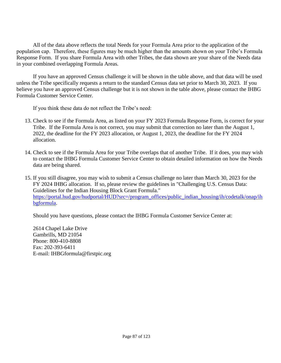All of the data above reflects the total Needs for your Formula Area prior to the application of the population cap. Therefore, these figures may be much higher than the amounts shown on your Tribe's Formula Response Form. If you share Formula Area with other Tribes, the data shown are your share of the Needs data in your combined overlapping Formula Areas.

If you have an approved Census challenge it will be shown in the table above, and that data will be used unless the Tribe specifically requests a return to the standard Census data set prior to March 30, 2023. If you believe you have an approved Census challenge but it is not shown in the table above, please contact the IHBG Formula Customer Service Center.

If you think these data do not reflect the Tribe's need:

- 13. Check to see if the Formula Area, as listed on your FY 2023 Formula Response Form, is correct for your Tribe. If the Formula Area is not correct, you may submit that correction no later than the August 1, 2022, the deadline for the FY 2023 allocation, or August 1, 2023, the deadline for the FY 2024 allocation.
- 14. Check to see if the Formula Area for your Tribe overlaps that of another Tribe. If it does, you may wish to contact the IHBG Formula Customer Service Center to obtain detailed information on how the Needs data are being shared.
- 15. If you still disagree, you may wish to submit a Census challenge no later than March 30, 2023 for the FY 2024 IHBG allocation. If so, please review the guidelines in "Challenging U.S. Census Data: Guidelines for the Indian Housing Block Grant Formula." [https://portal.hud.gov/hudportal/HUD?src=/program\\_offices/public\\_indian\\_housing/ih/codetalk/onap/ih](https://portal.hud.gov/hudportal/HUD?src=/program_offices/public_indian_housing/ih/codetalk/onap/ihbgformula) [bgformula.](https://portal.hud.gov/hudportal/HUD?src=/program_offices/public_indian_housing/ih/codetalk/onap/ihbgformula)

Should you have questions, please contact the IHBG Formula Customer Service Center at:

2614 Chapel Lake Drive Gambrills, MD 21054 Phone: 800-410-8808 Fax: 202-393-6411 E-mail: IHBGformula@firstpic.org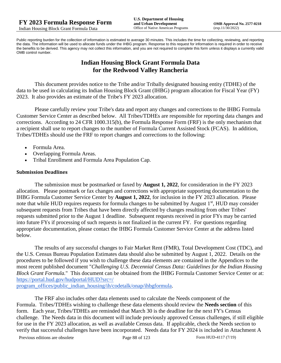Public reporting burden for the collection of information is estimated to average 30 minutes. This includes the time for collecting, reviewing, and reporting the data. The information will be used to allocate funds under the IHBG program. Response to this request for information is required in order to receive the benefits to be derived. This agency may not collect this information, and you are not required to complete this form unless it displays a currently valid OMB control number.

# **Indian Housing Block Grant Formula Data for the Redwood Valley Rancheria**

This document provides notice to the Tribe and/or Tribally designated housing entity (TDHE) of the data to be used in calculating its Indian Housing Block Grant (IHBG) program allocation for Fiscal Year (FY) 2023. It also provides an estimate of the Tribe's FY 2023 allocation.

Please carefully review your Tribe's data and report any changes and corrections to the IHBG Formula Customer Service Center as described below. All Tribes/TDHEs are responsible for reporting data changes and corrections. According to 24 CFR 1000.315(b), the Formula Response Form (FRF) is the only mechanism that a recipient shall use to report changes to the number of Formula Current Assisted Stock (FCAS). In addition, Tribes/TDHEs should use the FRF to report changes and corrections to the following:

- Formula Area.
- Overlapping Formula Areas.
- Tribal Enrollment and Formula Area Population Cap.

## **Submission Deadlines**

The submission must be postmarked or faxed by **August 1, 2022**, for consideration in the FY 2023 allocation. Please postmark or fax changes and corrections with appropriate supporting documentation to the IHBG Formula Customer Service Center by **August 1, 2022**, for inclusion in the FY 2023 allocation. Please note that while HUD requires requests for formula changes to be submitted by August 1<sup>st</sup>, HUD may consider subsequent requests from Tribes that have been directly affected by changes resulting from other Tribes' requests submitted prior to the August 1 deadline. Subsequent requests received in prior FYs may be carried into future FYs if processing of such requests is not finalized in the current FY. For questions regarding appropriate documentation, please contact the IHBG Formula Customer Service Center at the address listed below.

The results of any successful changes to Fair Market Rent (FMR), Total Development Cost (TDC), and the U.S. Census Bureau Population Estimates data should also be submitted by August 1, 2022. Details on the procedures to be followed if you wish to challenge these data elements are contained in the Appendices to the most recent published document "*Challenging U.S. Decennial Census Data: Guidelines for the Indian Housing Block Grant Formula.*" This document can be obtained from the IHBG Formula Customer Service Center or at: [https://portal.hud.gov/hudportal/HUD?src=/](https://portal.hud.gov/hudportal/HUD?src=/program_offices/public_indian_housing/ih/codetalk/onap/ihbgformula) 

[program\\_offices/public\\_indian\\_housing/ih/codetalk/onap/ihbgformula.](https://portal.hud.gov/hudportal/HUD?src=/program_offices/public_indian_housing/ih/codetalk/onap/ihbgformula)

The FRF also includes other data elements used to calculate the Needs component of the Formula. Tribes/TDHEs wishing to challenge these data elements should review the **Needs section** of this form. Each year, Tribes/TDHEs are reminded that March 30 is the deadline for the next FY's Census challenge. The Needs data in this document will include previously approved Census challenges, if still eligible for use in the FY 2023 allocation, as well as available Census data. If applicable, check the Needs section to verify that successful challenges have been incorporated. Needs data for FY 2024 is included in Attachment A

Previous editions are obsolete Page 88 of 123 Form HUD-4117 (7/19)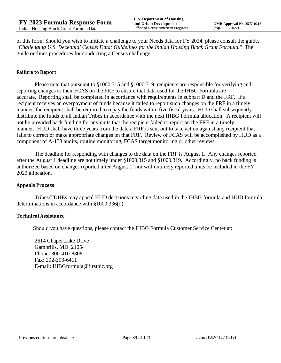of this form. Should you wish to initiate a challenge to your Needs data for FY 2024, please consult the guide, "*Challenging U.S. Decennial Census Data: Guidelines for the Indian Housing Block Grant Formula.*" The guide outlines procedures for conducting a Census challenge.

## **Failure to Report**

Please note that pursuant to §1000.315 and §1000.319, recipients are responsible for verifying and reporting changes to their FCAS on the FRF to ensure that data used for the IHBG Formula are accurate. Reporting shall be completed in accordance with requirements in subpart D and the FRF. If a recipient receives an overpayment of funds because it failed to report such changes on the FRF in a timely manner, the recipient shall be required to repay the funds within five fiscal years. HUD shall subsequently distribute the funds to all Indian Tribes in accordance with the next IHBG Formula allocation. A recipient will not be provided back funding for any units that the recipient failed to report on the FRF in a timely manner. HUD shall have three years from the date a FRF is sent out to take action against any recipient that fails to correct or make appropriate changes on that FRF. Review of FCAS will be accomplished by HUD as a component of A-133 audits, routine monitoring, FCAS target monitoring or other reviews.

The deadline for responding with changes to the data on the FRF is August 1. Any changes reported after the August 1 deadline are not timely under §1000.315 and §1000.319. Accordingly, no back funding is authorized based on changes reported after August 1; nor will untimely reported units be included in the FY 2023 allocation.

#### **Appeals Process**

Tribes/TDHEs may appeal HUD decisions regarding data used in the IHBG formula and HUD formula determinations in accordance with §1000.336(d).

#### **Technical Assistance**

Should you have questions, please contact the IHBG Formula Customer Service Center at:

2614 Chapel Lake Drive Gambrills, MD 21054 Phone: 800-410-8808 Fax: 202-393-6411 E-mail: IHBGformula@firstpic.org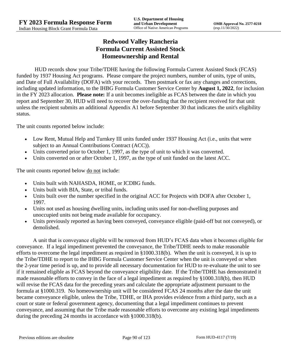# **Redwood Valley Rancheria Formula Current Assisted Stock Homeownership and Rental**

HUD records show your Tribe/TDHE having the following Formula Current Assisted Stock (FCAS) funded by 1937 Housing Act programs. Please compare the project numbers, number of units, type of units, and Date of Full Availability (DOFA) with your records. Then postmark or fax any changes and corrections, including updated information, to the IHBG Formula Customer Service Center by **August 1, 2022**, for inclusion in the FY 2023 allocation. **Please note:** If a unit becomes ineligible as FCAS between the date in which you report and September 30, HUD will need to recover the over-funding that the recipient received for that unit unless the recipient submits an additional Appendix A1 before September 30 that indicates the unit's eligibility status.

The unit counts reported below include:

- Low Rent, Mutual Help and Turnkey III units funded under 1937 Housing Act (i.e., units that were subject to an Annual Contributions Contract (ACC)).
- Units converted prior to October 1, 1997, as the type of unit to which it was converted.
- Units converted on or after October 1, 1997, as the type of unit funded on the latest ACC.

The unit counts reported below <u>do not</u> include:

- Units built with NAHASDA, HOME, or ICDBG funds.
- Units built with BIA, State, or tribal funds.
- Units built over the number specified in the original ACC for Projects with DOFA after October 1, 1997.
- Units not used as housing dwelling units, including units used for non-dwelling purposes and unoccupied units not being made available for occupancy.
- Units previously reported as having been conveyed, conveyance eligible (paid-off but not conveyed), or demolished.

A unit that is conveyance eligible will be removed from HUD's FCAS data when it becomes eligible for conveyance. If a legal impediment prevented the conveyance, the Tribe/TDHE needs to make reasonable efforts to overcome the legal impediment as required in §1000.318(b). When the unit is conveyed, it is up to the Tribe/TDHE to report to the IHBG Formula Customer Service Center when the unit is conveyed or when the 2-year time period is up, and to provide all necessary documentation for HUD to re-evaluate the unit to see if it remained eligible as FCAS beyond the conveyance eligibility date. If the Tribe/TDHE has demonstrated it made reasonable efforts to convey in the face of a legal impediment as required by §1000.318(b), then HUD will revise the FCAS data for the preceding years and calculate the appropriate adjustment pursuant to the formula at §1000.319. No homeownership unit will be considered FCAS 24 months after the date the unit became conveyance eligible, unless the Tribe, TDHE, or IHA provides evidence from a third party, such as a court or state or federal government agency, documenting that a legal impediment continues to prevent conveyance, and assuming that the Tribe made reasonable efforts to overcome any existing legal impediments during the preceding 24 months in accordance with §1000.318(b).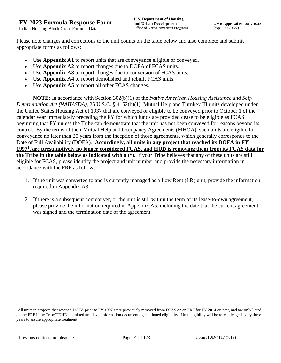Please note changes and corrections to the unit counts on the table below and also complete and submit appropriate forms as follows:

- Use **Appendix A1** to report units that are conveyance eligible or conveyed.
- Use **Appendix A2** to report changes due to DOFA of FCAS units.
- Use **Appendix A3** to report changes due to conversion of FCAS units.
- Use **Appendix A4** to report demolished and rebuilt FCAS units.
- Use **Appendix A5** to report all other FCAS changes.

**NOTE:** In accordance with Section 302(b)(1) of the *Native American Housing Assistance and Self-Determination Act (NAHASDA)*, 25 U.S.C. § 4152(b)(1), Mutual Help and Turnkey III units developed under the United States Housing Act of 1937 that are conveyed or eligible to be conveyed prior to October 1 of the calendar year immediately preceding the FY for which funds are provided cease to be eligible as FCAS beginning that FY unless the Tribe can demonstrate that the unit has not been conveyed for reasons beyond its control. By the terms of their Mutual Help and Occupancy Agreements (MHOA), such units are eligible for conveyance no later than 25 years from the inception of those agreements, which generally corresponds to the Date of Full Availability (DOFA). **Accordingly, all units in any project that reached its DOFA in FY 1997<sup>1</sup> , are presumptively no longer considered FCAS, and HUD is removing them from its FCAS data for the Tribe in the table below as indicated with a (\*).** If your Tribe believes that any of these units are still eligible for FCAS, please identify the project and unit number and provide the necessary information in accordance with the FRF as follows:

- 1. If the unit was converted to and is currently managed as a Low Rent (LR) unit, provide the information required in Appendix A3.
- 2. If there is a subsequent homebuyer, or the unit is still within the term of its lease-to-own agreement, please provide the information required in Appendix A5, including the date that the current agreement was signed and the termination date of the agreement.

<sup>1</sup>All units in projects that reached DOFA prior to FY 1997 were previously removed from FCAS on an FRF for FY 2014 or later, and are only listed on the FRF if the Tribe/TDHE submitted unit level information documenting continued eligibility. Unit eligibility will be re-challenged every three years to assure appropriate treatment.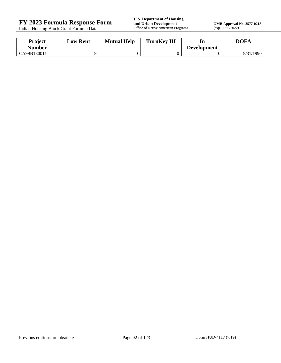Indian Housing Block Grant Formula Data

**FY 2023 Formula Response Form**<br> **FY 2023 Formula Response Form**<br> **Indian Housing Block Grant Formula Data**<br> **Office of Native American Programs** 

**OMB Approval No. 2577-0218**<br>(exp.11/30/2022)

| <b>Project</b><br>Number | <b>Low Rent</b> | <b>Mutual Help</b> | <b>TurnKey III</b> | In<br><b>Development</b> | <b>DOFA</b> |
|--------------------------|-----------------|--------------------|--------------------|--------------------------|-------------|
| CA99B130011              |                 |                    |                    |                          | 5/31/1990   |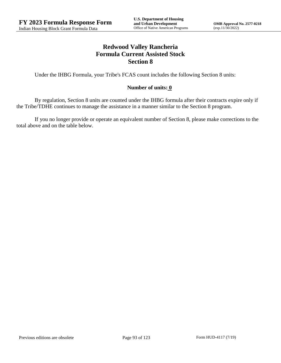# **Redwood Valley Rancheria Formula Current Assisted Stock Section 8**

Under the IHBG Formula, your Tribe's FCAS count includes the following Section 8 units:

## **Number of units: 0**

By regulation, Section 8 units are counted under the IHBG formula after their contracts expire only if the Tribe/TDHE continues to manage the assistance in a manner similar to the Section 8 program.

If you no longer provide or operate an equivalent number of Section 8, please make corrections to the total above and on the table below.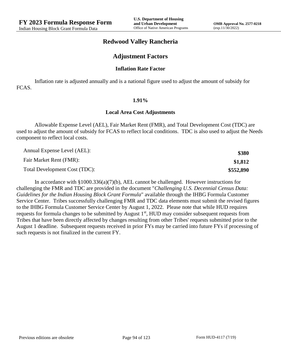## **Redwood Valley Rancheria**

## **Adjustment Factors**

#### **Inflation Rate Factor**

Inflation rate is adjusted annually and is a national figure used to adjust the amount of subsidy for FCAS.

#### **1.91%**

#### **Local Area Cost Adjustments**

Allowable Expense Level (AEL), Fair Market Rent (FMR), and Total Development Cost (TDC) are used to adjust the amount of subsidy for FCAS to reflect local conditions. TDC is also used to adjust the Needs component to reflect local costs.

| Annual Expense Level (AEL):   | \$380     |
|-------------------------------|-----------|
| Fair Market Rent (FMR):       | \$1,812   |
| Total Development Cost (TDC): | \$552,890 |

In accordance with §1000.336(a)(7)(b), AEL cannot be challenged. However instructions for challenging the FMR and TDC are provided in the document "*Challenging U.S. Decennial Census Data: Guidelines for the Indian Housing Block Grant Formula*" available through the IHBG Formula Customer Service Center. Tribes successfully challenging FMR and TDC data elements must submit the revised figures to the IHBG Formula Customer Service Center by August 1, 2022. Please note that while HUD requires requests for formula changes to be submitted by August 1<sup>st</sup>, HUD may consider subsequent requests from Tribes that have been directly affected by changes resulting from other Tribes' requests submitted prior to the August 1 deadline. Subsequent requests received in prior FYs may be carried into future FYs if processing of such requests is not finalized in the current FY.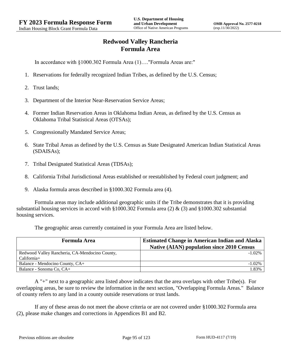# **Redwood Valley Rancheria Formula Area**

In accordance with §1000.302 Formula Area (1)…."Formula Areas are:"

- 1. Reservations for federally recognized Indian Tribes, as defined by the U.S. Census;
- 2. Trust lands;
- 3. Department of the Interior Near-Reservation Service Areas;
- 4. Former Indian Reservation Areas in Oklahoma Indian Areas, as defined by the U.S. Census as Oklahoma Tribal Statistical Areas (OTSAs);
- 5. Congressionally Mandated Service Areas;
- 6. State Tribal Areas as defined by the U.S. Census as State Designated American Indian Statistical Areas (SDAISAs);
- 7. Tribal Designated Statistical Areas (TDSAs);
- 8. California Tribal Jurisdictional Areas established or reestablished by Federal court judgment; and
- 9. Alaska formula areas described in §1000.302 Formula area (4).

Formula areas may include additional geographic units if the Tribe demonstrates that it is providing substantial housing services in accord with §1000.302 Formula area (2) & (3) and §1000.302 substantial housing services.

The geographic areas currently contained in your Formula Area are listed below.

| <b>Formula Area</b>                            | <b>Estimated Change in American Indian and Alaska</b><br><b>Native (AIAN) population since 2010 Census</b> |  |
|------------------------------------------------|------------------------------------------------------------------------------------------------------------|--|
| Redwood Valley Rancheria, CA-Mendocino County, | $-1.02\%$                                                                                                  |  |
| $California+$                                  |                                                                                                            |  |
| Balance - Mendocino County, CA+                | $-1.02\%$                                                                                                  |  |
| Balance - Sonoma Co, CA+                       | .83%                                                                                                       |  |

A "+" next to a geographic area listed above indicates that the area overlaps with other Tribe(s). For overlapping areas, be sure to review the information in the next section, "Overlapping Formula Areas." Balance of county refers to any land in a county outside reservations or trust lands.

If any of these areas do not meet the above criteria or are not covered under §1000.302 Formula area (2), please make changes and corrections in Appendices B1 and B2.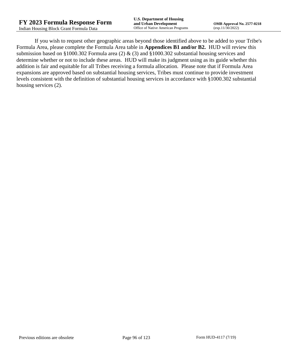If you wish to request other geographic areas beyond those identified above to be added to your Tribe's Formula Area, please complete the Formula Area table in **Appendices B1 and/or B2.** HUD will review this submission based on §1000.302 Formula area (2) & (3) and §1000.302 substantial housing services and determine whether or not to include these areas. HUD will make its judgment using as its guide whether this addition is fair and equitable for all Tribes receiving a formula allocation. Please note that if Formula Area expansions are approved based on substantial housing services, Tribes must continue to provide investment levels consistent with the definition of substantial housing services in accordance with §1000.302 substantial housing services (2).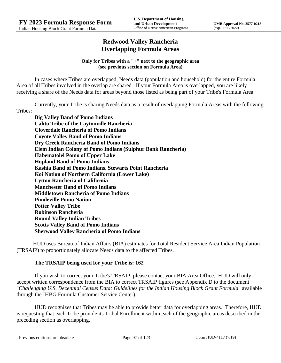## **Redwood Valley Rancheria Overlapping Formula Areas**

## **Only for Tribes with a "+" next to the geographic area (see previous section on Formula Area)**

In cases where Tribes are overlapped, Needs data (population and household) for the entire Formula Area of all Tribes involved in the overlap are shared. If your Formula Area is overlapped, you are likely receiving a share of the Needs data for areas beyond those listed as being part of your Tribe's Formula Area.

Currently, your Tribe is sharing Needs data as a result of overlapping Formula Areas with the following Tribes:

**Big Valley Band of Pomo Indians Cahto Tribe of the Laytonville Rancheria Cloverdale Rancheria of Pomo Indians Coyote Valley Band of Pomo Indians Dry Creek Rancheria Band of Pomo Indians Elem Indian Colony of Pomo Indians (Sulphur Bank Rancheria) Habematolel Pomo of Upper Lake Hopland Band of Pomo Indians Kashia Band of Pomo Indians, Stewarts Point Rancheria Koi Nation of Northern California (Lower Lake) Lytton Rancheria of California Manchester Band of Pomo Indians Middletown Rancheria of Pomo Indians Pinoleville Pomo Nation Potter Valley Tribe Robinson Rancheria Round Valley Indian Tribes Scotts Valley Band of Pomo Indians Sherwood Valley Rancheria of Pomo Indians**

HUD uses Bureau of Indian Affairs (BIA) estimates for Total Resident Service Area Indian Population (TRSAIP) to proportionately allocate Needs data to the affected Tribes.

## **The TRSAIP being used for your Tribe is: 162**

If you wish to correct your Tribe's TRSAIP, please contact your BIA Area Office. HUD will only accept written correspondence from the BIA to correct TRSAIP figures (see Appendix D to the document "*Challenging U.S. Decennial Census Data: Guidelines for the Indian Housing Block Grant Formula*" available through the IHBG Formula Customer Service Center).

HUD recognizes that Tribes may be able to provide better data for overlapping areas. Therefore, HUD is requesting that each Tribe provide its Tribal Enrollment within each of the geographic areas described in the preceding section as overlapping.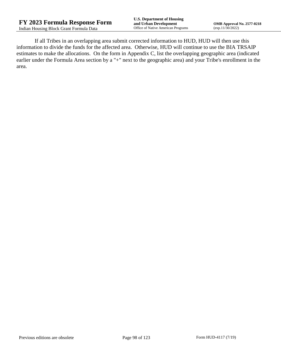If all Tribes in an overlapping area submit corrected information to HUD, HUD will then use this information to divide the funds for the affected area. Otherwise, HUD will continue to use the BIA TRSAIP estimates to make the allocations. On the form in Appendix C, list the overlapping geographic area (indicated earlier under the Formula Area section by a "+" next to the geographic area) and your Tribe's enrollment in the area.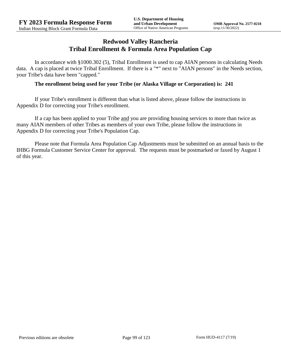## **Redwood Valley Rancheria Tribal Enrollment & Formula Area Population Cap**

In accordance with §1000.302 (5), Tribal Enrollment is used to cap AIAN persons in calculating Needs data. A cap is placed at twice Tribal Enrollment. If there is a "\*" next to "AIAN persons" in the Needs section, your Tribe's data have been "capped."

## **The enrollment being used for your Tribe (or Alaska Village or Corporation) is: 241**

If your Tribe's enrollment is different than what is listed above, please follow the instructions in Appendix D for correcting your Tribe's enrollment.

If a cap has been applied to your Tribe and you are providing housing services to more than twice as many AIAN members of other Tribes as members of your own Tribe, please follow the instructions in Appendix D for correcting your Tribe's Population Cap.

Please note that Formula Area Population Cap Adjustments must be submitted on an annual basis to the IHBG Formula Customer Service Center for approval. The requests must be postmarked or faxed by August 1 of this year.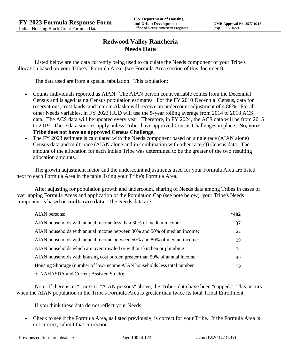# **Redwood Valley Rancheria Needs Data**

Listed below are the data currently being used to calculate the Needs component of your Tribe's allocation based on your Tribe's "Formula Area" (see Formula Area section of this document).

The data used are from a special tabulation. This tabulation:

- Counts individuals reported as AIAN. The AIAN person count variable comes from the Decennial Census and is aged using Census population estimates. For the FY 2010 Decennial Census, data for reservations, trust lands, and remote Alaska will receive an undercount adjustment of 4.88%. For all other Needs variables, in FY 2023 HUD will use the 5-year rolling average from 2014 to 2018 ACS data. The ACS data will be updated every year. Therefore, in FY 2024, the ACS data will be from 2015 to 2019. These data sources apply unless Tribes have approved Census Challenges in place. **No, your Tribe does not have an approved Census Challenge.**
- The FY 2023 estimate is calculated with the Needs component based on single race (AIAN alone) Census data and multi-race (AIAN alone and in combination with other race(s)) Census data. The amount of the allocation for each Indian Tribe was determined to be the greater of the two resulting allocation amounts.

The growth adjustment factor and the undercount adjustments used for your Formula Area are listed next to each Formula Area in the table listing your Tribe's Formula Area.

After adjusting for population growth and undercount, sharing of Needs data among Tribes in cases of overlapping Formula Areas and application of the Population Cap (see note below), your Tribe's Needs component is based on **multi-race data**. The Needs data are:

| AIAN persons:                                                               | $*482$ |
|-----------------------------------------------------------------------------|--------|
| AIAN households with annual income less than 30% of median income:          | 37     |
| AIAN households with annual income between 30% and 50% of median income:    | 22     |
| AIAN households with annual income between 50% and 80% of median income:    | 29     |
| AIAN households which are overcrowded or without kitchen or plumbing:       | 12     |
| AIAN households with housing cost burden greater than 50% of annual income: | 40     |
| Housing Shortage (number of low-income AIAN households less total number    | 79     |
| of NAHASDA and Current Assisted Stock):                                     |        |

Note: If there is a "\*" next to "AIAN persons" above, the Tribe's data have been "capped." This occurs when the AIAN population in the Tribe's Formula Area is greater than twice its total Tribal Enrollment.

If you think these data do not reflect your Needs:

 Check to see if the Formula Area, as listed previously, is correct for your Tribe. If the Formula Area is not correct, submit that correction.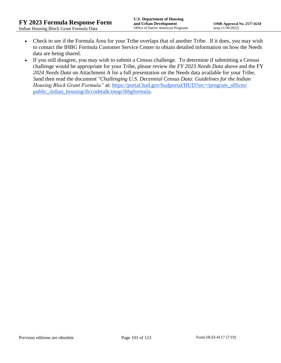- Check to see if the Formula Area for your Tribe overlaps that of another Tribe. If it does, you may wish to contact the IHBG Formula Customer Service Center to obtain detailed information on how the Needs data are being shared.
- If you still disagree, you may wish to submit a Census challenge. To determine if submitting a Census challenge would be appropriate for your Tribe, please review the *FY 2023 Needs Data* above and the FY *2024 Needs Data* on Attachment A for a full presentation on the Needs data available for your Tribe, 3and then read the document "*Challenging U.S. Decennial Census Data: Guidelines for the Indian Housing Block Grant Formula*" at: https://portal.hud.gov/hudportal/HUD?src=/program\_offices/ [public\\_indian\\_housing/ih/codetalk/onap/ihbgformula.](https://portal.hud.gov/hudportal/HUD?src=/program_offices/public_indian_housing/ih/codetalk/onap/ihbgformula)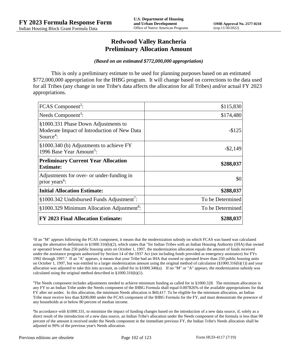## **Redwood Valley Rancheria Preliminary Allocation Amount**

#### *(Based on an estimated \$772,000,000 appropriation)*

This is only a preliminary estimate to be used for planning purposes based on an estimated \$772,000,000 appropriation for the IHBG program. It will change based on corrections to the data used for all Tribes (any change in one Tribe's data affects the allocation for all Tribes) and/or actual FY 2023 appropriations.

| FCAS Component <sup>2</sup> :                                                                               | \$115,830        |
|-------------------------------------------------------------------------------------------------------------|------------------|
| Needs Component <sup>3</sup> :                                                                              | \$174,480        |
| §1000.331 Phase Down Adjustments to<br>Moderate Impact of Introduction of New Data<br>Source <sup>4</sup> : | $-$125$          |
| §1000.340 (b) Adjustments to achieve FY<br>1996 Base Year Amount <sup>5</sup> :                             | $-$ \$2,149      |
| <b>Preliminary Current Year Allocation</b><br><b>Estimate:</b>                                              | \$288,037        |
| Adjustments for over- or under-funding in<br>prior years <sup>6</sup> :                                     | \$0              |
| <b>Initial Allocation Estimate:</b>                                                                         | \$288,037        |
| $§1000.342$ Undisbursed Funds Adjustment <sup>7</sup> :                                                     | To be Determined |
| §1000.329 Minimum Allocation Adjustment <sup>8</sup> :                                                      | To be Determined |
| <b>FY 2023 Final Allocation Estimate:</b>                                                                   | \$288,037        |

2 If an "M" appears following the FCAS component, it means that the modernization subsidy on which FCAS was based was calculated using the alternative definition in §1000.316(b)(2), which states that "for Indian Tribes with an Indian Housing Authority (IHA) that owned or operated fewer than 250 public housing units on October 1, 1997, the modernization allocation equals the amount of funds received under the assistance program authorized by Section 14 of the 1937 Act (not including funds provided as emergency assistance) for FYs 1992 through 1997." If an "A" appears, it means that your Tribe had an IHA that owned or operated fewer than 250 public housing units on October 1, 1997, but was entitled to a larger modernization amount using the original method of calculation (§1000.316(b)(1)) and your allocation was adjusted to take this into account, as called for in  $\S1000.340(a)$ . If no "M" or "A" appears, the modernization subsidy was calculated using the original method described in §1000.316(b)(1).

 $3$ The Needs component includes adjustments needed to achieve minimum funding as called for in §1000.328. The minimum allocation in any FY to an Indian Tribe under the Needs component of the IHBG Formula shall equal 0.007826% of the available appropriations for that FY after set asides. In this allocation, the minimum Needs allocation is \$60,417. To be eligible for the minimum allocation, an Indian Tribe must receive less than \$200,000 under the FCAS component of the IHBG Formula for the FY, and must demonstrate the presence of any households at or below 80 percent of median income.

4 In accordance with §1000.331, to minimize the impact of funding changes based on the introduction of a new data source, if, solely as a direct result of the introduction of a new data source, an Indian Tribe's allocation under the Needs component of the formula is less than 90 percent of the amount it received under the Needs component in the immediate previous FY, the Indian Tribe's Needs allocation shall be adjusted to 90% of the previous year's Needs allocation.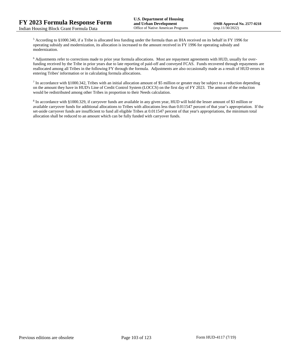<sup>5</sup> According to §1000.340, if a Tribe is allocated less funding under the formula than an IHA received on its behalf in FY 1996 for operating subsidy and modernization, its allocation is increased to the amount received in FY 1996 for operating subsidy and modernization.

<sup>6</sup> Adjustments refer to corrections made to prior year formula allocations. Most are repayment agreements with HUD, usually for overfunding received by the Tribe in prior years due to late reporting of paid-off and conveyed FCAS. Funds recovered through repayments are reallocated among all Tribes in the following FY through the formula. Adjustments are also occasionally made as a result of HUD errors in entering Tribes' information or in calculating formula allocations.

 $^7$  In accordance with §1000.342, Tribes with an initial allocation amount of \$5 million or greater may be subject to a reduction depending on the amount they have in HUD's Line of Credit Control System (LOCCS) on the first day of FY 2023. The amount of the reduction would be redistributed among other Tribes in proportion to their Needs calculation.

<sup>8</sup> In accordance with §1000.329, if carryover funds are available in any given year, HUD will hold the lesser amount of \$3 million or available carryover funds for additional allocations to Tribes with allocations less than 0.011547 percent of that year's appropriation. If the set-aside carryover funds are insufficient to fund all eligible Tribes at 0.011547 percent of that year's appropriations, the minimum total allocation shall be reduced to an amount which can be fully funded with carryover funds.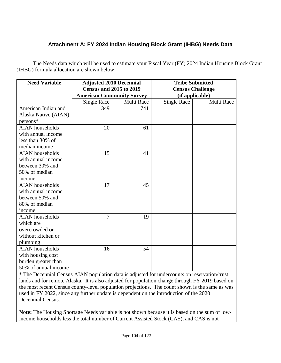# **Attachment A: FY 2024 Indian Housing Block Grant (IHBG) Needs Data**

The Needs data which will be used to estimate your Fiscal Year (FY) 2024 Indian Housing Block Grant (IHBG) formula allocation are shown below:

| <b>Need Variable</b>   | <b>Adjusted 2010 Decennial</b><br><b>Census and 2015 to 2019</b> |            | <b>Tribe Submitted</b><br><b>Census Challenge</b> |            |
|------------------------|------------------------------------------------------------------|------------|---------------------------------------------------|------------|
|                        | <b>American Community Survey</b>                                 |            | (if applicable)                                   |            |
|                        | Single Race                                                      | Multi Race | <b>Single Race</b>                                | Multi Race |
| American Indian and    | 349                                                              | 741        |                                                   |            |
| Alaska Native (AIAN)   |                                                                  |            |                                                   |            |
| persons*               |                                                                  |            |                                                   |            |
| <b>AIAN</b> households | 20                                                               | 61         |                                                   |            |
| with annual income     |                                                                  |            |                                                   |            |
| less than 30% of       |                                                                  |            |                                                   |            |
| median income          |                                                                  |            |                                                   |            |
| <b>AIAN</b> households | 15                                                               | 41         |                                                   |            |
| with annual income     |                                                                  |            |                                                   |            |
| between 30% and        |                                                                  |            |                                                   |            |
| 50% of median          |                                                                  |            |                                                   |            |
| income                 |                                                                  |            |                                                   |            |
| <b>AIAN</b> households | 17                                                               | 45         |                                                   |            |
| with annual income     |                                                                  |            |                                                   |            |
| between 50% and        |                                                                  |            |                                                   |            |
| 80% of median          |                                                                  |            |                                                   |            |
| income                 |                                                                  |            |                                                   |            |
| <b>AIAN</b> households | $\overline{7}$                                                   | 19         |                                                   |            |
| which are              |                                                                  |            |                                                   |            |
| overcrowded or         |                                                                  |            |                                                   |            |
| without kitchen or     |                                                                  |            |                                                   |            |
| plumbing               |                                                                  |            |                                                   |            |
| <b>AIAN</b> households | 16                                                               | 54         |                                                   |            |
| with housing cost      |                                                                  |            |                                                   |            |
| burden greater than    |                                                                  |            |                                                   |            |
| 50% of annual income   |                                                                  |            |                                                   |            |

\* The Decennial Census AIAN population data is adjusted for undercounts on reservation/trust lands and for remote Alaska. It is also adjusted for population change through FY 2019 based on the most recent Census county-level population projections. The count shown is the same as was used in FY 2022, since any further update is dependent on the introduction of the 2020 Decennial Census.

**Note:** The Housing Shortage Needs variable is not shown because it is based on the sum of lowincome households less the total number of Current Assisted Stock (CAS), and CAS is not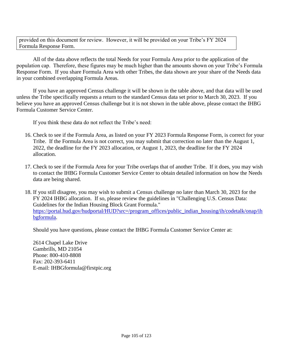provided on this document for review. However, it will be provided on your Tribe's FY 2024 Formula Response Form.

All of the data above reflects the total Needs for your Formula Area prior to the application of the population cap. Therefore, these figures may be much higher than the amounts shown on your Tribe's Formula Response Form. If you share Formula Area with other Tribes, the data shown are your share of the Needs data in your combined overlapping Formula Areas.

If you have an approved Census challenge it will be shown in the table above, and that data will be used unless the Tribe specifically requests a return to the standard Census data set prior to March 30, 2023. If you believe you have an approved Census challenge but it is not shown in the table above, please contact the IHBG Formula Customer Service Center.

If you think these data do not reflect the Tribe's need:

- 16. Check to see if the Formula Area, as listed on your FY 2023 Formula Response Form, is correct for your Tribe. If the Formula Area is not correct, you may submit that correction no later than the August 1, 2022, the deadline for the FY 2023 allocation, or August 1, 2023, the deadline for the FY 2024 allocation.
- 17. Check to see if the Formula Area for your Tribe overlaps that of another Tribe. If it does, you may wish to contact the IHBG Formula Customer Service Center to obtain detailed information on how the Needs data are being shared.
- 18. If you still disagree, you may wish to submit a Census challenge no later than March 30, 2023 for the FY 2024 IHBG allocation. If so, please review the guidelines in "Challenging U.S. Census Data: Guidelines for the Indian Housing Block Grant Formula." [https://portal.hud.gov/hudportal/HUD?src=/program\\_offices/public\\_indian\\_housing/ih/codetalk/onap/ih](https://portal.hud.gov/hudportal/HUD?src=/program_offices/public_indian_housing/ih/codetalk/onap/ihbgformula) [bgformula.](https://portal.hud.gov/hudportal/HUD?src=/program_offices/public_indian_housing/ih/codetalk/onap/ihbgformula)

Should you have questions, please contact the IHBG Formula Customer Service Center at:

2614 Chapel Lake Drive Gambrills, MD 21054 Phone: 800-410-8808 Fax: 202-393-6411 E-mail: IHBGformula@firstpic.org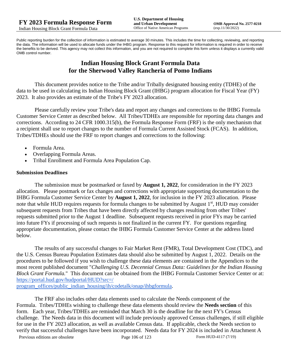Public reporting burden for the collection of information is estimated to average 30 minutes. This includes the time for collecting, reviewing, and reporting the data. The information will be used to allocate funds under the IHBG program. Response to this request for information is required in order to receive the benefits to be derived. This agency may not collect this information, and you are not required to complete this form unless it displays a currently valid OMB control number.

## **Indian Housing Block Grant Formula Data for the Sherwood Valley Rancheria of Pomo Indians**

This document provides notice to the Tribe and/or Tribally designated housing entity (TDHE) of the data to be used in calculating its Indian Housing Block Grant (IHBG) program allocation for Fiscal Year (FY) 2023. It also provides an estimate of the Tribe's FY 2023 allocation.

Please carefully review your Tribe's data and report any changes and corrections to the IHBG Formula Customer Service Center as described below. All Tribes/TDHEs are responsible for reporting data changes and corrections. According to 24 CFR 1000.315(b), the Formula Response Form (FRF) is the only mechanism that a recipient shall use to report changes to the number of Formula Current Assisted Stock (FCAS). In addition, Tribes/TDHEs should use the FRF to report changes and corrections to the following:

- Formula Area.
- Overlapping Formula Areas.
- Tribal Enrollment and Formula Area Population Cap.

## **Submission Deadlines**

The submission must be postmarked or faxed by **August 1, 2022**, for consideration in the FY 2023 allocation. Please postmark or fax changes and corrections with appropriate supporting documentation to the IHBG Formula Customer Service Center by **August 1, 2022**, for inclusion in the FY 2023 allocation. Please note that while HUD requires requests for formula changes to be submitted by August 1<sup>st</sup>, HUD may consider subsequent requests from Tribes that have been directly affected by changes resulting from other Tribes' requests submitted prior to the August 1 deadline. Subsequent requests received in prior FYs may be carried into future FYs if processing of such requests is not finalized in the current FY. For questions regarding appropriate documentation, please contact the IHBG Formula Customer Service Center at the address listed below.

The results of any successful changes to Fair Market Rent (FMR), Total Development Cost (TDC), and the U.S. Census Bureau Population Estimates data should also be submitted by August 1, 2022. Details on the procedures to be followed if you wish to challenge these data elements are contained in the Appendices to the most recent published document "*Challenging U.S. Decennial Census Data: Guidelines for the Indian Housing Block Grant Formula.*" This document can be obtained from the IHBG Formula Customer Service Center or at: [https://portal.hud.gov/hudportal/HUD?src=/](https://portal.hud.gov/hudportal/HUD?src=/program_offices/public_indian_housing/ih/codetalk/onap/ihbgformula) 

[program\\_offices/public\\_indian\\_housing/ih/codetalk/onap/ihbgformula.](https://portal.hud.gov/hudportal/HUD?src=/program_offices/public_indian_housing/ih/codetalk/onap/ihbgformula)

Previous editions are obsolete Page 106 of 123 Form HUD-4117 (7/19) The FRF also includes other data elements used to calculate the Needs component of the Formula. Tribes/TDHEs wishing to challenge these data elements should review the **Needs section** of this form. Each year, Tribes/TDHEs are reminded that March 30 is the deadline for the next FY's Census challenge. The Needs data in this document will include previously approved Census challenges, if still eligible for use in the FY 2023 allocation, as well as available Census data. If applicable, check the Needs section to verify that successful challenges have been incorporated. Needs data for FY 2024 is included in Attachment A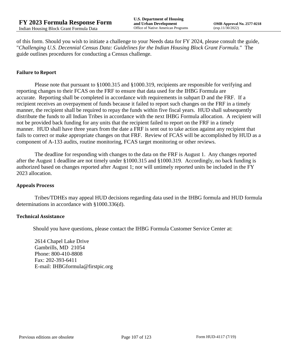of this form. Should you wish to initiate a challenge to your Needs data for FY 2024, please consult the guide, "*Challenging U.S. Decennial Census Data: Guidelines for the Indian Housing Block Grant Formula.*" The guide outlines procedures for conducting a Census challenge.

#### **Failure to Report**

Please note that pursuant to §1000.315 and §1000.319, recipients are responsible for verifying and reporting changes to their FCAS on the FRF to ensure that data used for the IHBG Formula are accurate. Reporting shall be completed in accordance with requirements in subpart D and the FRF. If a recipient receives an overpayment of funds because it failed to report such changes on the FRF in a timely manner, the recipient shall be required to repay the funds within five fiscal years. HUD shall subsequently distribute the funds to all Indian Tribes in accordance with the next IHBG Formula allocation. A recipient will not be provided back funding for any units that the recipient failed to report on the FRF in a timely manner. HUD shall have three years from the date a FRF is sent out to take action against any recipient that fails to correct or make appropriate changes on that FRF. Review of FCAS will be accomplished by HUD as a component of A-133 audits, routine monitoring, FCAS target monitoring or other reviews.

The deadline for responding with changes to the data on the FRF is August 1. Any changes reported after the August 1 deadline are not timely under §1000.315 and §1000.319. Accordingly, no back funding is authorized based on changes reported after August 1; nor will untimely reported units be included in the FY 2023 allocation.

#### **Appeals Process**

Tribes/TDHEs may appeal HUD decisions regarding data used in the IHBG formula and HUD formula determinations in accordance with §1000.336(d).

#### **Technical Assistance**

Should you have questions, please contact the IHBG Formula Customer Service Center at:

2614 Chapel Lake Drive Gambrills, MD 21054 Phone: 800-410-8808 Fax: 202-393-6411 E-mail: IHBGformula@firstpic.org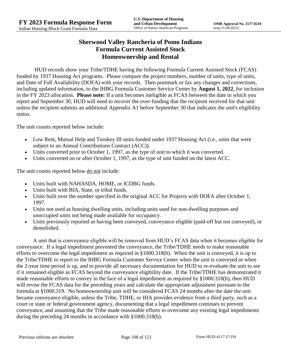## **Sherwood Valley Rancheria of Pomo Indians Formula Current Assisted Stock Homeownership and Rental**

HUD records show your Tribe/TDHE having the following Formula Current Assisted Stock (FCAS) funded by 1937 Housing Act programs. Please compare the project numbers, number of units, type of units, and Date of Full Availability (DOFA) with your records. Then postmark or fax any changes and corrections, including updated information, to the IHBG Formula Customer Service Center by **August 1, 2022**, for inclusion in the FY 2023 allocation. **Please note:** If a unit becomes ineligible as FCAS between the date in which you report and September 30, HUD will need to recover the over-funding that the recipient received for that unit unless the recipient submits an additional Appendix A1 before September 30 that indicates the unit's eligibility status.

The unit counts reported below include:

- Low Rent, Mutual Help and Turnkey III units funded under 1937 Housing Act (i.e., units that were subject to an Annual Contributions Contract (ACC)).
- Units converted prior to October 1, 1997, as the type of unit to which it was converted.
- Units converted on or after October 1, 1997, as the type of unit funded on the latest ACC.

The unit counts reported below <u>do not</u> include:

- Units built with NAHASDA, HOME, or ICDBG funds.
- Units built with BIA, State, or tribal funds.
- Units built over the number specified in the original ACC for Projects with DOFA after October 1, 1997.
- Units not used as housing dwelling units, including units used for non-dwelling purposes and unoccupied units not being made available for occupancy.
- Units previously reported as having been conveyed, conveyance eligible (paid-off but not conveyed), or demolished.

A unit that is conveyance eligible will be removed from HUD's FCAS data when it becomes eligible for conveyance. If a legal impediment prevented the conveyance, the Tribe/TDHE needs to make reasonable efforts to overcome the legal impediment as required in §1000.318(b). When the unit is conveyed, it is up to the Tribe/TDHE to report to the IHBG Formula Customer Service Center when the unit is conveyed or when the 2-year time period is up, and to provide all necessary documentation for HUD to re-evaluate the unit to see if it remained eligible as FCAS beyond the conveyance eligibility date. If the Tribe/TDHE has demonstrated it made reasonable efforts to convey in the face of a legal impediment as required by §1000.318(b), then HUD will revise the FCAS data for the preceding years and calculate the appropriate adjustment pursuant to the formula at §1000.319. No homeownership unit will be considered FCAS 24 months after the date the unit became conveyance eligible, unless the Tribe, TDHE, or IHA provides evidence from a third party, such as a court or state or federal government agency, documenting that a legal impediment continues to prevent conveyance, and assuming that the Tribe made reasonable efforts to overcome any existing legal impediments during the preceding 24 months in accordance with §1000.318(b).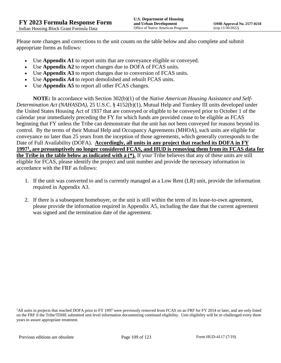Please note changes and corrections to the unit counts on the table below and also complete and submit appropriate forms as follows:

- Use **Appendix A1** to report units that are conveyance eligible or conveyed.
- Use **Appendix A2** to report changes due to DOFA of FCAS units.
- Use **Appendix A3** to report changes due to conversion of FCAS units.
- Use **Appendix A4** to report demolished and rebuilt FCAS units.
- Use **Appendix A5** to report all other FCAS changes.

**NOTE:** In accordance with Section 302(b)(1) of the *Native American Housing Assistance and Self-Determination Act (NAHASDA)*, 25 U.S.C. § 4152(b)(1), Mutual Help and Turnkey III units developed under the United States Housing Act of 1937 that are conveyed or eligible to be conveyed prior to October 1 of the calendar year immediately preceding the FY for which funds are provided cease to be eligible as FCAS beginning that FY unless the Tribe can demonstrate that the unit has not been conveyed for reasons beyond its control. By the terms of their Mutual Help and Occupancy Agreements (MHOA), such units are eligible for conveyance no later than 25 years from the inception of those agreements, which generally corresponds to the Date of Full Availability (DOFA). **Accordingly, all units in any project that reached its DOFA in FY 1997<sup>1</sup> , are presumptively no longer considered FCAS, and HUD is removing them from its FCAS data for the Tribe in the table below as indicated with a (\*).** If your Tribe believes that any of these units are still eligible for FCAS, please identify the project and unit number and provide the necessary information in accordance with the FRF as follows:

- 1. If the unit was converted to and is currently managed as a Low Rent (LR) unit, provide the information required in Appendix A3.
- 2. If there is a subsequent homebuyer, or the unit is still within the term of its lease-to-own agreement, please provide the information required in Appendix A5, including the date that the current agreement was signed and the termination date of the agreement.

<sup>&</sup>lt;sup>1</sup>All units in projects that reached DOFA prior to FY 1997 were previously removed from FCAS on an FRF for FY 2014 or later, and are only listed on the FRF if the Tribe/TDHE submitted unit level information documenting continued eligibility. Unit eligibility will be re-challenged every three years to assure appropriate treatment.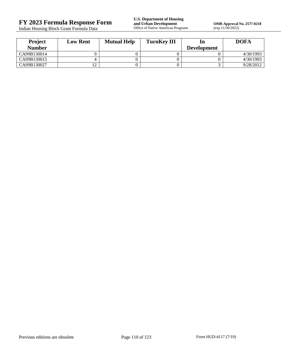Indian Housing Block Grant Formula Data

**OMB Approval No. 2577-0218**<br>(exp.11/30/2022)

| <b>Project</b> | <b>Low Rent</b> | <b>Mutual Help</b> | <b>TurnKey III</b> |                    | <b>DOFA</b> |
|----------------|-----------------|--------------------|--------------------|--------------------|-------------|
| <b>Number</b>  |                 |                    |                    | <b>Development</b> |             |
| CA99B130014    |                 |                    |                    |                    | 4/30/1993   |
| CA99B130015    |                 |                    |                    |                    | 4/30/1993   |
| CA99B130027    |                 |                    |                    |                    | 9/28/2012   |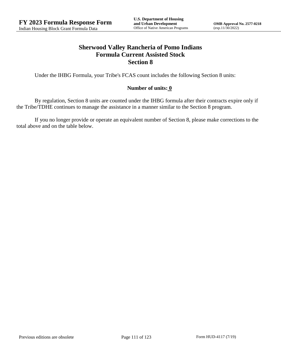# **Sherwood Valley Rancheria of Pomo Indians Formula Current Assisted Stock Section 8**

Under the IHBG Formula, your Tribe's FCAS count includes the following Section 8 units:

### **Number of units: 0**

By regulation, Section 8 units are counted under the IHBG formula after their contracts expire only if the Tribe/TDHE continues to manage the assistance in a manner similar to the Section 8 program.

If you no longer provide or operate an equivalent number of Section 8, please make corrections to the total above and on the table below.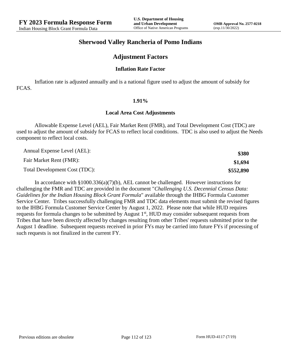## **Sherwood Valley Rancheria of Pomo Indians**

## **Adjustment Factors**

#### **Inflation Rate Factor**

Inflation rate is adjusted annually and is a national figure used to adjust the amount of subsidy for FCAS.

#### **1.91%**

#### **Local Area Cost Adjustments**

Allowable Expense Level (AEL), Fair Market Rent (FMR), and Total Development Cost (TDC) are used to adjust the amount of subsidy for FCAS to reflect local conditions. TDC is also used to adjust the Needs component to reflect local costs.

| Annual Expense Level (AEL):   | \$380     |
|-------------------------------|-----------|
| Fair Market Rent (FMR):       | \$1,694   |
| Total Development Cost (TDC): | \$552,890 |

In accordance with §1000.336(a)(7)(b), AEL cannot be challenged. However instructions for challenging the FMR and TDC are provided in the document "*Challenging U.S. Decennial Census Data: Guidelines for the Indian Housing Block Grant Formula*" available through the IHBG Formula Customer Service Center. Tribes successfully challenging FMR and TDC data elements must submit the revised figures to the IHBG Formula Customer Service Center by August 1, 2022. Please note that while HUD requires requests for formula changes to be submitted by August 1<sup>st</sup>, HUD may consider subsequent requests from Tribes that have been directly affected by changes resulting from other Tribes' requests submitted prior to the August 1 deadline. Subsequent requests received in prior FYs may be carried into future FYs if processing of such requests is not finalized in the current FY.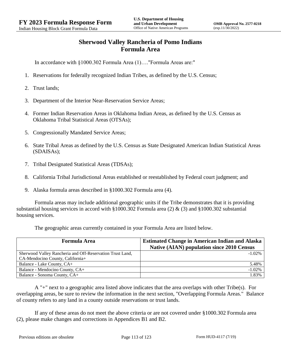# **Sherwood Valley Rancheria of Pomo Indians Formula Area**

In accordance with §1000.302 Formula Area (1)…."Formula Areas are:"

- 1. Reservations for federally recognized Indian Tribes, as defined by the U.S. Census;
- 2. Trust lands;
- 3. Department of the Interior Near-Reservation Service Areas;
- 4. Former Indian Reservation Areas in Oklahoma Indian Areas, as defined by the U.S. Census as Oklahoma Tribal Statistical Areas (OTSAs);
- 5. Congressionally Mandated Service Areas;
- 6. State Tribal Areas as defined by the U.S. Census as State Designated American Indian Statistical Areas (SDAISAs);
- 7. Tribal Designated Statistical Areas (TDSAs);
- 8. California Tribal Jurisdictional Areas established or reestablished by Federal court judgment; and
- 9. Alaska formula areas described in §1000.302 Formula area (4).

Formula areas may include additional geographic units if the Tribe demonstrates that it is providing substantial housing services in accord with §1000.302 Formula area (2) & (3) and §1000.302 substantial housing services.

The geographic areas currently contained in your Formula Area are listed below.

| <b>Formula Area</b>                                                                           | <b>Estimated Change in American Indian and Alaska</b><br><b>Native (AIAN) population since 2010 Census</b> |
|-----------------------------------------------------------------------------------------------|------------------------------------------------------------------------------------------------------------|
| Sherwood Valley Rancheria and Off-Reservation Trust Land,<br>CA-Mendocino County, California+ | $-1.02\%$                                                                                                  |
| Balance - Lake County, CA+                                                                    | 5.48%                                                                                                      |
| Balance - Mendocino County, CA+                                                               | $-1.02%$                                                                                                   |
| Balance - Sonoma County, CA+                                                                  | 1.83%                                                                                                      |

A "+" next to a geographic area listed above indicates that the area overlaps with other Tribe(s). For overlapping areas, be sure to review the information in the next section, "Overlapping Formula Areas." Balance of county refers to any land in a county outside reservations or trust lands.

If any of these areas do not meet the above criteria or are not covered under §1000.302 Formula area (2), please make changes and corrections in Appendices B1 and B2.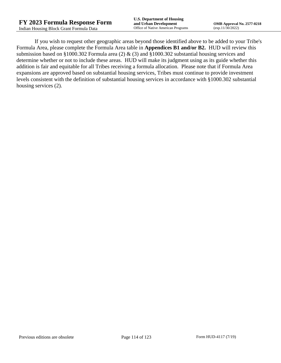If you wish to request other geographic areas beyond those identified above to be added to your Tribe's Formula Area, please complete the Formula Area table in **Appendices B1 and/or B2.** HUD will review this submission based on §1000.302 Formula area (2) & (3) and §1000.302 substantial housing services and determine whether or not to include these areas. HUD will make its judgment using as its guide whether this addition is fair and equitable for all Tribes receiving a formula allocation. Please note that if Formula Area expansions are approved based on substantial housing services, Tribes must continue to provide investment levels consistent with the definition of substantial housing services in accordance with §1000.302 substantial housing services (2).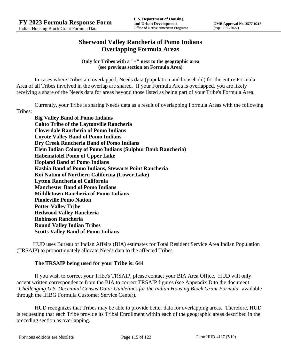# **Sherwood Valley Rancheria of Pomo Indians Overlapping Formula Areas**

**Only for Tribes with a "+" next to the geographic area (see previous section on Formula Area)**

In cases where Tribes are overlapped, Needs data (population and household) for the entire Formula Area of all Tribes involved in the overlap are shared. If your Formula Area is overlapped, you are likely receiving a share of the Needs data for areas beyond those listed as being part of your Tribe's Formula Area.

Currently, your Tribe is sharing Needs data as a result of overlapping Formula Areas with the following Tribes:

**Big Valley Band of Pomo Indians Cahto Tribe of the Laytonville Rancheria Cloverdale Rancheria of Pomo Indians Coyote Valley Band of Pomo Indians Dry Creek Rancheria Band of Pomo Indians Elem Indian Colony of Pomo Indians (Sulphur Bank Rancheria) Habematolel Pomo of Upper Lake Hopland Band of Pomo Indians Kashia Band of Pomo Indians, Stewarts Point Rancheria Koi Nation of Northern California (Lower Lake) Lytton Rancheria of California Manchester Band of Pomo Indians Middletown Rancheria of Pomo Indians Pinoleville Pomo Nation Potter Valley Tribe Redwood Valley Rancheria Robinson Rancheria Round Valley Indian Tribes Scotts Valley Band of Pomo Indians**

HUD uses Bureau of Indian Affairs (BIA) estimates for Total Resident Service Area Indian Population (TRSAIP) to proportionately allocate Needs data to the affected Tribes.

### **The TRSAIP being used for your Tribe is: 644**

If you wish to correct your Tribe's TRSAIP, please contact your BIA Area Office. HUD will only accept written correspondence from the BIA to correct TRSAIP figures (see Appendix D to the document "*Challenging U.S. Decennial Census Data: Guidelines for the Indian Housing Block Grant Formula*" available through the IHBG Formula Customer Service Center).

HUD recognizes that Tribes may be able to provide better data for overlapping areas. Therefore, HUD is requesting that each Tribe provide its Tribal Enrollment within each of the geographic areas described in the preceding section as overlapping.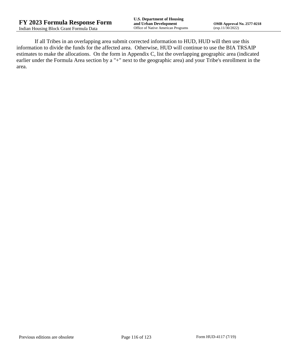If all Tribes in an overlapping area submit corrected information to HUD, HUD will then use this information to divide the funds for the affected area. Otherwise, HUD will continue to use the BIA TRSAIP estimates to make the allocations. On the form in Appendix C, list the overlapping geographic area (indicated earlier under the Formula Area section by a "+" next to the geographic area) and your Tribe's enrollment in the area.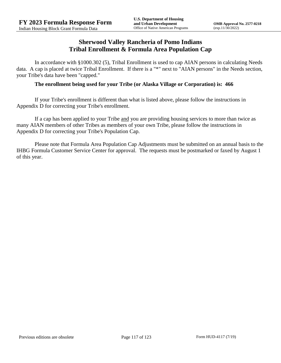## **Sherwood Valley Rancheria of Pomo Indians Tribal Enrollment & Formula Area Population Cap**

In accordance with §1000.302 (5), Tribal Enrollment is used to cap AIAN persons in calculating Needs data. A cap is placed at twice Tribal Enrollment. If there is a "\*" next to "AIAN persons" in the Needs section, your Tribe's data have been "capped."

### **The enrollment being used for your Tribe (or Alaska Village or Corporation) is: 466**

If your Tribe's enrollment is different than what is listed above, please follow the instructions in Appendix D for correcting your Tribe's enrollment.

If a cap has been applied to your Tribe and you are providing housing services to more than twice as many AIAN members of other Tribes as members of your own Tribe, please follow the instructions in Appendix D for correcting your Tribe's Population Cap.

Please note that Formula Area Population Cap Adjustments must be submitted on an annual basis to the IHBG Formula Customer Service Center for approval. The requests must be postmarked or faxed by August 1 of this year.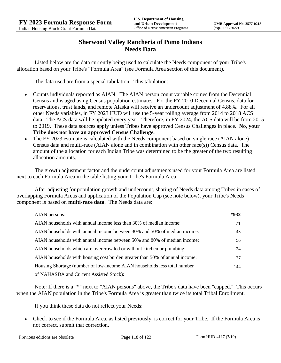# **Sherwood Valley Rancheria of Pomo Indians Needs Data**

Listed below are the data currently being used to calculate the Needs component of your Tribe's allocation based on your Tribe's "Formula Area" (see Formula Area section of this document).

The data used are from a special tabulation. This tabulation:

- Counts individuals reported as AIAN. The AIAN person count variable comes from the Decennial Census and is aged using Census population estimates. For the FY 2010 Decennial Census, data for reservations, trust lands, and remote Alaska will receive an undercount adjustment of 4.88%. For all other Needs variables, in FY 2023 HUD will use the 5-year rolling average from 2014 to 2018 ACS data. The ACS data will be updated every year. Therefore, in FY 2024, the ACS data will be from 2015 to 2019. These data sources apply unless Tribes have approved Census Challenges in place. **No, your Tribe does not have an approved Census Challenge.**
- The FY 2023 estimate is calculated with the Needs component based on single race (AIAN alone) Census data and multi-race (AIAN alone and in combination with other race(s)) Census data. The amount of the allocation for each Indian Tribe was determined to be the greater of the two resulting allocation amounts.

The growth adjustment factor and the undercount adjustments used for your Formula Area are listed next to each Formula Area in the table listing your Tribe's Formula Area.

After adjusting for population growth and undercount, sharing of Needs data among Tribes in cases of overlapping Formula Areas and application of the Population Cap (see note below), your Tribe's Needs component is based on **multi-race data**. The Needs data are:

| AIAN persons:                                                               | *932 |
|-----------------------------------------------------------------------------|------|
| AIAN households with annual income less than 30% of median income:          | 71   |
| AIAN households with annual income between 30% and 50% of median income:    | 43   |
| AIAN households with annual income between 50% and 80% of median income:    | 56   |
| AIAN households which are overcrowded or without kitchen or plumbing:       | 24   |
| AIAN households with housing cost burden greater than 50% of annual income: | 77   |
| Housing Shortage (number of low-income AIAN households less total number    | 144  |
| of NAHASDA and Current Assisted Stock):                                     |      |

Note: If there is a "\*" next to "AIAN persons" above, the Tribe's data have been "capped." This occurs when the AIAN population in the Tribe's Formula Area is greater than twice its total Tribal Enrollment.

If you think these data do not reflect your Needs:

 Check to see if the Formula Area, as listed previously, is correct for your Tribe. If the Formula Area is not correct, submit that correction.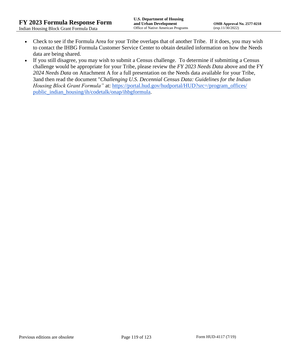- Check to see if the Formula Area for your Tribe overlaps that of another Tribe. If it does, you may wish to contact the IHBG Formula Customer Service Center to obtain detailed information on how the Needs data are being shared.
- If you still disagree, you may wish to submit a Census challenge. To determine if submitting a Census challenge would be appropriate for your Tribe, please review the *FY 2023 Needs Data* above and the FY *2024 Needs Data* on Attachment A for a full presentation on the Needs data available for your Tribe, 3and then read the document "*Challenging U.S. Decennial Census Data: Guidelines for the Indian Housing Block Grant Formula*" at: https://portal.hud.gov/hudportal/HUD?src=/program\_offices/ [public\\_indian\\_housing/ih/codetalk/onap/ihbgformula.](https://portal.hud.gov/hudportal/HUD?src=/program_offices/public_indian_housing/ih/codetalk/onap/ihbgformula)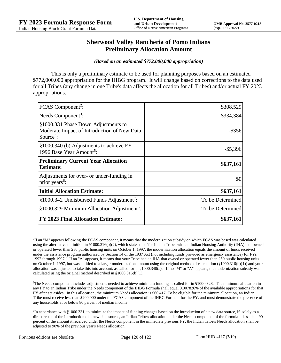## **Sherwood Valley Rancheria of Pomo Indians Preliminary Allocation Amount**

#### *(Based on an estimated \$772,000,000 appropriation)*

This is only a preliminary estimate to be used for planning purposes based on an estimated \$772,000,000 appropriation for the IHBG program. It will change based on corrections to the data used for all Tribes (any change in one Tribe's data affects the allocation for all Tribes) and/or actual FY 2023 appropriations.

| FCAS Component <sup>2</sup> :                                                                               | \$308,529        |
|-------------------------------------------------------------------------------------------------------------|------------------|
| Needs Component <sup>3</sup> :                                                                              | \$334,384        |
| §1000.331 Phase Down Adjustments to<br>Moderate Impact of Introduction of New Data<br>Source <sup>4</sup> : | $-$ \$356        |
| §1000.340 (b) Adjustments to achieve FY<br>1996 Base Year Amount <sup>5</sup> :                             | $-$ \$5,396      |
| <b>Preliminary Current Year Allocation</b><br><b>Estimate:</b>                                              | \$637,161        |
| Adjustments for over- or under-funding in<br>prior years <sup>6</sup> :                                     | \$0              |
| <b>Initial Allocation Estimate:</b>                                                                         | \$637,161        |
| §1000.342 Undisbursed Funds Adjustment <sup>7</sup> :                                                       | To be Determined |
| §1000.329 Minimum Allocation Adjustment <sup>8</sup> :                                                      | To be Determined |
| FY 2023 Final Allocation Estimate:                                                                          | \$637,161        |

2 If an "M" appears following the FCAS component, it means that the modernization subsidy on which FCAS was based was calculated using the alternative definition in §1000.316(b)(2), which states that "for Indian Tribes with an Indian Housing Authority (IHA) that owned or operated fewer than 250 public housing units on October 1, 1997, the modernization allocation equals the amount of funds received under the assistance program authorized by Section 14 of the 1937 Act (not including funds provided as emergency assistance) for FYs 1992 through 1997." If an "A" appears, it means that your Tribe had an IHA that owned or operated fewer than 250 public housing units on October 1, 1997, but was entitled to a larger modernization amount using the original method of calculation  $(\frac{81000.316(b)(1)}{2000.316(b)(1)})$  and your allocation was adjusted to take this into account, as called for in  $\S1000.340(a)$ . If no "M" or "A" appears, the modernization subsidy was calculated using the original method described in §1000.316(b)(1).

<sup>3</sup>The Needs component includes adjustments needed to achieve minimum funding as called for in §1000.328. The minimum allocation in any FY to an Indian Tribe under the Needs component of the IHBG Formula shall equal 0.007826% of the available appropriations for that FY after set asides. In this allocation, the minimum Needs allocation is \$60,417. To be eligible for the minimum allocation, an Indian Tribe must receive less than \$200,000 under the FCAS component of the IHBG Formula for the FY, and must demonstrate the presence of any households at or below 80 percent of median income.

<sup>4</sup>In accordance with §1000.331, to minimize the impact of funding changes based on the introduction of a new data source, if, solely as a direct result of the introduction of a new data source, an Indian Tribe's allocation under the Needs component of the formula is less than 90 percent of the amount it received under the Needs component in the immediate previous FY, the Indian Tribe's Needs allocation shall be adjusted to 90% of the previous year's Needs allocation.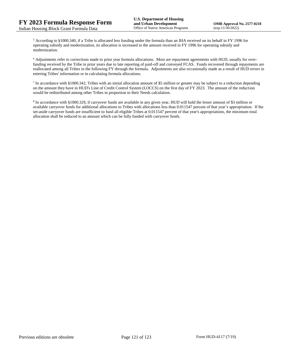<sup>5</sup> According to §1000.340, if a Tribe is allocated less funding under the formula than an IHA received on its behalf in FY 1996 for operating subsidy and modernization, its allocation is increased to the amount received in FY 1996 for operating subsidy and modernization.

<sup>6</sup> Adjustments refer to corrections made to prior year formula allocations. Most are repayment agreements with HUD, usually for overfunding received by the Tribe in prior years due to late reporting of paid-off and conveyed FCAS. Funds recovered through repayments are reallocated among all Tribes in the following FY through the formula. Adjustments are also occasionally made as a result of HUD errors in entering Tribes' information or in calculating formula allocations.

 $^7$  In accordance with §1000.342, Tribes with an initial allocation amount of \$5 million or greater may be subject to a reduction depending on the amount they have in HUD's Line of Credit Control System (LOCCS) on the first day of FY 2023. The amount of the reduction would be redistributed among other Tribes in proportion to their Needs calculation.

<sup>8</sup> In accordance with §1000.329, if carryover funds are available in any given year, HUD will hold the lesser amount of \$3 million or available carryover funds for additional allocations to Tribes with allocations less than 0.011547 percent of that year's appropriation. If the set-aside carryover funds are insufficient to fund all eligible Tribes at 0.011547 percent of that year's appropriations, the minimum total allocation shall be reduced to an amount which can be fully funded with carryover funds.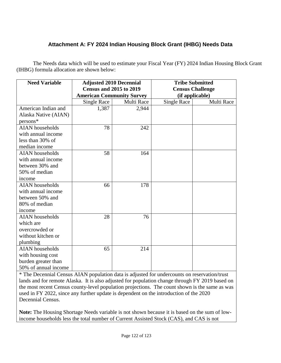# **Attachment A: FY 2024 Indian Housing Block Grant (IHBG) Needs Data**

The Needs data which will be used to estimate your Fiscal Year (FY) 2024 Indian Housing Block Grant (IHBG) formula allocation are shown below:

| <b>Need Variable</b>   | <b>Adjusted 2010 Decennial</b><br><b>Census and 2015 to 2019</b> |            | <b>Tribe Submitted</b><br><b>Census Challenge</b> |            |
|------------------------|------------------------------------------------------------------|------------|---------------------------------------------------|------------|
|                        | <b>American Community Survey</b>                                 |            | (if applicable)                                   |            |
|                        | Single Race                                                      | Multi Race | <b>Single Race</b>                                | Multi Race |
| American Indian and    | 1,387                                                            | 2,944      |                                                   |            |
| Alaska Native (AIAN)   |                                                                  |            |                                                   |            |
| persons*               |                                                                  |            |                                                   |            |
| <b>AIAN</b> households | 78                                                               | 242        |                                                   |            |
| with annual income     |                                                                  |            |                                                   |            |
| less than 30% of       |                                                                  |            |                                                   |            |
| median income          |                                                                  |            |                                                   |            |
| <b>AIAN</b> households | 58                                                               | 164        |                                                   |            |
| with annual income     |                                                                  |            |                                                   |            |
| between 30% and        |                                                                  |            |                                                   |            |
| 50% of median          |                                                                  |            |                                                   |            |
| income                 |                                                                  |            |                                                   |            |
| <b>AIAN</b> households | 66                                                               | 178        |                                                   |            |
| with annual income     |                                                                  |            |                                                   |            |
| between 50% and        |                                                                  |            |                                                   |            |
| 80% of median          |                                                                  |            |                                                   |            |
| income                 |                                                                  |            |                                                   |            |
| <b>AIAN</b> households | 28                                                               | 76         |                                                   |            |
| which are              |                                                                  |            |                                                   |            |
| overcrowded or         |                                                                  |            |                                                   |            |
| without kitchen or     |                                                                  |            |                                                   |            |
| plumbing               |                                                                  |            |                                                   |            |
| <b>AIAN</b> households | 65                                                               | 214        |                                                   |            |
| with housing cost      |                                                                  |            |                                                   |            |
| burden greater than    |                                                                  |            |                                                   |            |
| 50% of annual income   |                                                                  |            |                                                   |            |

\* The Decennial Census AIAN population data is adjusted for undercounts on reservation/trust lands and for remote Alaska. It is also adjusted for population change through FY 2019 based on the most recent Census county-level population projections. The count shown is the same as was used in FY 2022, since any further update is dependent on the introduction of the 2020 Decennial Census.

**Note:** The Housing Shortage Needs variable is not shown because it is based on the sum of lowincome households less the total number of Current Assisted Stock (CAS), and CAS is not